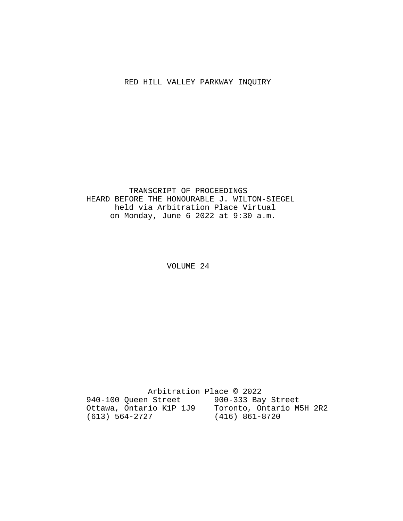# RED HILL VALLEY PARKWAY INQUIRY

### TRANSCRIPT OF PROCEEDINGS HEARD BEFORE THE HONOURABLE J. WILTON-SIEGEL held via Arbitration Place Virtual on Monday, June 6 2022 at 9:30 a.m.

VOLUME 24

 Arbitration Place © 2022 940-100 Queen Street 900-333 Bay Street Ottawa, Ontario K1P 1J9 Toronto, Ontario M5H 2R2 (613) 564-2727 (416) 861-8720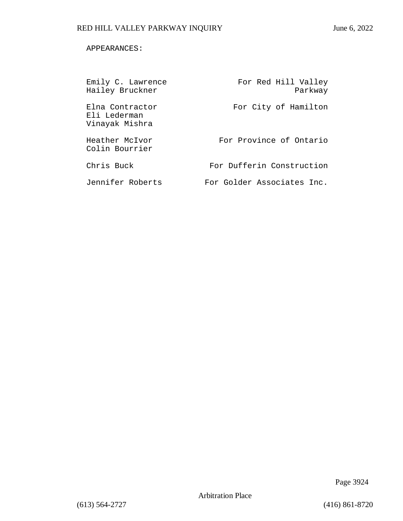### APPEARANCES:

| Emily C. Lawrence<br>Hailey Bruckner              | For Red Hill Valley<br>Parkway |
|---------------------------------------------------|--------------------------------|
| Elna Contractor<br>Eli Lederman<br>Vinayak Mishra | For City of Hamilton           |
| Heather McIvor<br>Colin Bourrier                  | For Province of Ontario        |
| Chris Buck                                        | For Dufferin Construction      |
| Jennifer Roberts                                  | For Golder Associates Inc.     |

Page 3924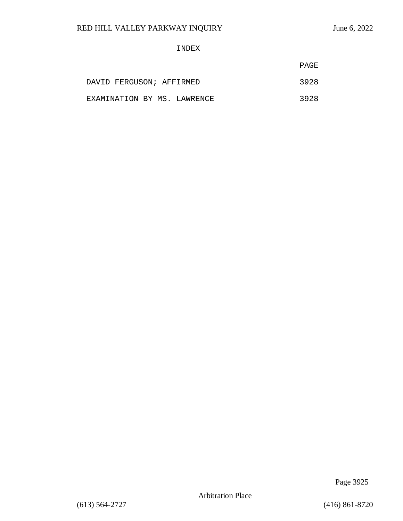### INDEX

|                             | PAGE |
|-----------------------------|------|
| DAVID FERGUSON; AFFIRMED    | 3928 |
| EXAMINATION BY MS. LAWRENCE | 3928 |

Page 3925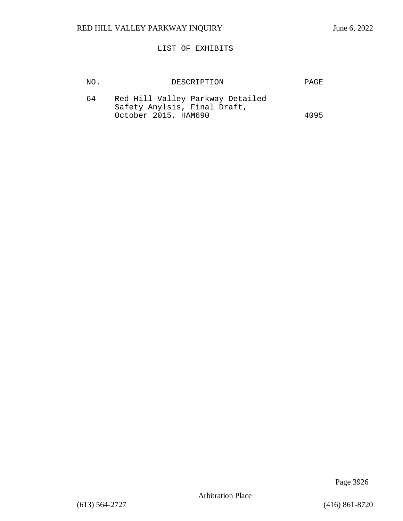### LIST OF EXHIBITS

| NO. | DESCRIPTION                                                                              | <b>PAGE</b> |
|-----|------------------------------------------------------------------------------------------|-------------|
| 64  | Red Hill Valley Parkway Detailed<br>Safety Anylsis, Final Draft,<br>October 2015, HAM690 | 4095        |

Page 3926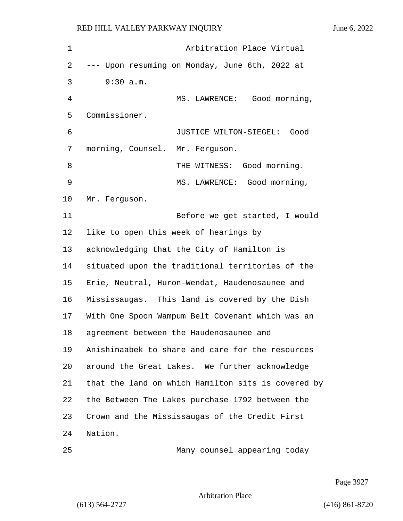| $\mathbf 1$ | Arbitration Place Virtual                          |
|-------------|----------------------------------------------------|
| 2           | --- Upon resuming on Monday, June 6th, 2022 at     |
| 3           | 9:30 a.m.                                          |
| 4           | MS. LAWRENCE: Good morning,                        |
| 5           | Commissioner.                                      |
| 6           | JUSTICE WILTON-SIEGEL: Good                        |
| 7           | morning, Counsel. Mr. Ferguson.                    |
| 8           | THE WITNESS: Good morning.                         |
| 9           | MS. LAWRENCE: Good morning,                        |
| 10          | Mr. Ferguson.                                      |
| 11          | Before we get started, I would                     |
| 12          | like to open this week of hearings by              |
| 13          | acknowledging that the City of Hamilton is         |
| 14          | situated upon the traditional territories of the   |
| 15          | Erie, Neutral, Huron-Wendat, Haudenosaunee and     |
| 16          | Mississaugas. This land is covered by the Dish     |
| 17          | With One Spoon Wampum Belt Covenant which was an   |
| 18          | agreement between the Haudenosaunee and            |
| 19          | Anishinaabek to share and care for the resources   |
| 20          | around the Great Lakes. We further acknowledge     |
| 21          | that the land on which Hamilton sits is covered by |
| 22          | the Between The Lakes purchase 1792 between the    |
| 23          | Crown and the Mississaugas of the Credit First     |
| 24          | Nation.                                            |
|             |                                                    |

25 Many counsel appearing today

Page 3927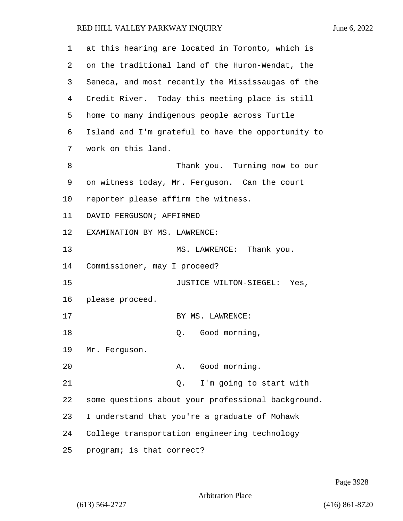| $\mathbf 1$ | at this hearing are located in Toronto, which is   |
|-------------|----------------------------------------------------|
| 2           | on the traditional land of the Huron-Wendat, the   |
| 3           | Seneca, and most recently the Mississaugas of the  |
| 4           | Credit River. Today this meeting place is still    |
| 5           | home to many indigenous people across Turtle       |
| 6           | Island and I'm grateful to have the opportunity to |
| 7           | work on this land.                                 |
| 8           | Thank you. Turning now to our                      |
| 9           | on witness today, Mr. Ferguson. Can the court      |
| 10          | reporter please affirm the witness.                |
| 11          | DAVID FERGUSON; AFFIRMED                           |
| 12          | EXAMINATION BY MS. LAWRENCE:                       |
| 13          | MS. LAWRENCE: Thank you.                           |
| 14          | Commissioner, may I proceed?                       |
| 15          | JUSTICE WILTON-SIEGEL: Yes,                        |
| 16          | please proceed.                                    |
| 17          | BY MS. LAWRENCE:                                   |
| 18          | Q. Good morning,                                   |
| 19          | Mr. Ferguson.                                      |
| 20          | Good morning.<br>Α.                                |
| 21          | I'm going to start with<br>Q.                      |
| 22          | some questions about your professional background. |
| 23          | I understand that you're a graduate of Mohawk      |
| 24          | College transportation engineering technology      |
| 25          | program; is that correct?                          |

Page 3928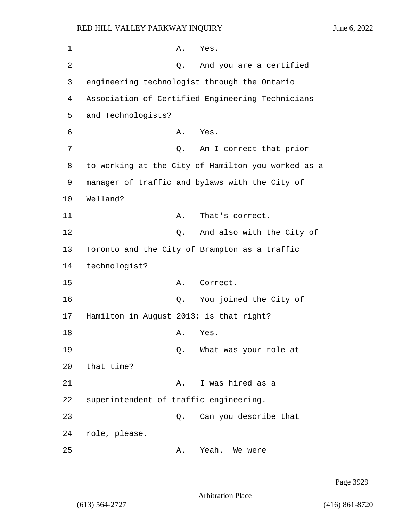1 A. Yes. 2 Q. And you are a certified 3 engineering technologist through the Ontario 4 Association of Certified Engineering Technicians 5 and Technologists? 6 A. Yes. 7 am I correct that prior 8 to working at the City of Hamilton you worked as a 9 manager of traffic and bylaws with the City of 10 Welland? 11 A. That's correct. 12 **12** O. And also with the City of 13 Toronto and the City of Brampton as a traffic 14 technologist? 15 A. Correct. 16 Q. You joined the City of 17 Hamilton in August 2013; is that right? 18 A. Yes. 19 Q. What was your role at 20 that time? 21 A. I was hired as a 22 superintendent of traffic engineering. 23 Q. Can you describe that 24 role, please. 25 A. Yeah. We were

Page 3929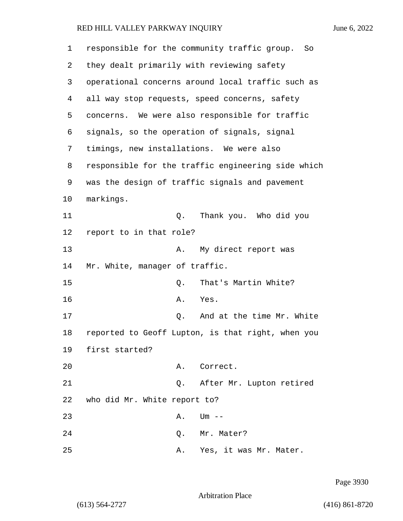| $\mathbf 1$ | responsible for the community traffic group. So    |
|-------------|----------------------------------------------------|
| 2           | they dealt primarily with reviewing safety         |
| 3           | operational concerns around local traffic such as  |
| 4           | all way stop requests, speed concerns, safety      |
| 5           | concerns. We were also responsible for traffic     |
| 6           | signals, so the operation of signals, signal       |
| 7           | timings, new installations. We were also           |
| 8           | responsible for the traffic engineering side which |
| 9           | was the design of traffic signals and pavement     |
| 10          | markings.                                          |
| 11          | Thank you. Who did you<br>Q.                       |
| 12          | report to in that role?                            |
| 13          | My direct report was<br>Α.                         |
| 14          | Mr. White, manager of traffic.                     |
| 15          | That's Martin White?<br>Q.                         |
| 16          | Α.<br>Yes.                                         |
| 17          | And at the time Mr. White<br>Q.                    |
| 18          | reported to Geoff Lupton, is that right, when you  |
| 19          | first started?                                     |
| 20          | Correct.<br>Α.                                     |
| 21          | After Mr. Lupton retired<br>Q.                     |
| 22          | who did Mr. White report to?                       |
| 23          | Α.<br>$Um$ $--$                                    |
| 24          | Mr. Mater?<br>Q.                                   |
| 25          | Yes, it was Mr. Mater.<br>Α.                       |

Page 3930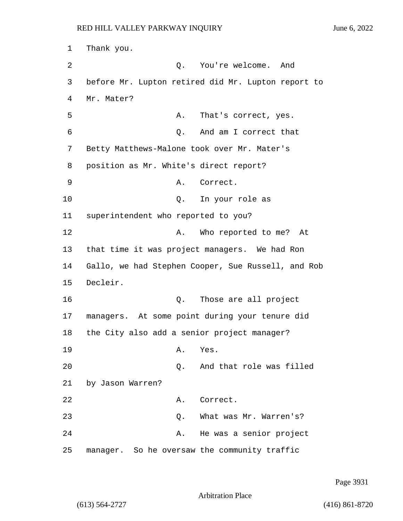1 Thank you. 2 Q. You're welcome. And 3 before Mr. Lupton retired did Mr. Lupton report to 4 Mr. Mater? 5 A. That's correct, yes. 6 Q. And am I correct that 7 Betty Matthews-Malone took over Mr. Mater's 8 position as Mr. White's direct report? 9 A. Correct. 10 Q. In your role as 11 superintendent who reported to you? 12 A. Who reported to me? At 13 that time it was project managers. We had Ron 14 Gallo, we had Stephen Cooper, Sue Russell, and Rob 15 Decleir. 16 Q. Those are all project 17 managers. At some point during your tenure did 18 the City also add a senior project manager? 19 A. Yes. 20 Q. And that role was filled 21 by Jason Warren? 22 A. Correct. 23 Q. What was Mr. Warren's? 24 A. He was a senior project 25 manager. So he oversaw the community traffic

Page 3931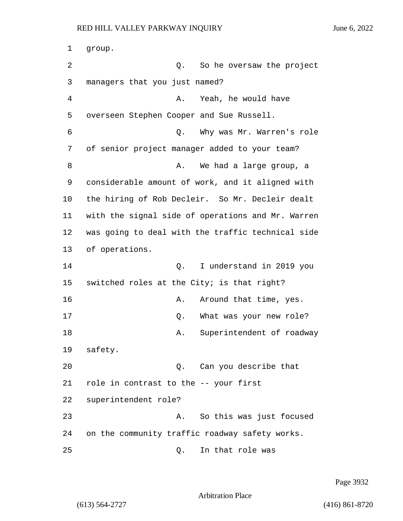| 1  | group.                                            |
|----|---------------------------------------------------|
| 2  | So he oversaw the project<br>Q.                   |
| 3  | managers that you just named?                     |
| 4  | Yeah, he would have<br>Α.                         |
| 5  | overseen Stephen Cooper and Sue Russell.          |
| 6  | Why was Mr. Warren's role<br>Q.                   |
| 7  | of senior project manager added to your team?     |
| 8  | We had a large group, a<br>Α.                     |
| 9  | considerable amount of work, and it aligned with  |
| 10 | the hiring of Rob Decleir. So Mr. Decleir dealt   |
| 11 | with the signal side of operations and Mr. Warren |
| 12 | was going to deal with the traffic technical side |
| 13 | of operations.                                    |
| 14 | Q.<br>I understand in 2019 you                    |
| 15 | switched roles at the City; is that right?        |
| 16 | Around that time, yes.<br>Α.                      |
| 17 | What was your new role?<br>Q.                     |
| 18 | Superintendent of roadway<br>Α.                   |
| 19 | safety.                                           |
| 20 | Can you describe that<br>Q.                       |
| 21 | role in contrast to the -- your first             |
| 22 | superintendent role?                              |
| 23 | So this was just focused<br>Α.                    |
| 24 | on the community traffic roadway safety works.    |
| 25 | In that role was<br>Q.                            |

Page 3932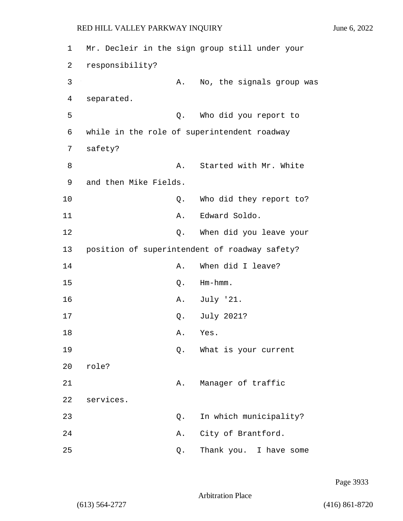1 Mr. Decleir in the sign group still under your 2 responsibility? 3 A. No, the signals group was 4 separated. 5 Q. Who did you report to 6 while in the role of superintendent roadway 7 safety? 8 A. Started with Mr. White 9 and then Mike Fields. 10 Q. Who did they report to? 11 A. Edward Soldo. 12 **Q.** When did you leave your 13 position of superintendent of roadway safety? 14 A. When did I leave? 15 Q. Hm-hmm. 16 A. July '21. 17 Q. July 2021? 18 A. Yes. 19 Q. What is your current 20 role? 21 A. Manager of traffic 22 services. 23 Q. In which municipality? 24 A. City of Brantford. 25 Q. Thank you. I have some

Page 3933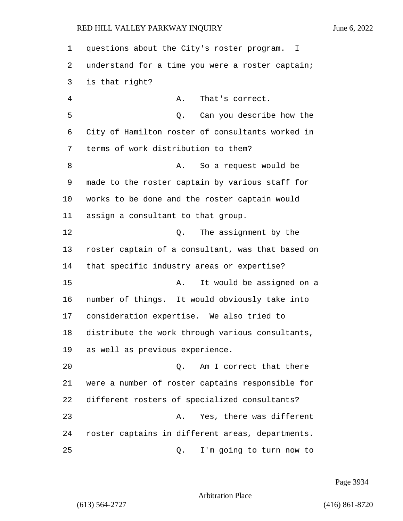| 1              | questions about the City's roster program.<br>$\mathbf{I}$ |
|----------------|------------------------------------------------------------|
| 2              | understand for a time you were a roster captain;           |
| 3              | is that right?                                             |
| $\overline{4}$ | That's correct.<br>Α.                                      |
| 5              | Can you describe how the<br>Q.                             |
| 6              | City of Hamilton roster of consultants worked in           |
| 7              | terms of work distribution to them?                        |
| 8              | So a request would be<br>Α.                                |
| 9              | made to the roster captain by various staff for            |
| 10             | works to be done and the roster captain would              |
| 11             | assign a consultant to that group.                         |
| 12             | The assignment by the<br>Q.                                |
| 13             | roster captain of a consultant, was that based on          |
| 14             | that specific industry areas or expertise?                 |
| 15             | It would be assigned on a<br>Α.                            |
| 16             | number of things. It would obviously take into             |
| 17             | consideration expertise. We also tried to                  |
| 18             | distribute the work through various consultants,           |
| 19             | as well as previous experience.                            |
| 20             | Am I correct that there<br>Q.                              |
| 21             | were a number of roster captains responsible for           |
| 22             | different rosters of specialized consultants?              |
| 23             | Yes, there was different<br>Α.                             |
| 24             | roster captains in different areas, departments.           |
| 25             | I'm going to turn now to<br>Q.                             |

Page 3934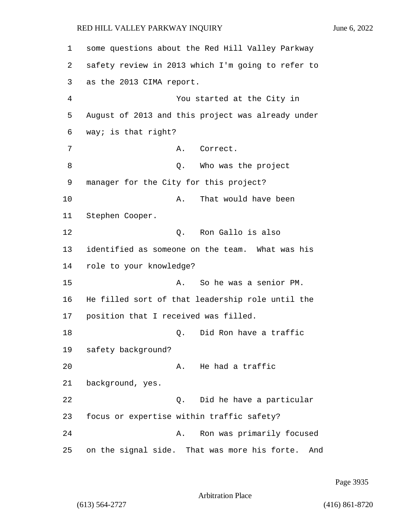1 some questions about the Red Hill Valley Parkway 2 safety review in 2013 which I'm going to refer to 3 as the 2013 CIMA report. 4 You started at the City in 5 August of 2013 and this project was already under 6 way; is that right? 7 A. Correct. 8 a Q. Who was the project 9 manager for the City for this project? 10 A. That would have been 11 Stephen Cooper. 12 C. Ron Gallo is also 13 identified as someone on the team. What was his 14 role to your knowledge? 15 A. So he was a senior PM. 16 He filled sort of that leadership role until the 17 position that I received was filled. 18 C. Did Ron have a traffic 19 safety background? 20 A. He had a traffic 21 background, yes. 22 Q. Did he have a particular 23 focus or expertise within traffic safety? 24 A. Ron was primarily focused 25 on the signal side. That was more his forte. And

Page 3935

Arbitration Place

(613) 564-2727 (416) 861-8720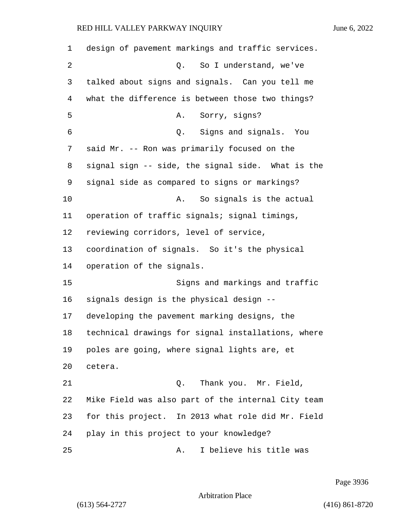| 1  | design of pavement markings and traffic services.  |
|----|----------------------------------------------------|
| 2  | So I understand, we've<br>Q.                       |
| 3  | talked about signs and signals. Can you tell me    |
| 4  | what the difference is between those two things?   |
| 5  | Sorry, signs?<br>Α.                                |
| 6  | Signs and signals. You<br>Q.                       |
| 7  | said Mr. -- Ron was primarily focused on the       |
| 8  | signal sign -- side, the signal side. What is the  |
| 9  | signal side as compared to signs or markings?      |
| 10 | So signals is the actual<br>Α.                     |
| 11 | operation of traffic signals; signal timings,      |
| 12 | reviewing corridors, level of service,             |
| 13 | coordination of signals. So it's the physical      |
| 14 | operation of the signals.                          |
| 15 | Signs and markings and traffic                     |
| 16 | signals design is the physical design --           |
| 17 | developing the pavement marking designs, the       |
| 18 | technical drawings for signal installations, where |
| 19 | poles are going, where signal lights are, et       |
| 20 | cetera.                                            |
| 21 | Thank you. Mr. Field,<br>Q.                        |
| 22 | Mike Field was also part of the internal City team |
| 23 | for this project. In 2013 what role did Mr. Field  |
| 24 | play in this project to your knowledge?            |
| 25 | I believe his title was<br>Α.                      |

Page 3936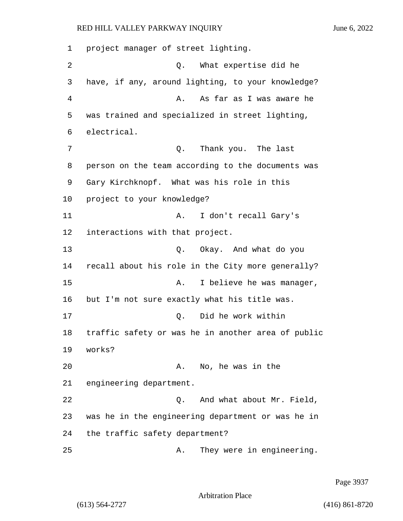1 project manager of street lighting. 2 Q. What expertise did he 3 have, if any, around lighting, to your knowledge? 4 A. As far as I was aware he 5 was trained and specialized in street lighting, 6 electrical. 7 Q. Thank you. The last 8 person on the team according to the documents was 9 Gary Kirchknopf. What was his role in this 10 project to your knowledge? 11 A. I don't recall Gary's 12 interactions with that project. 13 Q. Okay. And what do you 14 recall about his role in the City more generally? 15 A. I believe he was manager, 16 but I'm not sure exactly what his title was. 17 Q. Did he work within 18 traffic safety or was he in another area of public 19 works? 20 A. No, he was in the 21 engineering department. 22 Q. And what about Mr. Field, 23 was he in the engineering department or was he in 24 the traffic safety department? 25 A. They were in engineering.

Page 3937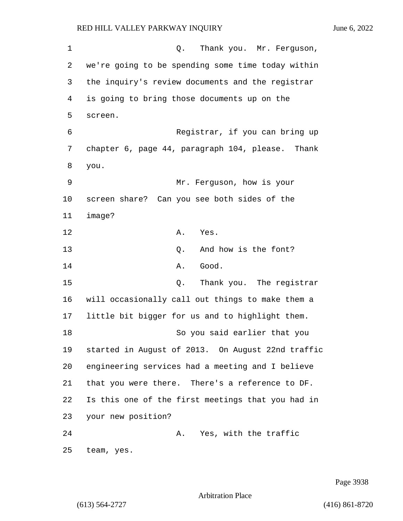1 C. Thank you. Mr. Ferguson, 2 we're going to be spending some time today within 3 the inquiry's review documents and the registrar 4 is going to bring those documents up on the 5 screen. 6 Registrar, if you can bring up 7 chapter 6, page 44, paragraph 104, please. Thank 8 you. 9 Mr. Ferguson, how is your 10 screen share? Can you see both sides of the 11 image? 12 A. Yes. 13 O. And how is the font? 14 A. Good. 15 Q. Thank you. The registrar 16 will occasionally call out things to make them a 17 little bit bigger for us and to highlight them. 18 So you said earlier that you 19 started in August of 2013. On August 22nd traffic 20 engineering services had a meeting and I believe 21 that you were there. There's a reference to DF. 22 Is this one of the first meetings that you had in 23 your new position? 24 A. Yes, with the traffic 25 team, yes.

Page 3938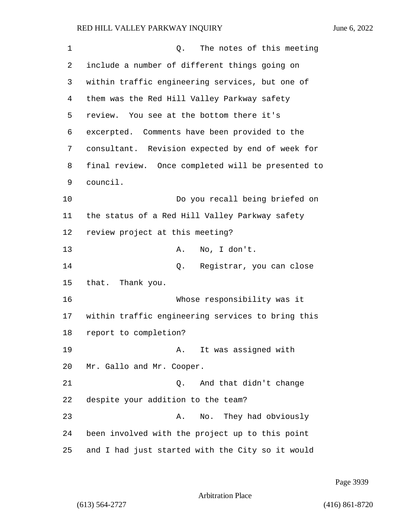| $\mathbf 1$ | The notes of this meeting<br>Q.                   |
|-------------|---------------------------------------------------|
| 2           | include a number of different things going on     |
| 3           | within traffic engineering services, but one of   |
| 4           | them was the Red Hill Valley Parkway safety       |
| 5           | review. You see at the bottom there it's          |
| 6           | excerpted. Comments have been provided to the     |
| 7           | consultant. Revision expected by end of week for  |
| 8           | final review. Once completed will be presented to |
| 9           | council.                                          |
| 10          | Do you recall being briefed on                    |
| 11          | the status of a Red Hill Valley Parkway safety    |
| 12          | review project at this meeting?                   |
| 13          | No, I don't.<br>Α.                                |
| 14          | Registrar, you can close<br>Q.                    |
| 15          | that. Thank you.                                  |
| 16          | Whose responsibility was it                       |
| 17          | within traffic engineering services to bring this |
| 18          | report to completion?                             |
| 19          | It was assigned with<br>A.                        |
| 20          | Mr. Gallo and Mr. Cooper.                         |
| 21          | And that didn't change<br>Q.                      |
| 22          | despite your addition to the team?                |
| 23          | No. They had obviously<br>Α.                      |
| 24          | been involved with the project up to this point   |
| 25          | and I had just started with the City so it would  |

Page 3939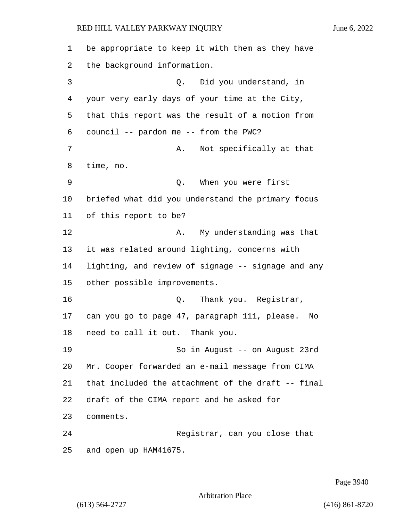be appropriate to keep it with them as they have the background information. 3 Q. Did you understand, in your very early days of your time at the City, that this report was the result of a motion from council -- pardon me -- from the PWC? 7 A. Not specifically at that time, no. 9 Q. When you were first briefed what did you understand the primary focus of this report to be? 12 A. My understanding was that it was related around lighting, concerns with lighting, and review of signage -- signage and any other possible improvements. 16 Q. Thank you. Registrar, can you go to page 47, paragraph 111, please. No need to call it out. Thank you. 19 So in August -- on August 23rd Mr. Cooper forwarded an e-mail message from CIMA that included the attachment of the draft -- final draft of the CIMA report and he asked for comments. 24 Registrar, can you close that and open up HAM41675.

Page 3940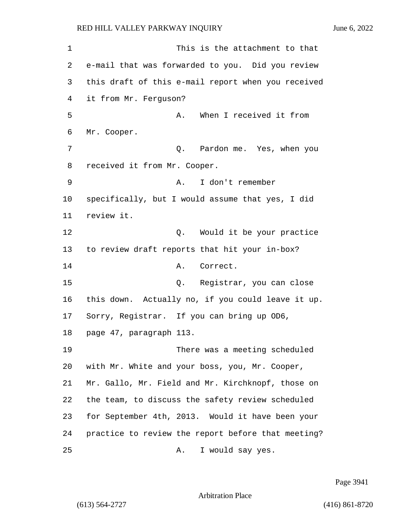1 This is the attachment to that e-mail that was forwarded to you. Did you review this draft of this e-mail report when you received it from Mr. Ferguson? 5 A. When I received it from Mr. Cooper. 7 Q. Pardon me. Yes, when you received it from Mr. Cooper. 9 A. I don't remember specifically, but I would assume that yes, I did review it. 12 and 12 Q. Would it be your practice to review draft reports that hit your in-box? 14 A. Correct. 15 Q. Registrar, you can close this down. Actually no, if you could leave it up. Sorry, Registrar. If you can bring up OD6, page 47, paragraph 113. 19 There was a meeting scheduled with Mr. White and your boss, you, Mr. Cooper, Mr. Gallo, Mr. Field and Mr. Kirchknopf, those on the team, to discuss the safety review scheduled for September 4th, 2013. Would it have been your practice to review the report before that meeting? 25 A. I would say yes.

Page 3941

Arbitration Place

(613) 564-2727 (416) 861-8720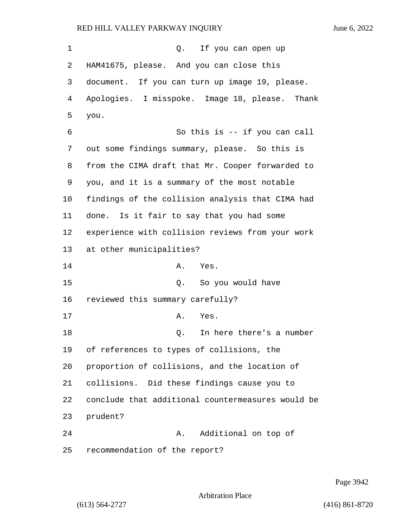| 1  | Q. If you can open up                             |
|----|---------------------------------------------------|
| 2  | HAM41675, please. And you can close this          |
| 3  | document. If you can turn up image 19, please.    |
| 4  | Apologies. I misspoke. Image 18, please. Thank    |
| 5  | you.                                              |
| 6  | So this is -- if you can call                     |
| 7  | out some findings summary, please. So this is     |
| 8  | from the CIMA draft that Mr. Cooper forwarded to  |
| 9  | you, and it is a summary of the most notable      |
| 10 | findings of the collision analysis that CIMA had  |
| 11 | done. Is it fair to say that you had some         |
| 12 | experience with collision reviews from your work  |
| 13 | at other municipalities?                          |
| 14 | Α.<br>Yes.                                        |
| 15 | So you would have<br>Q.                           |
| 16 | reviewed this summary carefully?                  |
| 17 | Α.<br>Yes.                                        |
| 18 | In here there's a number<br>Q.                    |
| 19 | of references to types of collisions, the         |
| 20 | proportion of collisions, and the location of     |
| 21 | collisions. Did these findings cause you to       |
| 22 | conclude that additional countermeasures would be |
| 23 | prudent?                                          |
| 24 | Additional on top of<br>Α.                        |
| 25 | recommendation of the report?                     |

Page 3942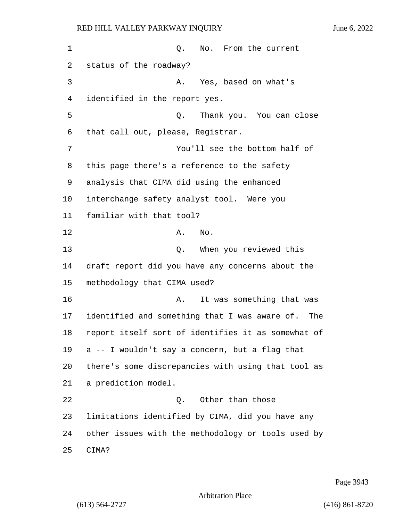1 Q. No. From the current status of the roadway? 3 A. Yes, based on what's identified in the report yes. 5 Q. Thank you. You can close that call out, please, Registrar. 7 You'll see the bottom half of this page there's a reference to the safety analysis that CIMA did using the enhanced interchange safety analyst tool. Were you familiar with that tool? 12 A. No. 13 Q. When you reviewed this draft report did you have any concerns about the methodology that CIMA used? 16 A. It was something that was identified and something that I was aware of. The report itself sort of identifies it as somewhat of a -- I wouldn't say a concern, but a flag that there's some discrepancies with using that tool as a prediction model. 22 Q. Other than those limitations identified by CIMA, did you have any other issues with the methodology or tools used by 25 CIMA?

Page 3943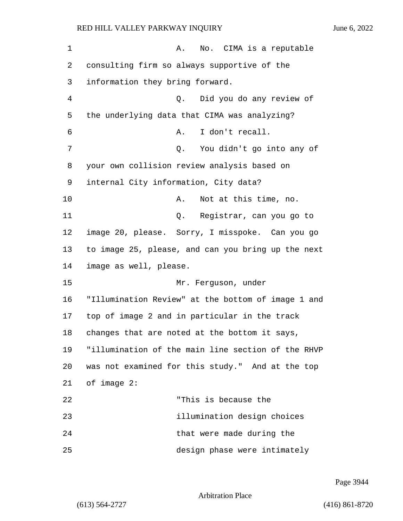1 A. No. CIMA is a reputable 2 consulting firm so always supportive of the 3 information they bring forward. 4 Q. Did you do any review of 5 the underlying data that CIMA was analyzing? 6 A. I don't recall. 7 Q. You didn't go into any of 8 your own collision review analysis based on 9 internal City information, City data? 10 A. Not at this time, no. 11 Q. Registrar, can you go to 12 image 20, please. Sorry, I misspoke. Can you go 13 to image 25, please, and can you bring up the next 14 image as well, please. 15 Mr. Ferguson, under 16 "Illumination Review" at the bottom of image 1 and 17 top of image 2 and in particular in the track 18 changes that are noted at the bottom it says, 19 "illumination of the main line section of the RHVP 20 was not examined for this study." And at the top 21 of image 2: 22 "This is because the 23 illumination design choices 24 that were made during the 25 design phase were intimately

Page 3944

Arbitration Place

(613) 564-2727 (416) 861-8720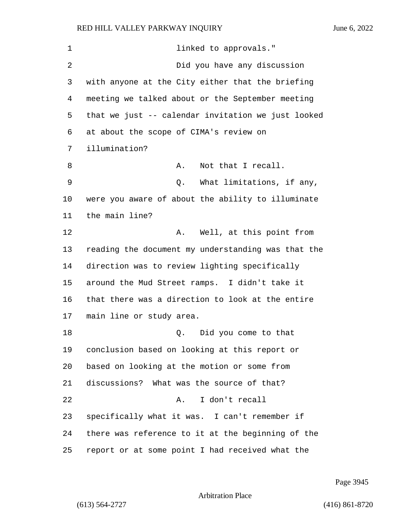| 1  | linked to approvals."                              |
|----|----------------------------------------------------|
| 2  | Did you have any discussion                        |
| 3  | with anyone at the City either that the briefing   |
| 4  | meeting we talked about or the September meeting   |
| 5  | that we just -- calendar invitation we just looked |
| 6  | at about the scope of CIMA's review on             |
| 7  | illumination?                                      |
| 8  | Not that I recall.<br>Α.                           |
| 9  | What limitations, if any,<br>Q.                    |
| 10 | were you aware of about the ability to illuminate  |
| 11 | the main line?                                     |
| 12 | Well, at this point from<br>Α.                     |
| 13 | reading the document my understanding was that the |
| 14 | direction was to review lighting specifically      |
| 15 | around the Mud Street ramps. I didn't take it      |
| 16 | that there was a direction to look at the entire   |
| 17 | main line or study area.                           |
| 18 | Did you come to that<br>Q.                         |
| 19 | conclusion based on looking at this report or      |
| 20 | based on looking at the motion or some from        |
| 21 | discussions? What was the source of that?          |
| 22 | I don't recall<br>Α.                               |
| 23 | specifically what it was. I can't remember if      |
| 24 | there was reference to it at the beginning of the  |
| 25 | report or at some point I had received what the    |

Page 3945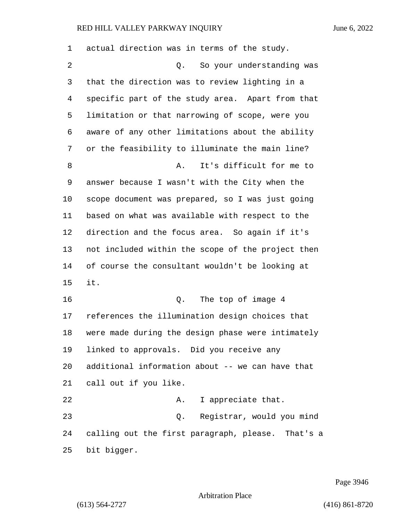| 1  | actual direction was in terms of the study.       |
|----|---------------------------------------------------|
| 2  | Q. So your understanding was                      |
| 3  | that the direction was to review lighting in a    |
| 4  | specific part of the study area. Apart from that  |
| 5  | limitation or that narrowing of scope, were you   |
| 6  | aware of any other limitations about the ability  |
| 7  | or the feasibility to illuminate the main line?   |
| 8  | It's difficult for me to<br>Α.                    |
| 9  | answer because I wasn't with the City when the    |
| 10 | scope document was prepared, so I was just going  |
| 11 | based on what was available with respect to the   |
| 12 | direction and the focus area. So again if it's    |
| 13 | not included within the scope of the project then |
| 14 | of course the consultant wouldn't be looking at   |
| 15 | it.                                               |
| 16 | Q. The top of image 4                             |
| 17 | references the illumination design choices that   |
| 18 | were made during the design phase were intimately |
| 19 | linked to approvals. Did you receive any          |
| 20 | additional information about -- we can have that  |
| 21 | call out if you like.                             |
| 22 | I appreciate that.<br>Α.                          |
| 23 | Registrar, would you mind<br>Q.                   |
| 24 | calling out the first paragraph, please. That's a |
| 25 | bit bigger.                                       |

Page 3946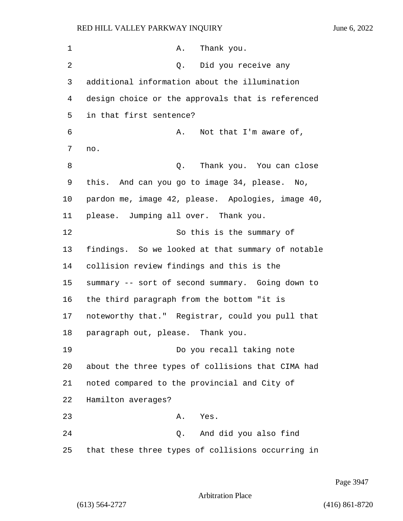| 1       | Thank you.<br>Α.                                  |
|---------|---------------------------------------------------|
| 2       | Did you receive any<br>Q.                         |
| 3       | additional information about the illumination     |
| 4       | design choice or the approvals that is referenced |
| 5       | in that first sentence?                           |
| 6       | Not that I'm aware of,<br>Α.                      |
| 7       | no.                                               |
| 8       | Thank you. You can close<br>Q.                    |
| 9       | this. And can you go to image 34, please. No,     |
| $10 \,$ | pardon me, image 42, please. Apologies, image 40, |
| 11      | please. Jumping all over. Thank you.              |
| 12      | So this is the summary of                         |
| 13      | findings. So we looked at that summary of notable |
| 14      | collision review findings and this is the         |
| 15      | summary -- sort of second summary. Going down to  |
| 16      | the third paragraph from the bottom "it is        |
| 17      | noteworthy that." Registrar, could you pull that  |
| 18      | paragraph out, please. Thank you.                 |
| 19      | Do you recall taking note                         |
| 20      | about the three types of collisions that CIMA had |
| 21      | noted compared to the provincial and City of      |
| 22      | Hamilton averages?                                |
| 23      | Yes.<br>Α.                                        |
| 24      | Q. And did you also find                          |
| 25      | that these three types of collisions occurring in |

Page 3947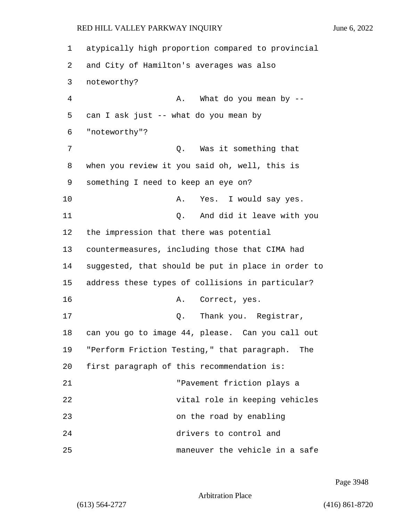1 atypically high proportion compared to provincial 2 and City of Hamilton's averages was also 3 noteworthy? 4 A. What do you mean by -- 5 can I ask just -- what do you mean by 6 "noteworthy"? 7 Q. Was it something that 8 when you review it you said oh, well, this is 9 something I need to keep an eye on? 10 A. Yes. I would say yes. 11 Q. And did it leave with you 12 the impression that there was potential 13 countermeasures, including those that CIMA had 14 suggested, that should be put in place in order to 15 address these types of collisions in particular? 16 A. Correct, yes. 17 and Q. Thank you. Registrar, 18 can you go to image 44, please. Can you call out 19 "Perform Friction Testing," that paragraph. The 20 first paragraph of this recommendation is: 21 "Pavement friction plays a 22 vital role in keeping vehicles 23 on the road by enabling 24 drivers to control and 25 maneuver the vehicle in a safe

Page 3948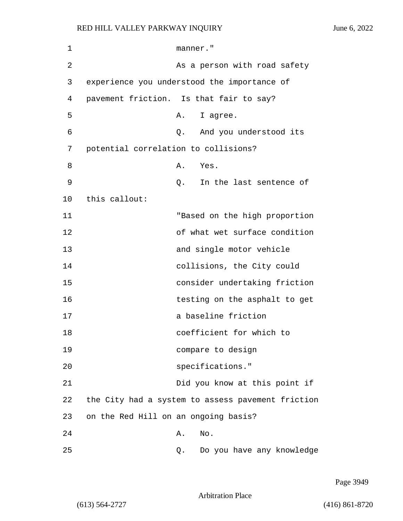| 1  | manner."                                          |                               |  |
|----|---------------------------------------------------|-------------------------------|--|
| 2  |                                                   | As a person with road safety  |  |
| 3  | experience you understood the importance of       |                               |  |
| 4  | pavement friction. Is that fair to say?           |                               |  |
| 5  | Α.                                                | I agree.                      |  |
| 6  | Q.                                                | And you understood its        |  |
| 7  | potential correlation to collisions?              |                               |  |
| 8  | Α.                                                | Yes.                          |  |
| 9  | Q.                                                | In the last sentence of       |  |
| 10 | this callout:                                     |                               |  |
| 11 |                                                   | "Based on the high proportion |  |
| 12 |                                                   | of what wet surface condition |  |
| 13 |                                                   | and single motor vehicle      |  |
| 14 |                                                   | collisions, the City could    |  |
| 15 |                                                   | consider undertaking friction |  |
| 16 |                                                   | testing on the asphalt to get |  |
| 17 |                                                   | a baseline friction           |  |
| 18 |                                                   | coefficient for which to      |  |
| 19 |                                                   | compare to design             |  |
| 20 |                                                   | specifications."              |  |
| 21 |                                                   | Did you know at this point if |  |
| 22 | the City had a system to assess pavement friction |                               |  |
| 23 | on the Red Hill on an ongoing basis?              |                               |  |
| 24 | Α.                                                | No.                           |  |
| 25 | Q.                                                | Do you have any knowledge     |  |

Page 3949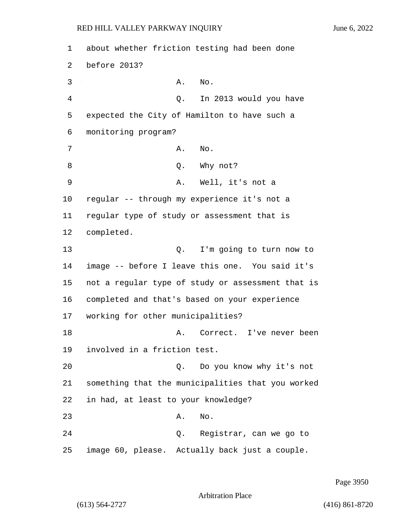2 before 2013?

1 about whether friction testing had been done 3 A. No. 4 Q. In 2013 would you have 5 expected the City of Hamilton to have such a

6 monitoring program? 7 A. No. 8 Q. Why not? 9 A. Well, it's not a 10 regular -- through my experience it's not a 11 regular type of study or assessment that is 12 completed. 13 Q. I'm going to turn now to 14 image -- before I leave this one. You said it's 15 not a regular type of study or assessment that is 16 completed and that's based on your experience 17 working for other municipalities? 18 A. Correct. I've never been 19 involved in a friction test. 20 Q. Do you know why it's not 21 something that the municipalities that you worked 22 in had, at least to your knowledge? 23 A. No. 24 Q. Registrar, can we go to 25 image 60, please. Actually back just a couple.

Page 3950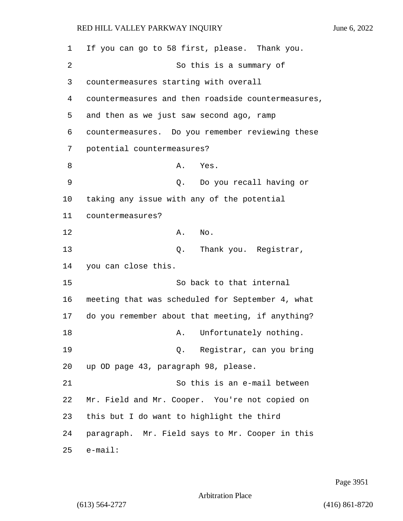| 1  | If you can go to 58 first, please. Thank you.      |
|----|----------------------------------------------------|
| 2  | So this is a summary of                            |
| 3  | countermeasures starting with overall              |
| 4  | countermeasures and then roadside countermeasures, |
| 5  | and then as we just saw second ago, ramp           |
| 6  | countermeasures. Do you remember reviewing these   |
| 7  | potential countermeasures?                         |
| 8  | A. Yes.                                            |
| 9  | Do you recall having or<br>Q.                      |
| 10 | taking any issue with any of the potential         |
| 11 | countermeasures?                                   |
| 12 | Α.<br>No.                                          |
| 13 | Thank you. Registrar,<br>Q.                        |
| 14 | you can close this.                                |
| 15 | So back to that internal                           |
| 16 | meeting that was scheduled for September 4, what   |
| 17 | do you remember about that meeting, if anything?   |
| 18 | Unfortunately nothing.<br>Α.                       |
| 19 | Q. Registrar, can you bring                        |
| 20 | up OD page 43, paragraph 98, please.               |
| 21 | So this is an e-mail between                       |
| 22 | Mr. Field and Mr. Cooper. You're not copied on     |
| 23 | this but I do want to highlight the third          |
| 24 | paragraph. Mr. Field says to Mr. Cooper in this    |
| 25 | $e$ -mail:                                         |

Page 3951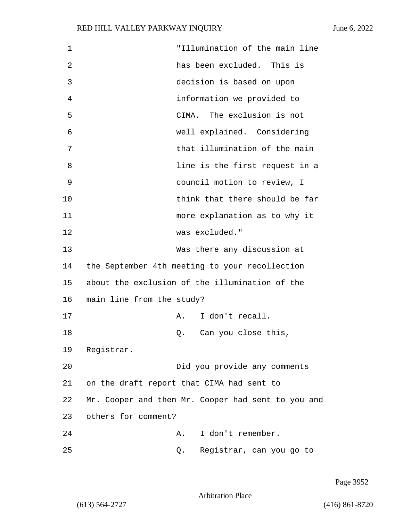| $\mathbf 1$ | "Illumination of the main line                     |  |
|-------------|----------------------------------------------------|--|
| 2           | has been excluded. This is                         |  |
| 3           | decision is based on upon                          |  |
| 4           | information we provided to                         |  |
| 5           | CIMA. The exclusion is not                         |  |
| 6           | well explained. Considering                        |  |
| 7           | that illumination of the main                      |  |
| 8           | line is the first request in a                     |  |
| 9           | council motion to review, I                        |  |
| 10          | think that there should be far                     |  |
| 11          | more explanation as to why it                      |  |
| 12          | was excluded."                                     |  |
| 13          | Was there any discussion at                        |  |
| 14          | the September 4th meeting to your recollection     |  |
| 15          | about the exclusion of the illumination of the     |  |
| 16          | main line from the study?                          |  |
| 17          | I don't recall.<br>Α.                              |  |
| 18          | Can you close this,<br>Q.                          |  |
| 19          | Registrar.                                         |  |
| 20          | Did you provide any comments                       |  |
| 21          | on the draft report that CIMA had sent to          |  |
| 22          | Mr. Cooper and then Mr. Cooper had sent to you and |  |
| 23          | others for comment?                                |  |
| 24          | I don't remember.<br>Α.                            |  |
| 25          | Registrar, can you go to<br>Q.                     |  |

Page 3952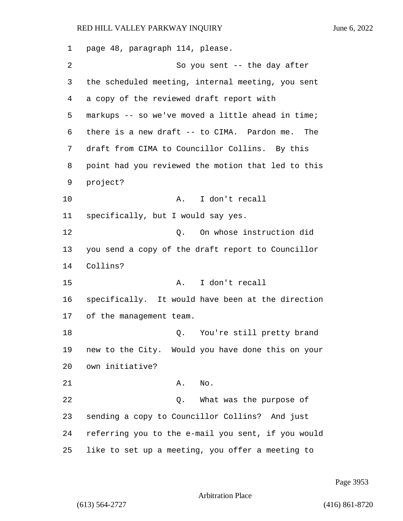page 48, paragraph 114, please. 2 So you sent -- the day after the scheduled meeting, internal meeting, you sent a copy of the reviewed draft report with markups -- so we've moved a little ahead in time; there is a new draft -- to CIMA. Pardon me. The draft from CIMA to Councillor Collins. By this point had you reviewed the motion that led to this project? 10 A. I don't recall specifically, but I would say yes. 12 Q. On whose instruction did you send a copy of the draft report to Councillor Collins? 15 A. I don't recall specifically. It would have been at the direction of the management team. 18 C. You're still pretty brand new to the City. Would you have done this on your own initiative? 21 A. No. 22 and 2. What was the purpose of sending a copy to Councillor Collins? And just referring you to the e-mail you sent, if you would like to set up a meeting, you offer a meeting to

Page 3953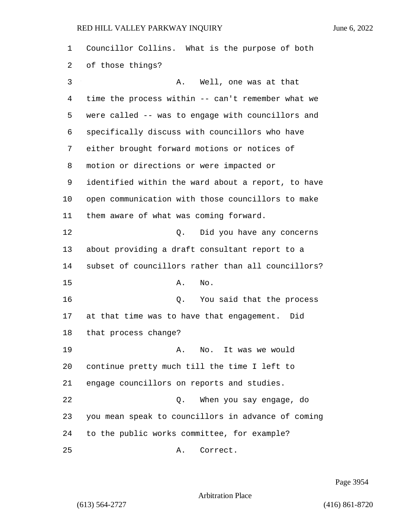Councillor Collins. What is the purpose of both of those things? 3 A. Well, one was at that time the process within -- can't remember what we were called -- was to engage with councillors and specifically discuss with councillors who have either brought forward motions or notices of motion or directions or were impacted or identified within the ward about a report, to have open communication with those councillors to make them aware of what was coming forward. 12 and 12 Q. Did you have any concerns about providing a draft consultant report to a subset of councillors rather than all councillors? 15 A. No. 16 Q. You said that the process at that time was to have that engagement. Did that process change? 19 A. No. It was we would continue pretty much till the time I left to engage councillors on reports and studies. 22 Q. When you say engage, do you mean speak to councillors in advance of coming to the public works committee, for example? 25 A. Correct.

Page 3954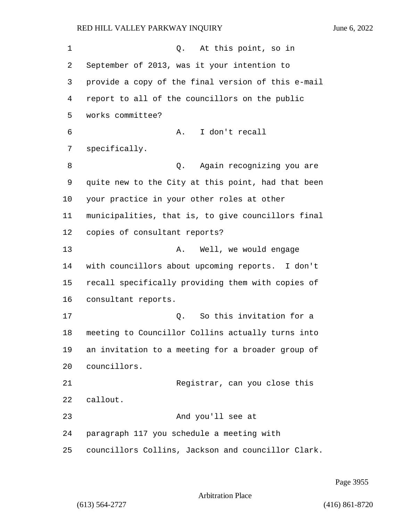1 and 0. At this point, so in September of 2013, was it your intention to provide a copy of the final version of this e-mail report to all of the councillors on the public works committee? 6 A. I don't recall specifically. 8 a. Again recognizing you are quite new to the City at this point, had that been your practice in your other roles at other municipalities, that is, to give councillors final copies of consultant reports? 13 A. Well, we would engage with councillors about upcoming reports. I don't recall specifically providing them with copies of consultant reports. 17 C. So this invitation for a meeting to Councillor Collins actually turns into an invitation to a meeting for a broader group of councillors. 21 Registrar, can you close this callout. 23 And you'll see at paragraph 117 you schedule a meeting with councillors Collins, Jackson and councillor Clark.

Page 3955

Arbitration Place

(613) 564-2727 (416) 861-8720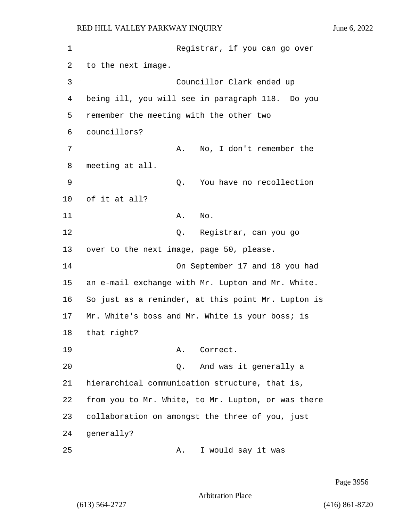1 Registrar, if you can go over 2 to the next image. 3 Councillor Clark ended up 4 being ill, you will see in paragraph 118. Do you 5 remember the meeting with the other two 6 councillors? 7 A. No, I don't remember the 8 meeting at all. 9 Q. You have no recollection 10 of it at all? 11 A. No. 12 O. Registrar, can you go 13 over to the next image, page 50, please. 14 On September 17 and 18 you had 15 an e-mail exchange with Mr. Lupton and Mr. White. 16 So just as a reminder, at this point Mr. Lupton is 17 Mr. White's boss and Mr. White is your boss; is 18 that right? 19 A. Correct. 20 Q. And was it generally a 21 hierarchical communication structure, that is, 22 from you to Mr. White, to Mr. Lupton, or was there 23 collaboration on amongst the three of you, just 24 generally? 25 A. I would say it was

Page 3956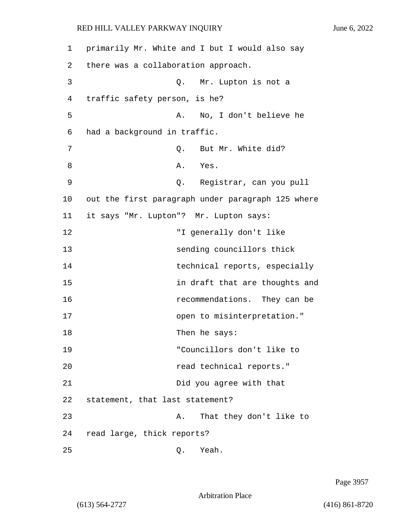1 primarily Mr. White and I but I would also say 2 there was a collaboration approach. 3 Q. Mr. Lupton is not a 4 traffic safety person, is he? 5 A. No, I don't believe he 6 had a background in traffic. 7 0. But Mr. White did? 8 A. Yes. 9 Q. Registrar, can you pull 10 out the first paragraph under paragraph 125 where 11 it says "Mr. Lupton"? Mr. Lupton says: 12 "I generally don't like 13 sending councillors thick 14 technical reports, especially 15 in draft that are thoughts and 16 recommendations. They can be 17 open to misinterpretation." 18 Then he says: 19 "Councillors don't like to 20 *read technical reports.* 21 Did you agree with that 22 statement, that last statement? 23 A. That they don't like to 24 read large, thick reports?

25 Q. Yeah.

Page 3957

Arbitration Place

(613) 564-2727 (416) 861-8720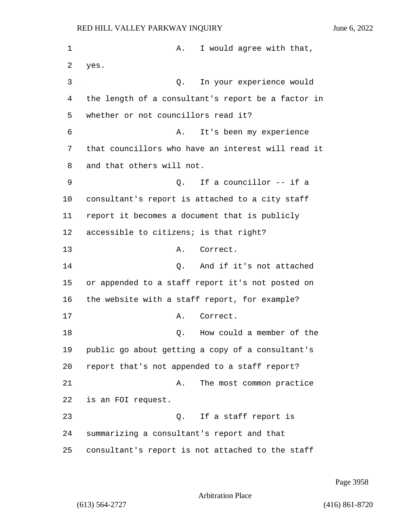1 A. I would agree with that, 2 yes. 3 Q. In your experience would 4 the length of a consultant's report be a factor in 5 whether or not councillors read it? 6 A. It's been my experience 7 that councillors who have an interest will read it 8 and that others will not. 9 Q. If a councillor -- if a 10 consultant's report is attached to a city staff 11 report it becomes a document that is publicly 12 accessible to citizens; is that right? 13 A. Correct. 14 Q. And if it's not attached 15 or appended to a staff report it's not posted on 16 the website with a staff report, for example? 17 A. Correct. 18 a member of the C. How could a member of the 19 public go about getting a copy of a consultant's 20 report that's not appended to a staff report? 21 A. The most common practice 22 is an FOI request. 23 Q. If a staff report is 24 summarizing a consultant's report and that 25 consultant's report is not attached to the staff

Page 3958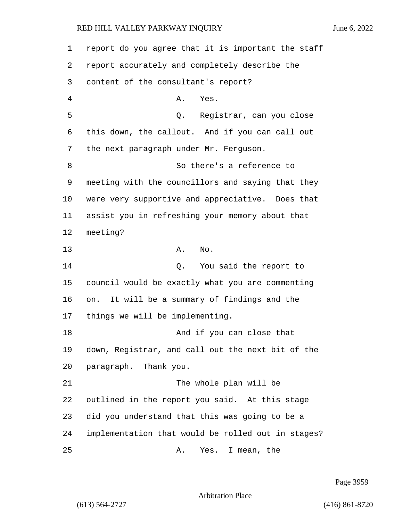| 1  | report do you agree that it is important the staff |
|----|----------------------------------------------------|
| 2  | report accurately and completely describe the      |
| 3  | content of the consultant's report?                |
| 4  | Α.<br>Yes.                                         |
| 5  | Registrar, can you close<br>Q.                     |
| 6  | this down, the callout. And if you can call out    |
| 7  | the next paragraph under Mr. Ferguson.             |
| 8  | So there's a reference to                          |
| 9  | meeting with the councillors and saying that they  |
| 10 | were very supportive and appreciative. Does that   |
| 11 | assist you in refreshing your memory about that    |
| 12 | meeting?                                           |
| 13 | Α.<br>No.                                          |
| 14 | You said the report to<br>Q.                       |
| 15 | council would be exactly what you are commenting   |
| 16 | It will be a summary of findings and the<br>on.    |
| 17 | things we will be implementing.                    |
| 18 | And if you can close that                          |
| 19 | down, Registrar, and call out the next bit of the  |
| 20 | paragraph. Thank you.                              |
| 21 | The whole plan will be                             |
| 22 | outlined in the report you said. At this stage     |
| 23 | did you understand that this was going to be a     |
| 24 | implementation that would be rolled out in stages? |
| 25 | Yes. I mean, the<br>Α.                             |

Page 3959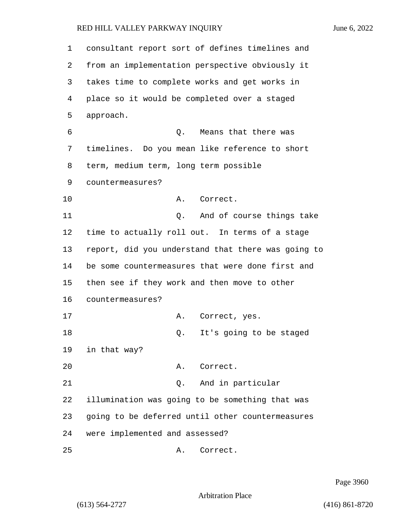| $\mathbf 1$ | consultant report sort of defines timelines and    |
|-------------|----------------------------------------------------|
| 2           | from an implementation perspective obviously it    |
| 3           | takes time to complete works and get works in      |
| 4           | place so it would be completed over a staged       |
| 5           | approach.                                          |
| 6           | Means that there was<br>Q.                         |
| 7           | timelines. Do you mean like reference to short     |
| 8           | term, medium term, long term possible              |
| 9           | countermeasures?                                   |
| 10          | Α.<br>Correct.                                     |
| 11          | And of course things take<br>Q.                    |
| 12          | time to actually roll out. In terms of a stage     |
| 13          | report, did you understand that there was going to |
| 14          | be some countermeasures that were done first and   |
| 15          | then see if they work and then move to other       |
| 16          | countermeasures?                                   |
| 17          | Α.<br>Correct, yes.                                |
| 18          | It's going to be staged<br>Q.                      |
| 19          | in that way?                                       |
| 20          | Correct.<br>Α.                                     |
| 21          | And in particular<br>Ο.                            |
| 22          | illumination was going to be something that was    |
| 23          | going to be deferred until other countermeasures   |
| 24          | were implemented and assessed?                     |
| 25          | Correct.<br>Α.                                     |

Page 3960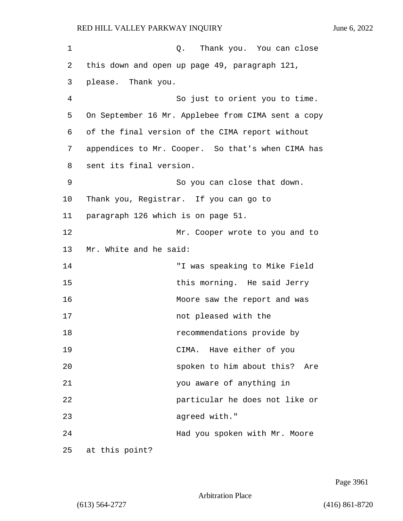| 1  | Q. Thank you. You can close                        |
|----|----------------------------------------------------|
| 2  | this down and open up page 49, paragraph 121,      |
| 3  | please. Thank you.                                 |
| 4  | So just to orient you to time.                     |
| 5  | On September 16 Mr. Applebee from CIMA sent a copy |
| 6  | of the final version of the CIMA report without    |
| 7  | appendices to Mr. Cooper. So that's when CIMA has  |
| 8  | sent its final version.                            |
| 9  | So you can close that down.                        |
| 10 | Thank you, Registrar. If you can go to             |
| 11 | paragraph 126 which is on page 51.                 |
| 12 | Mr. Cooper wrote to you and to                     |
| 13 | Mr. White and he said:                             |
| 14 | "I was speaking to Mike Field                      |
| 15 | this morning. He said Jerry                        |
| 16 | Moore saw the report and was                       |
| 17 | not pleased with the                               |
| 18 | recommendations provide by                         |
| 19 | CIMA. Have either of you                           |
| 20 | spoken to him about this?<br>Are                   |
| 21 | you aware of anything in                           |
| 22 | particular he does not like or                     |
| 23 | agreed with."                                      |
| 24 | Had you spoken with Mr. Moore                      |
| 25 | at this point?                                     |

Page 3961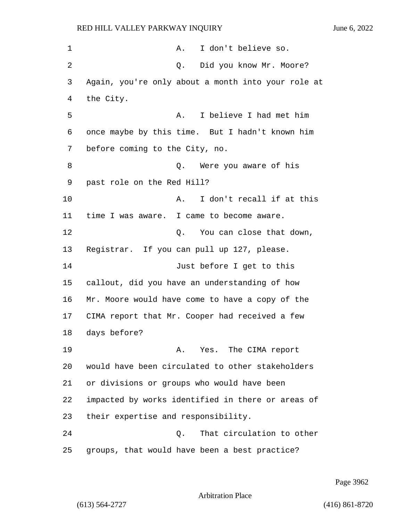1 A. I don't believe so. 2 Q. Did you know Mr. Moore? Again, you're only about a month into your role at the City. 5 A. I believe I had met him once maybe by this time. But I hadn't known him before coming to the City, no. 8 a Q. Were you aware of his past role on the Red Hill? **A.** I don't recall if at this time I was aware. I came to become aware. 12 C. You can close that down, Registrar. If you can pull up 127, please. 14 Just before I get to this callout, did you have an understanding of how Mr. Moore would have come to have a copy of the CIMA report that Mr. Cooper had received a few days before? 19 A. Yes. The CIMA report would have been circulated to other stakeholders or divisions or groups who would have been impacted by works identified in there or areas of their expertise and responsibility. 24 Q. That circulation to other groups, that would have been a best practice?

Page 3962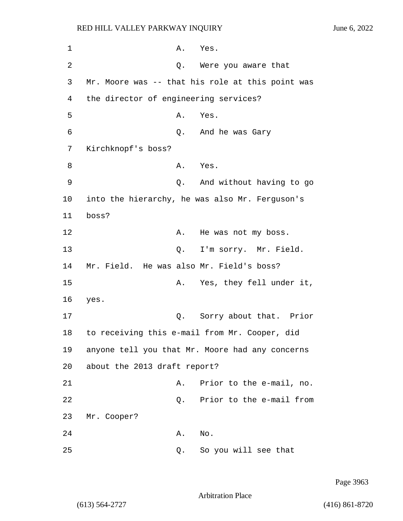1 A. Yes. 2 Q. Were you aware that 3 Mr. Moore was -- that his role at this point was 4 the director of engineering services? 5 A. Yes. 6 Q. And he was Gary 7 Kirchknopf's boss? 8 A. Yes. 9 Q. And without having to go 10 into the hierarchy, he was also Mr. Ferguson's 11 boss? 12 A. He was not my boss. 13 Q. I'm sorry. Mr. Field. 14 Mr. Field. He was also Mr. Field's boss? 15 A. Yes, they fell under it, 16 yes. 17 Q. Sorry about that. Prior 18 to receiving this e-mail from Mr. Cooper, did 19 anyone tell you that Mr. Moore had any concerns 20 about the 2013 draft report? 21 A. Prior to the e-mail, no. 22 Q. Prior to the e-mail from 23 Mr. Cooper? 24 A. No. 25 Q. So you will see that

Page 3963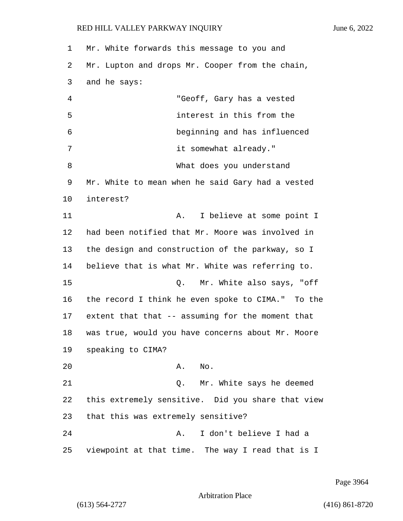| 1  | Mr. White forwards this message to you and        |
|----|---------------------------------------------------|
| 2  | Mr. Lupton and drops Mr. Cooper from the chain,   |
| 3  | and he says:                                      |
| 4  | "Geoff, Gary has a vested                         |
| 5  | interest in this from the                         |
| 6  | beginning and has influenced                      |
| 7  | it somewhat already."                             |
| 8  | What does you understand                          |
| 9  | Mr. White to mean when he said Gary had a vested  |
| 10 | interest?                                         |
| 11 | I believe at some point I<br>Α.                   |
| 12 | had been notified that Mr. Moore was involved in  |
| 13 | the design and construction of the parkway, so I  |
| 14 | believe that is what Mr. White was referring to.  |
| 15 | Mr. White also says, "off<br>Q.                   |
| 16 | the record I think he even spoke to CIMA." To the |
| 17 | extent that that -- assuming for the moment that  |
| 18 | was true, would you have concerns about Mr. Moore |
| 19 | speaking to CIMA?                                 |
| 20 | No.<br>Α.                                         |
| 21 | Mr. White says he deemed<br>Q.                    |
| 22 | this extremely sensitive. Did you share that view |
| 23 | that this was extremely sensitive?                |
| 24 | I don't believe I had a<br>Α.                     |
| 25 | viewpoint at that time. The way I read that is I  |

Page 3964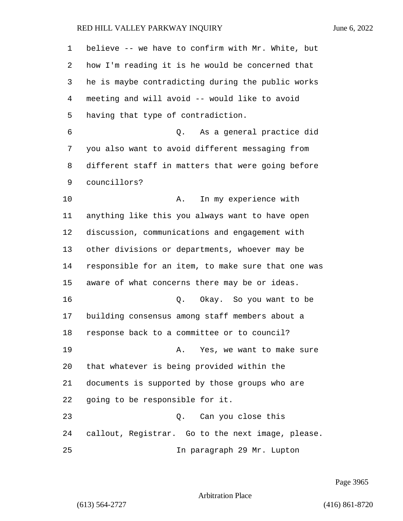| 1  | believe -- we have to confirm with Mr. White, but  |
|----|----------------------------------------------------|
| 2  | how I'm reading it is he would be concerned that   |
| 3  | he is maybe contradicting during the public works  |
| 4  | meeting and will avoid -- would like to avoid      |
| 5  | having that type of contradiction.                 |
| 6  | As a general practice did<br>Q.                    |
| 7  | you also want to avoid different messaging from    |
| 8  | different staff in matters that were going before  |
| 9  | councillors?                                       |
| 10 | In my experience with<br>Α.                        |
| 11 | anything like this you always want to have open    |
| 12 | discussion, communications and engagement with     |
| 13 | other divisions or departments, whoever may be     |
| 14 | responsible for an item, to make sure that one was |
| 15 | aware of what concerns there may be or ideas.      |
| 16 | Okay. So you want to be<br>Q.                      |
| 17 | building consensus among staff members about a     |
| 18 | response back to a committee or to council?        |
| 19 | A. Yes, we want to make sure                       |
| 20 | that whatever is being provided within the         |
| 21 | documents is supported by those groups who are     |
| 22 | going to be responsible for it.                    |
| 23 | Q. Can you close this                              |
| 24 | callout, Registrar. Go to the next image, please.  |
| 25 | In paragraph 29 Mr. Lupton                         |

Page 3965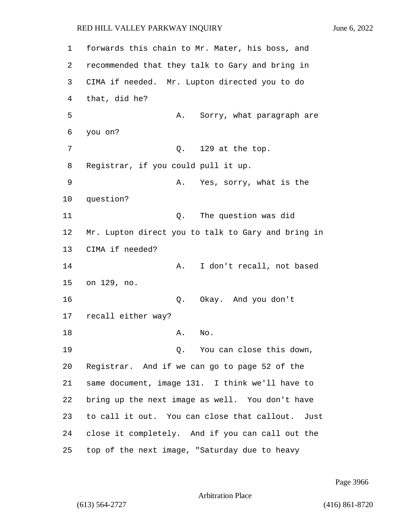forwards this chain to Mr. Mater, his boss, and recommended that they talk to Gary and bring in CIMA if needed. Mr. Lupton directed you to do that, did he? 5 A. Sorry, what paragraph are 6 you on? 7 0. 129 at the top. Registrar, if you could pull it up. 9 A. Yes, sorry, what is the question? 11 Q. The question was did Mr. Lupton direct you to talk to Gary and bring in CIMA if needed? 14 A. I don't recall, not based on 129, no. 16 Q. Okay. And you don't recall either way? 18 A. No. 19 Q. You can close this down, Registrar. And if we can go to page 52 of the same document, image 131. I think we'll have to bring up the next image as well. You don't have to call it out. You can close that callout. Just close it completely. And if you can call out the top of the next image, "Saturday due to heavy

Page 3966

Arbitration Place

(613) 564-2727 (416) 861-8720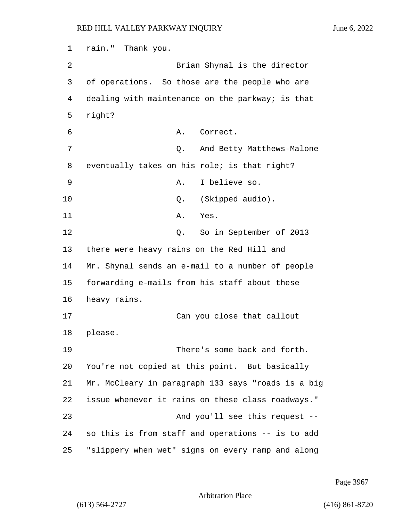1 rain." Thank you. 2 Brian Shynal is the director 3 of operations. So those are the people who are 4 dealing with maintenance on the parkway; is that 5 right? 6 A. Correct. 7 C. And Betty Matthews-Malone 8 eventually takes on his role; is that right? 9 A. I believe so. 10 Q. (Skipped audio). 11 A. Yes. 12 O. So in September of 2013 13 there were heavy rains on the Red Hill and 14 Mr. Shynal sends an e-mail to a number of people 15 forwarding e-mails from his staff about these 16 heavy rains. 17 Can you close that callout 18 please. 19 There's some back and forth. 20 You're not copied at this point. But basically 21 Mr. McCleary in paragraph 133 says "roads is a big 22 issue whenever it rains on these class roadways." 23 And you'll see this request -- 24 so this is from staff and operations -- is to add 25 "slippery when wet" signs on every ramp and along

Page 3967

Arbitration Place

(613) 564-2727 (416) 861-8720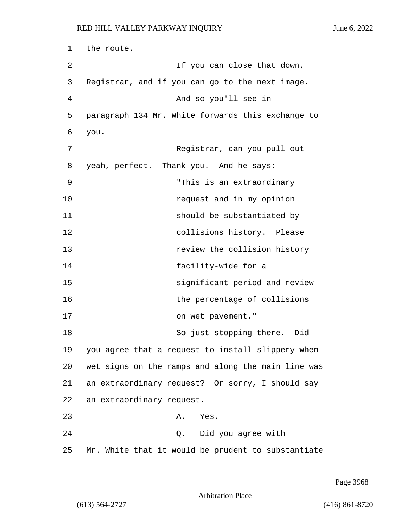1 the route. 2 If you can close that down, 3 Registrar, and if you can go to the next image. 4 And so you'll see in 5 paragraph 134 Mr. White forwards this exchange to 6 you. 7 Registrar, can you pull out -- 8 yeah, perfect. Thank you. And he says: 9 "This is an extraordinary 10 **request** and in my opinion 11 **should be substantiated by** 12 collisions history. Please 13 **13 review the collision history** 14 facility-wide for a 15 significant period and review 16 the percentage of collisions 17 on wet pavement." 18 So just stopping there. Did 19 you agree that a request to install slippery when 20 wet signs on the ramps and along the main line was 21 an extraordinary request? Or sorry, I should say 22 an extraordinary request. 23 A. Yes. 24 Q. Did you agree with 25 Mr. White that it would be prudent to substantiate

Arbitration Place

(613) 564-2727 (416) 861-8720

Page 3968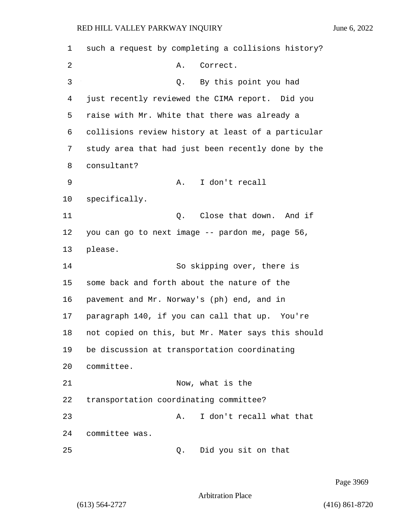such a request by completing a collisions history? 2 A. Correct. 3 Q. By this point you had just recently reviewed the CIMA report. Did you raise with Mr. White that there was already a collisions review history at least of a particular study area that had just been recently done by the consultant? 9 A. I don't recall specifically. **11** Q. Close that down. And if you can go to next image -- pardon me, page 56, please. 14 So skipping over, there is some back and forth about the nature of the pavement and Mr. Norway's (ph) end, and in paragraph 140, if you can call that up. You're not copied on this, but Mr. Mater says this should be discussion at transportation coordinating committee. 21 Now, what is the transportation coordinating committee? 23 A. I don't recall what that committee was. 25 Q. Did you sit on that

Page 3969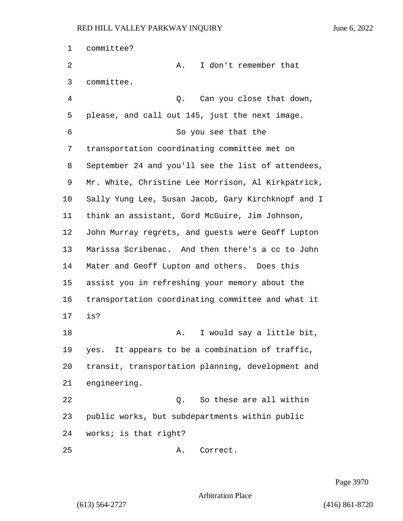committee? 2 A. I don't remember that committee. 4 Q. Can you close that down, please, and call out 145, just the next image. 6 So you see that the transportation coordinating committee met on September 24 and you'll see the list of attendees, Mr. White, Christine Lee Morrison, Al Kirkpatrick, Sally Yung Lee, Susan Jacob, Gary Kirchknopf and I think an assistant, Gord McGuire, Jim Johnson, John Murray regrets, and guests were Geoff Lupton Marissa Scribenac. And then there's a cc to John Mater and Geoff Lupton and others. Does this assist you in refreshing your memory about the transportation coordinating committee and what it is? 18 A. I would say a little bit, yes. It appears to be a combination of traffic, transit, transportation planning, development and engineering. 22 Q. So these are all within public works, but subdepartments within public works; is that right? 25 A. Correct.

Page 3970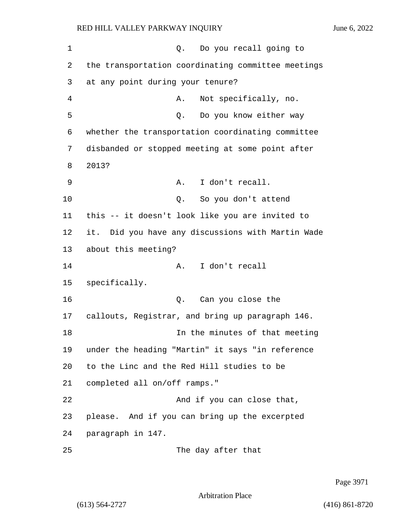1 and 1 Q. Do you recall going to 2 the transportation coordinating committee meetings 3 at any point during your tenure? 4 A. Not specifically, no. 5 Q. Do you know either way 6 whether the transportation coordinating committee 7 disbanded or stopped meeting at some point after 8 2013? 9 A. I don't recall. 10 Q. So you don't attend 11 this -- it doesn't look like you are invited to 12 it. Did you have any discussions with Martin Wade 13 about this meeting? 14 A. I don't recall 15 specifically. 16 Q. Can you close the 17 callouts, Registrar, and bring up paragraph 146. 18 In the minutes of that meeting 19 under the heading "Martin" it says "in reference 20 to the Linc and the Red Hill studies to be 21 completed all on/off ramps." 22 And if you can close that, 23 please. And if you can bring up the excerpted 24 paragraph in 147. 25 The day after that

Page 3971

Arbitration Place

(613) 564-2727 (416) 861-8720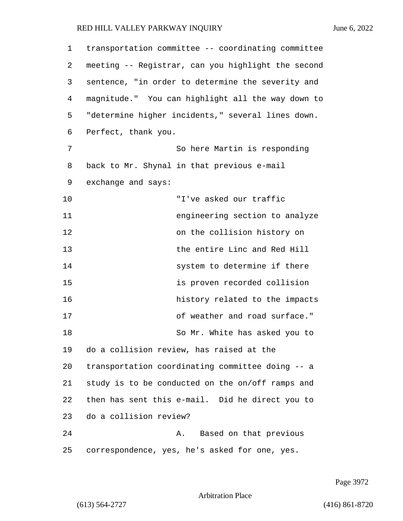| 1  | transportation committee -- coordinating committee |
|----|----------------------------------------------------|
| 2  | meeting -- Registrar, can you highlight the second |
| 3  | sentence, "in order to determine the severity and  |
| 4  | magnitude." You can highlight all the way down to  |
| 5  | "determine higher incidents," several lines down.  |
| 6  | Perfect, thank you.                                |
| 7  | So here Martin is responding                       |
| 8  | back to Mr. Shynal in that previous e-mail         |
| 9  | exchange and says:                                 |
| 10 | "I've asked our traffic                            |
| 11 | engineering section to analyze                     |
| 12 | on the collision history on                        |
| 13 | the entire Linc and Red Hill                       |
| 14 | system to determine if there                       |
| 15 | is proven recorded collision                       |
| 16 | history related to the impacts                     |
| 17 | of weather and road surface."                      |
| 18 | So Mr. White has asked you to                      |
| 19 | do a collision review, has raised at the           |
| 20 | transportation coordinating committee doing -- a   |
| 21 | study is to be conducted on the on/off ramps and   |
| 22 | then has sent this e-mail. Did he direct you to    |
| 23 | do a collision review?                             |
| 24 | Based on that previous<br>Α.                       |
| 25 | correspondence, yes, he's asked for one, yes.      |

Page 3972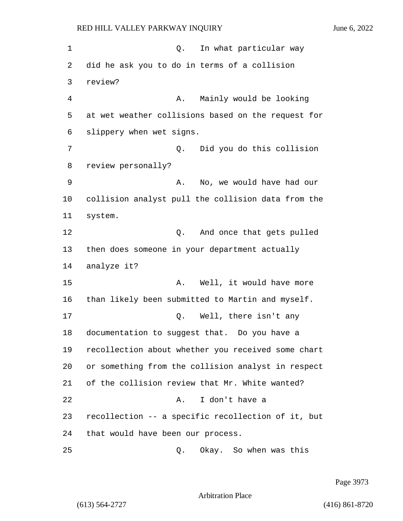1 and 1 Q. In what particular way 2 did he ask you to do in terms of a collision 3 review? 4 A. Mainly would be looking 5 at wet weather collisions based on the request for 6 slippery when wet signs. 7 Q. Did you do this collision 8 review personally? 9 A. No, we would have had our 10 collision analyst pull the collision data from the 11 system. 12 and once that gets pulled 13 then does someone in your department actually 14 analyze it? 15 A. Well, it would have more 16 than likely been submitted to Martin and myself. 17 0. Well, there isn't any 18 documentation to suggest that. Do you have a 19 recollection about whether you received some chart 20 or something from the collision analyst in respect 21 of the collision review that Mr. White wanted? 22 A. I don't have a 23 recollection -- a specific recollection of it, but 24 that would have been our process. 25 Q. Okay. So when was this

Page 3973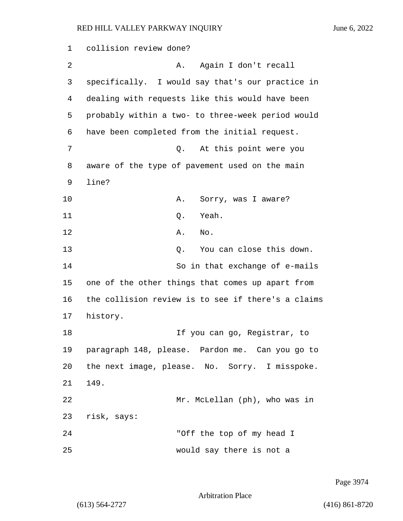1 collision review done? 2 A. Again I don't recall 3 specifically. I would say that's our practice in 4 dealing with requests like this would have been 5 probably within a two- to three-week period would 6 have been completed from the initial request. 7 Q. At this point were you 8 aware of the type of pavement used on the main 9 line? 10 A. Sorry, was I aware? 11 Q. Yeah. 12 A. No. 13 C. You can close this down. 14 So in that exchange of e-mails 15 one of the other things that comes up apart from 16 the collision review is to see if there's a claims 17 history. 18 **If you can go, Registrar, to** 19 paragraph 148, please. Pardon me. Can you go to 20 the next image, please. No. Sorry. I misspoke. 21 149. 22 Mr. McLellan (ph), who was in 23 risk, says: 24 "Off the top of my head I 25 would say there is not a

Page 3974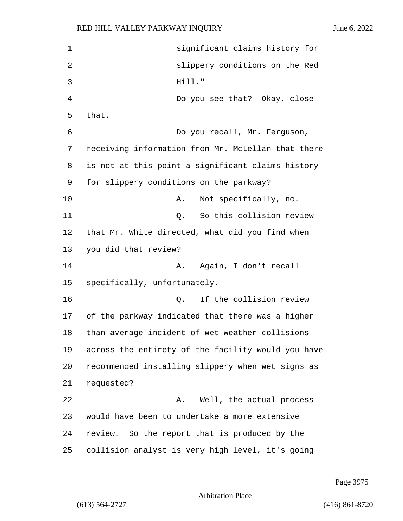| 1  | significant claims history for                     |
|----|----------------------------------------------------|
| 2  | slippery conditions on the Red                     |
| 3  | Hill."                                             |
| 4  | Do you see that? Okay, close                       |
| 5  | that.                                              |
| 6  | Do you recall, Mr. Ferguson,                       |
| 7  | receiving information from Mr. McLellan that there |
| 8  | is not at this point a significant claims history  |
| 9  | for slippery conditions on the parkway?            |
| 10 | Not specifically, no.<br>Α.                        |
| 11 | So this collision review<br>Q.                     |
| 12 | that Mr. White directed, what did you find when    |
| 13 | you did that review?                               |
| 14 | Again, I don't recall<br>Α.                        |
| 15 | specifically, unfortunately.                       |
| 16 | If the collision review<br>$Q$ .                   |
| 17 | of the parkway indicated that there was a higher   |
| 18 | than average incident of wet weather collisions    |
| 19 | across the entirety of the facility would you have |
| 20 | recommended installing slippery when wet signs as  |
| 21 | requested?                                         |
| 22 | Well, the actual process<br>Α.                     |
| 23 | would have been to undertake a more extensive      |
| 24 | review. So the report that is produced by the      |
| 25 | collision analyst is very high level, it's going   |

Page 3975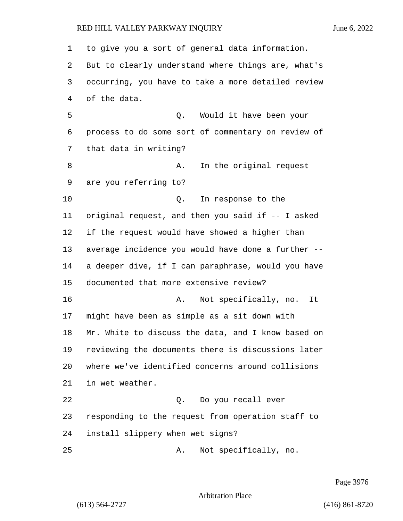to give you a sort of general data information. But to clearly understand where things are, what's occurring, you have to take a more detailed review of the data. 5 Q. Would it have been your process to do some sort of commentary on review of that data in writing? 8 A. In the original request are you referring to? 10 Q. In response to the original request, and then you said if -- I asked if the request would have showed a higher than average incidence you would have done a further -- a deeper dive, if I can paraphrase, would you have documented that more extensive review? **A.** Not specifically, no. It might have been as simple as a sit down with Mr. White to discuss the data, and I know based on reviewing the documents there is discussions later where we've identified concerns around collisions in wet weather. 22 Q. Do you recall ever responding to the request from operation staff to install slippery when wet signs? 25 A. Not specifically, no.

Page 3976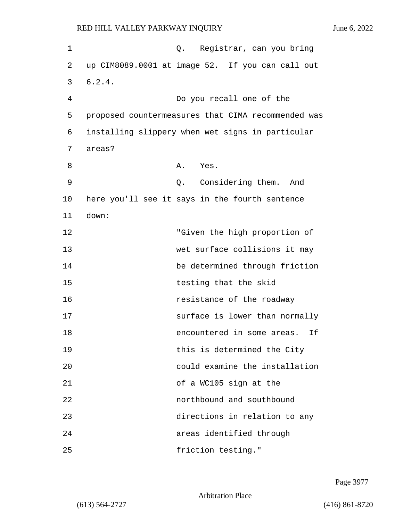| $\mathbf 1$ |                                                    | Q. Registrar, can you bring    |                                |  |     |    |
|-------------|----------------------------------------------------|--------------------------------|--------------------------------|--|-----|----|
| 2           | up CIM8089.0001 at image 52. If you can call out   |                                |                                |  |     |    |
| 3           | 6.2.4.                                             |                                |                                |  |     |    |
| 4           |                                                    | Do you recall one of the       |                                |  |     |    |
| 5           | proposed countermeasures that CIMA recommended was |                                |                                |  |     |    |
| 6           | installing slippery when wet signs in particular   |                                |                                |  |     |    |
| 7           | areas?                                             |                                |                                |  |     |    |
| 8           |                                                    | A. Yes.                        |                                |  |     |    |
| 9           |                                                    | Q. Considering them.           |                                |  | And |    |
| 10          | here you'll see it says in the fourth sentence     |                                |                                |  |     |    |
| 11          | down:                                              |                                |                                |  |     |    |
| 12          |                                                    |                                | "Given the high proportion of  |  |     |    |
| 13          |                                                    | wet surface collisions it may  |                                |  |     |    |
| 14          |                                                    | be determined through friction |                                |  |     |    |
| 15          |                                                    |                                | testing that the skid          |  |     |    |
| 16          |                                                    |                                | resistance of the roadway      |  |     |    |
| 17          |                                                    |                                | surface is lower than normally |  |     |    |
| 18          |                                                    |                                | encountered in some areas.     |  |     | Ιf |
| 19          |                                                    |                                | this is determined the City    |  |     |    |
| 20          |                                                    |                                | could examine the installation |  |     |    |
| 21          |                                                    | of a WC105 sign at the         |                                |  |     |    |
| 22          |                                                    | northbound and southbound      |                                |  |     |    |
| 23          |                                                    | directions in relation to any  |                                |  |     |    |
| 24          |                                                    | areas identified through       |                                |  |     |    |
| 25          |                                                    |                                | friction testing."             |  |     |    |

Page 3977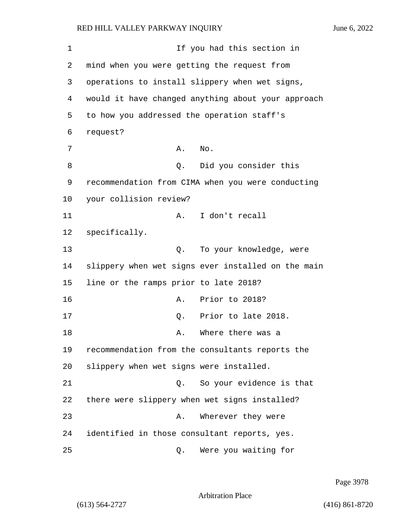1 If you had this section in 2 mind when you were getting the request from 3 operations to install slippery when wet signs, 4 would it have changed anything about your approach 5 to how you addressed the operation staff's 6 request? 7 A. No. 8 and 2. Did you consider this 9 recommendation from CIMA when you were conducting 10 your collision review? 11 A. I don't recall 12 specifically. 13 Q. To your knowledge, were 14 slippery when wet signs ever installed on the main 15 line or the ramps prior to late 2018? 16 **A.** Prior to 2018? 17 Q. Prior to late 2018. 18 A. Where there was a 19 recommendation from the consultants reports the 20 slippery when wet signs were installed. 21 C. So your evidence is that 22 there were slippery when wet signs installed? 23 A. Wherever they were 24 identified in those consultant reports, yes. 25 Q. Were you waiting for

Page 3978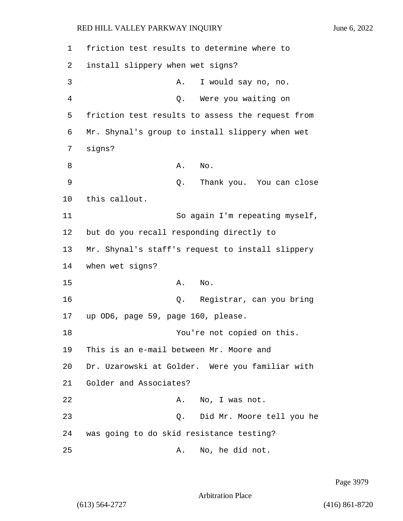1 friction test results to determine where to 2 install slippery when wet signs? 3 A. I would say no, no. 4 Q. Were you waiting on 5 friction test results to assess the request from 6 Mr. Shynal's group to install slippery when wet 7 signs? 8 A. No. 9 Q. Thank you. You can close 10 this callout. 11 So again I'm repeating myself, 12 but do you recall responding directly to 13 Mr. Shynal's staff's request to install slippery 14 when wet signs? 15 A. No. 16 Q. Registrar, can you bring 17 up OD6, page 59, page 160, please. 18 You're not copied on this. 19 This is an e-mail between Mr. Moore and 20 Dr. Uzarowski at Golder. Were you familiar with 21 Golder and Associates? 22 A. No, I was not. 23 Q. Did Mr. Moore tell you he 24 was going to do skid resistance testing? 25 A. No, he did not.

Page 3979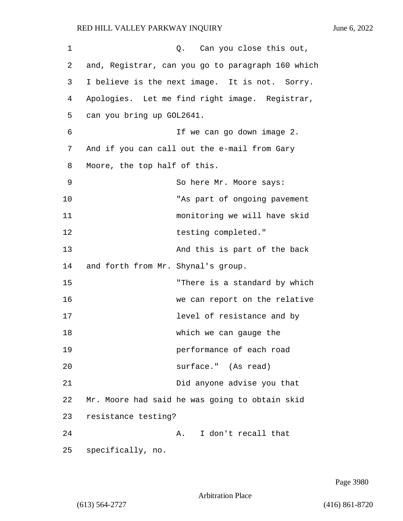| 1  |                                    | Q. Can you close this out,                        |
|----|------------------------------------|---------------------------------------------------|
| 2  |                                    | and, Registrar, can you go to paragraph 160 which |
| 3  |                                    | I believe is the next image. It is not. Sorry.    |
| 4  |                                    | Apologies. Let me find right image. Registrar,    |
| 5  | can you bring up GOL2641.          |                                                   |
| 6  |                                    | If we can go down image 2.                        |
| 7  |                                    | And if you can call out the e-mail from Gary      |
| 8  | Moore, the top half of this.       |                                                   |
| 9  |                                    | So here Mr. Moore says:                           |
| 10 |                                    | "As part of ongoing pavement                      |
| 11 |                                    | monitoring we will have skid                      |
| 12 |                                    | testing completed."                               |
| 13 |                                    | And this is part of the back                      |
| 14 | and forth from Mr. Shynal's group. |                                                   |
| 15 |                                    | "There is a standard by which                     |
| 16 |                                    | we can report on the relative                     |
| 17 |                                    | level of resistance and by                        |
| 18 |                                    | which we can gauge the                            |
| 19 |                                    | performance of each road                          |
| 20 |                                    | surface." (As read)                               |
| 21 |                                    | Did anyone advise you that                        |
| 22 |                                    | Mr. Moore had said he was going to obtain skid    |
| 23 | resistance testing?                |                                                   |
| 24 |                                    | I don't recall that<br>Α.                         |
| 25 | specifically, no.                  |                                                   |

Page 3980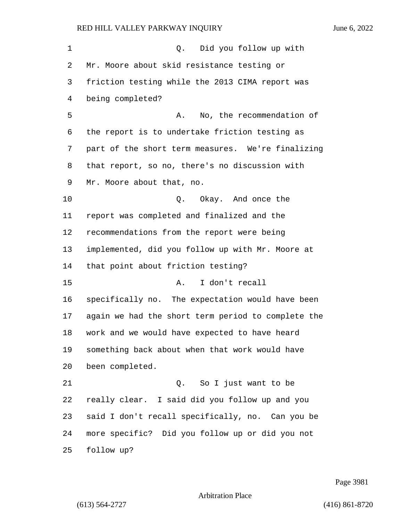| 1       | Did you follow up with<br>Q.                       |
|---------|----------------------------------------------------|
| 2       | Mr. Moore about skid resistance testing or         |
| 3       | friction testing while the 2013 CIMA report was    |
| 4       | being completed?                                   |
| 5       | No, the recommendation of<br>Α.                    |
| 6       | the report is to undertake friction testing as     |
| 7       | part of the short term measures. We're finalizing  |
| 8       | that report, so no, there's no discussion with     |
| 9       | Mr. Moore about that, no.                          |
| $10 \,$ | Q. Okay. And once the                              |
| 11      | report was completed and finalized and the         |
| 12      | recommendations from the report were being         |
| 13      | implemented, did you follow up with Mr. Moore at   |
| 14      | that point about friction testing?                 |
| 15      | I don't recall<br>Α.                               |
| 16      | specifically no. The expectation would have been   |
| 17      | again we had the short term period to complete the |
| 18      | work and we would have expected to have heard      |
| 19      | something back about when that work would have     |
| 20      | been completed.                                    |
| 21      | Q. So I just want to be                            |
| 22      | really clear. I said did you follow up and you     |
| 23      | said I don't recall specifically, no. Can you be   |
| 24      | more specific? Did you follow up or did you not    |
| 25      | follow up?                                         |

Page 3981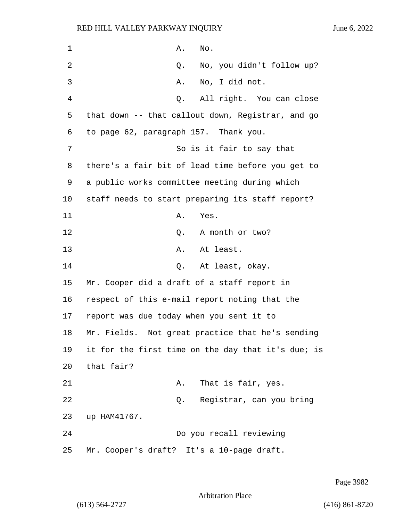1 **A.** No. 2 Q. No, you didn't follow up? 3 A. No, I did not. 4 Q. All right. You can close 5 that down -- that callout down, Registrar, and go 6 to page 62, paragraph 157. Thank you. 7 So is it fair to say that 8 there's a fair bit of lead time before you get to 9 a public works committee meeting during which 10 staff needs to start preparing its staff report? 11 A. Yes. 12 C. A month or two? 13 A. At least. 14 Q. At least, okay. 15 Mr. Cooper did a draft of a staff report in 16 respect of this e-mail report noting that the 17 report was due today when you sent it to 18 Mr. Fields. Not great practice that he's sending 19 it for the first time on the day that it's due; is 20 that fair? 21 A. That is fair, yes. 22 Q. Registrar, can you bring 23 up HAM41767. 24 Do you recall reviewing 25 Mr. Cooper's draft? It's a 10-page draft.

Page 3982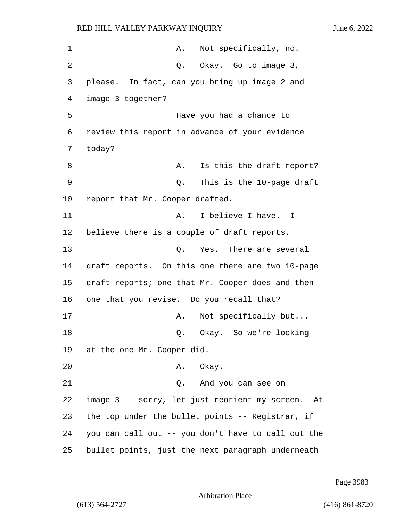1 A. Not specifically, no. 2 Q. Okay. Go to image 3, 3 please. In fact, can you bring up image 2 and 4 image 3 together? 5 Have you had a chance to 6 review this report in advance of your evidence 7 today? 8 A. Is this the draft report? 9 Q. This is the 10-page draft 10 report that Mr. Cooper drafted. 11 A. I believe I have. I 12 believe there is a couple of draft reports. 13 C. Yes. There are several 14 draft reports. On this one there are two 10-page 15 draft reports; one that Mr. Cooper does and then 16 one that you revise. Do you recall that? 17 A. Not specifically but... 18 Q. Okay. So we're looking 19 at the one Mr. Cooper did. 20 A. Okay. 21 Q. And you can see on 22 image 3 -- sorry, let just reorient my screen. At 23 the top under the bullet points -- Registrar, if 24 you can call out -- you don't have to call out the 25 bullet points, just the next paragraph underneath

Page 3983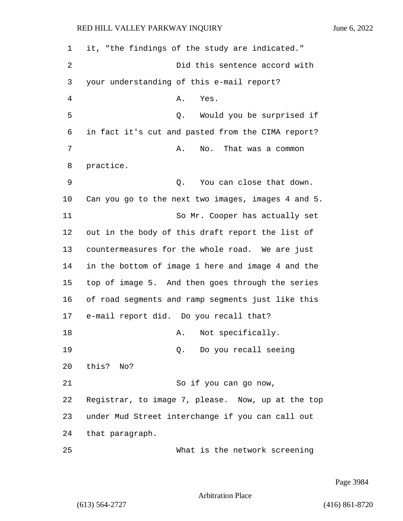1 it, "the findings of the study are indicated." 2 Did this sentence accord with 3 your understanding of this e-mail report? 4 A. Yes. 5 Q. Would you be surprised if 6 in fact it's cut and pasted from the CIMA report? 7 A. No. That was a common 8 practice. 9 Q. You can close that down. 10 Can you go to the next two images, images 4 and 5. 11 So Mr. Cooper has actually set 12 out in the body of this draft report the list of 13 countermeasures for the whole road. We are just 14 in the bottom of image 1 here and image 4 and the 15 top of image 5. And then goes through the series 16 of road segments and ramp segments just like this 17 e-mail report did. Do you recall that? 18 A. Not specifically. 19 Q. Do you recall seeing 20 this? No? 21 So if you can go now, 22 Registrar, to image 7, please. Now, up at the top 23 under Mud Street interchange if you can call out 24 that paragraph. 25 What is the network screening

Page 3984

Arbitration Place

(613) 564-2727 (416) 861-8720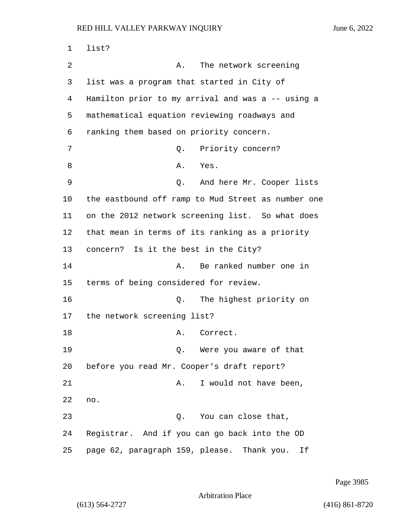| 1  | list?                                              |
|----|----------------------------------------------------|
| 2  | The network screening<br>Α.                        |
| 3  | list was a program that started in City of         |
| 4  | Hamilton prior to my arrival and was a -- using a  |
| 5  | mathematical equation reviewing roadways and       |
| 6  | ranking them based on priority concern.            |
| 7  | Priority concern?<br>Q.                            |
| 8  | Α.<br>Yes.                                         |
| 9  | Q. And here Mr. Cooper lists                       |
| 10 | the eastbound off ramp to Mud Street as number one |
| 11 | on the 2012 network screening list. So what does   |
| 12 | that mean in terms of its ranking as a priority    |
| 13 | concern? Is it the best in the City?               |
| 14 | Be ranked number one in<br>Α.                      |
| 15 | terms of being considered for review.              |
| 16 | The highest priority on<br>Q.                      |
| 17 | the network screening list?                        |
| 18 | Α.<br>Correct.                                     |
| 19 | Were you aware of that<br>Q.                       |
| 20 | before you read Mr. Cooper's draft report?         |
| 21 | I would not have been,<br>Α.                       |
| 22 | no.                                                |
| 23 | You can close that,<br>Q.                          |
| 24 | Registrar. And if you can go back into the OD      |
| 25 | page 62, paragraph 159, please. Thank you.<br>Ιf   |

Page 3985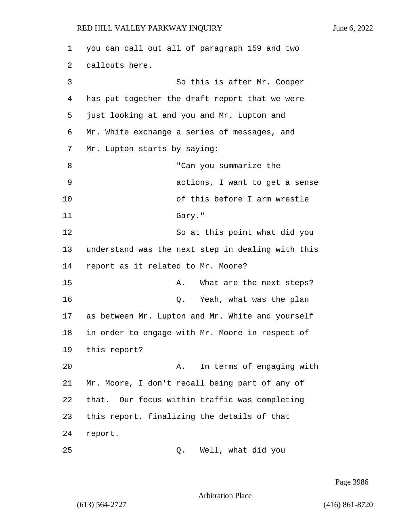1 you can call out all of paragraph 159 and two 2 callouts here. 3 So this is after Mr. Cooper 4 has put together the draft report that we were 5 just looking at and you and Mr. Lupton and 6 Mr. White exchange a series of messages, and 7 Mr. Lupton starts by saying: 8 The can you summarize the 9 actions, I want to get a sense 10 of this before I arm wrestle 11 Gary." 12 So at this point what did you 13 understand was the next step in dealing with this 14 report as it related to Mr. Moore? 15 A. What are the next steps? 16 Q. Yeah, what was the plan 17 as between Mr. Lupton and Mr. White and yourself 18 in order to engage with Mr. Moore in respect of 19 this report? 20 A. In terms of engaging with 21 Mr. Moore, I don't recall being part of any of 22 that. Our focus within traffic was completing 23 this report, finalizing the details of that 24 report. 25 Q. Well, what did you

Page 3986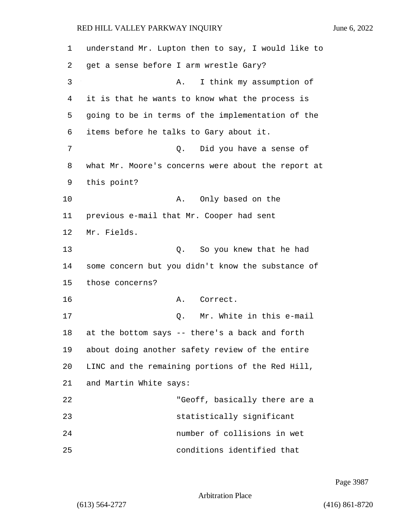| 1  | understand Mr. Lupton then to say, I would like to |
|----|----------------------------------------------------|
| 2  | get a sense before I arm wrestle Gary?             |
| 3  | I think my assumption of<br>Α.                     |
| 4  | it is that he wants to know what the process is    |
| 5  | going to be in terms of the implementation of the  |
| 6  | items before he talks to Gary about it.            |
| 7  | Did you have a sense of<br>Q.                      |
| 8  | what Mr. Moore's concerns were about the report at |
| 9  | this point?                                        |
| 10 | Only based on the<br>Α.                            |
| 11 | previous e-mail that Mr. Cooper had sent           |
| 12 | Mr. Fields.                                        |
| 13 | So you knew that he had<br>Q.                      |
| 14 | some concern but you didn't know the substance of  |
| 15 | those concerns?                                    |
| 16 | Correct.<br>Α.                                     |
| 17 | Mr. White in this e-mail<br>Q.                     |
| 18 | at the bottom says -- there's a back and forth     |
| 19 | about doing another safety review of the entire    |
| 20 | LINC and the remaining portions of the Red Hill,   |
| 21 | and Martin White says:                             |
| 22 | "Geoff, basically there are a                      |
| 23 | statistically significant                          |
| 24 | number of collisions in wet                        |
| 25 | conditions identified that                         |

Page 3987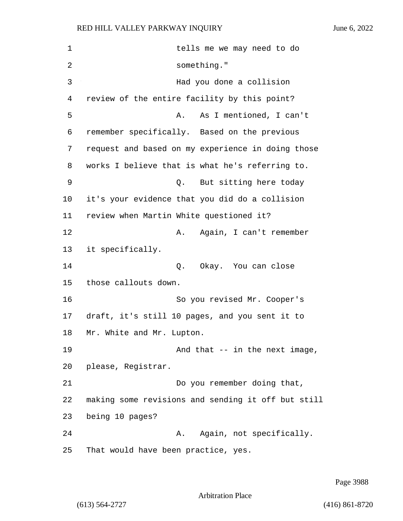1 tells me we may need to do 2 something." 3 Had you done a collision 4 review of the entire facility by this point? 5 A. As I mentioned, I can't 6 remember specifically. Based on the previous 7 request and based on my experience in doing those 8 works I believe that is what he's referring to. 9 Q. But sitting here today 10 it's your evidence that you did do a collision 11 review when Martin White questioned it? 12 A. Again, I can't remember 13 it specifically. 14 Q. Okay. You can close 15 those callouts down. 16 So you revised Mr. Cooper's 17 draft, it's still 10 pages, and you sent it to 18 Mr. White and Mr. Lupton. 19 **And that -- in the next image,** 20 please, Registrar. 21 Do you remember doing that, 22 making some revisions and sending it off but still 23 being 10 pages? 24 A. Again, not specifically. 25 That would have been practice, yes.

Page 3988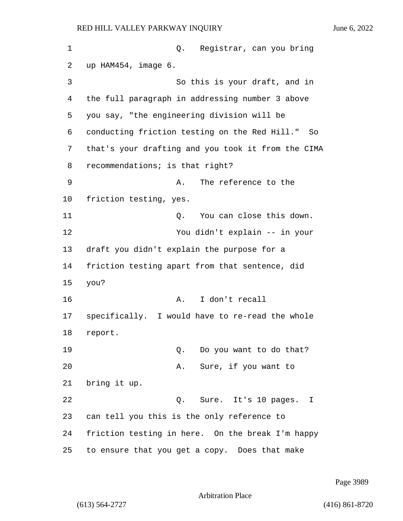| 1  | Registrar, can you bring<br>Q.                     |
|----|----------------------------------------------------|
| 2  | up HAM454, image 6.                                |
| 3  | So this is your draft, and in                      |
| 4  | the full paragraph in addressing number 3 above    |
| 5  | you say, "the engineering division will be         |
| 6  | conducting friction testing on the Red Hill." So   |
| 7  | that's your drafting and you took it from the CIMA |
| 8  | recommendations; is that right?                    |
| 9  | The reference to the<br>Α.                         |
| 10 | friction testing, yes.                             |
| 11 | You can close this down.<br>Q.                     |
| 12 | You didn't explain -- in your                      |
| 13 | draft you didn't explain the purpose for a         |
| 14 | friction testing apart from that sentence, did     |
| 15 | you?                                               |
| 16 | I don't recall<br>Α.                               |
| 17 | specifically. I would have to re-read the whole    |
| 18 | report.                                            |
| 19 | Do you want to do that?<br>Q.                      |
| 20 | Sure, if you want to<br>Α.                         |
| 21 | bring it up.                                       |
| 22 | Q. Sure. It's 10 pages.<br>I                       |
| 23 | can tell you this is the only reference to         |
| 24 | friction testing in here. On the break I'm happy   |
| 25 | to ensure that you get a copy. Does that make      |

Page 3989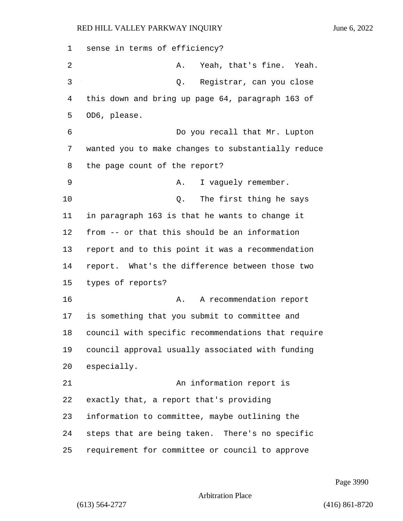sense in terms of efficiency? 2 A. Yeah, that's fine. Yeah. 3 Q. Registrar, can you close this down and bring up page 64, paragraph 163 of OD6, please. 6 Do you recall that Mr. Lupton wanted you to make changes to substantially reduce the page count of the report? 9 A. I vaguely remember. 10 Q. The first thing he says in paragraph 163 is that he wants to change it from -- or that this should be an information report and to this point it was a recommendation report. What's the difference between those two types of reports? 16 A. A recommendation report is something that you submit to committee and council with specific recommendations that require council approval usually associated with funding especially. 21 An information report is exactly that, a report that's providing information to committee, maybe outlining the steps that are being taken. There's no specific requirement for committee or council to approve

Page 3990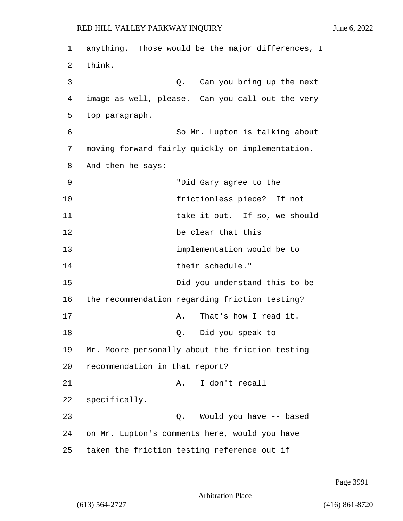1 anything. Those would be the major differences, I 2 think. 3 Q. Can you bring up the next 4 image as well, please. Can you call out the very 5 top paragraph. 6 So Mr. Lupton is talking about 7 moving forward fairly quickly on implementation. 8 And then he says: 9 "Did Gary agree to the 10 frictionless piece? If not 11 take it out. If so, we should 12 be clear that this 13 implementation would be to 14 their schedule." 15 Did you understand this to be 16 the recommendation regarding friction testing? 17 A. That's how I read it. 18 Q. Did you speak to 19 Mr. Moore personally about the friction testing 20 recommendation in that report? 21 A. I don't recall 22 specifically. 23 Q. Would you have -- based 24 on Mr. Lupton's comments here, would you have 25 taken the friction testing reference out if

Page 3991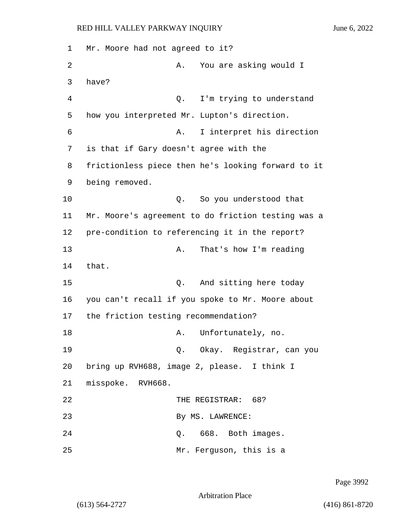1 Mr. Moore had not agreed to it? 2 A. You are asking would I 3 have? 4 Q. I'm trying to understand 5 how you interpreted Mr. Lupton's direction. 6 A. I interpret his direction 7 is that if Gary doesn't agree with the 8 frictionless piece then he's looking forward to it 9 being removed. 10 Q. So you understood that 11 Mr. Moore's agreement to do friction testing was a 12 pre-condition to referencing it in the report? 13 A. That's how I'm reading 14 that. 15 C. And sitting here today 16 you can't recall if you spoke to Mr. Moore about 17 the friction testing recommendation? 18 A. Unfortunately, no. 19 Q. Okay. Registrar, can you 20 bring up RVH688, image 2, please. I think I 21 misspoke. RVH668. 22 THE REGISTRAR: 68? 23 By MS. LAWRENCE: 24 Q. 668. Both images. 25 Mr. Ferguson, this is a

Page 3992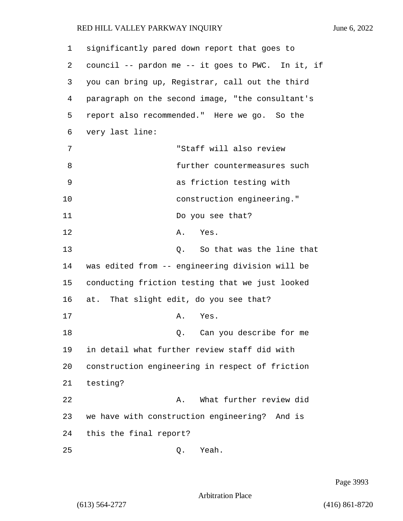| 1  | significantly pared down report that goes to      |
|----|---------------------------------------------------|
| 2  | council -- pardon me -- it goes to PWC. In it, if |
| 3  | you can bring up, Registrar, call out the third   |
| 4  | paragraph on the second image, "the consultant's  |
| 5  | report also recommended." Here we go. So the      |
| 6  | very last line:                                   |
| 7  | "Staff will also review                           |
| 8  | further countermeasures such                      |
| 9  | as friction testing with                          |
| 10 | construction engineering."                        |
| 11 | Do you see that?                                  |
| 12 | Yes.<br>Α.                                        |
| 13 | So that was the line that<br>$Q$ .                |
| 14 | was edited from -- engineering division will be   |
| 15 | conducting friction testing that we just looked   |
| 16 | at. That slight edit, do you see that?            |
| 17 | Yes.<br>Α.                                        |
| 18 | Can you describe for me<br>Q.                     |
| 19 | in detail what further review staff did with      |
| 20 | construction engineering in respect of friction   |
| 21 | testing?                                          |
| 22 | What further review did<br>Α.                     |
| 23 | we have with construction engineering? And is     |
| 24 | this the final report?                            |
| 25 | Yeah.<br>Q.                                       |

Page 3993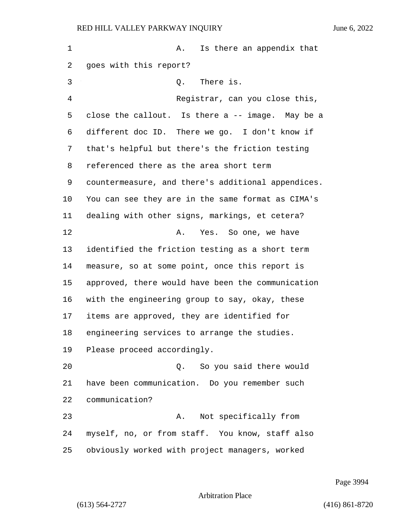| $\mathbf{1}$ | Is there an appendix that<br>Α.                    |
|--------------|----------------------------------------------------|
| 2            | goes with this report?                             |
| 3            | Q. There is.                                       |
| 4            | Registrar, can you close this,                     |
| 5            | close the callout. Is there a -- image. May be a   |
| 6            | different doc ID. There we go. I don't know if     |
| 7            | that's helpful but there's the friction testing    |
| 8            | referenced there as the area short term            |
| 9            | countermeasure, and there's additional appendices. |
| $10 \,$      | You can see they are in the same format as CIMA's  |
| 11           | dealing with other signs, markings, et cetera?     |
| 12           | Yes. So one, we have<br>Α.                         |
| 13           | identified the friction testing as a short term    |
| 14           | measure, so at some point, once this report is     |
| 15           | approved, there would have been the communication  |
| 16           | with the engineering group to say, okay, these     |
| 17           | items are approved, they are identified for        |
| 18           | engineering services to arrange the studies.       |
| 19           | Please proceed accordingly.                        |
| 20           | So you said there would<br>$Q$ .                   |
| 21           | have been communication. Do you remember such      |
| 22           | communication?                                     |
| 23           | Not specifically from<br>Α.                        |
| 24           | myself, no, or from staff. You know, staff also    |
| 25           | obviously worked with project managers, worked     |

Page 3994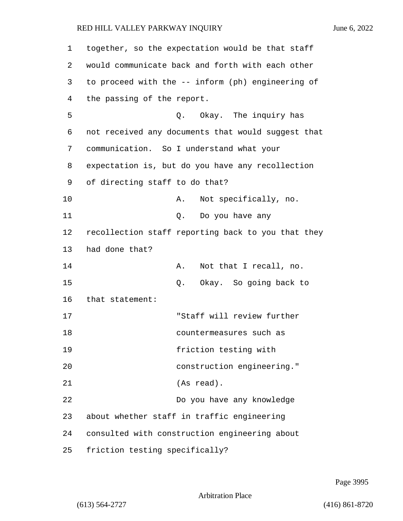| 1  | together, so the expectation would be that staff   |
|----|----------------------------------------------------|
| 2  | would communicate back and forth with each other   |
| 3  | to proceed with the -- inform (ph) engineering of  |
| 4  | the passing of the report.                         |
| 5  | Q. Okay. The inquiry has                           |
| 6  | not received any documents that would suggest that |
| 7  | communication. So I understand what your           |
| 8  | expectation is, but do you have any recollection   |
| 9  | of directing staff to do that?                     |
| 10 | Not specifically, no.<br>Α.                        |
| 11 | Do you have any<br>Q.                              |
| 12 | recollection staff reporting back to you that they |
| 13 | had done that?                                     |
| 14 | Not that I recall, no.<br>Α.                       |
| 15 | Okay. So going back to<br>Q.                       |
| 16 | that statement:                                    |
| 17 | "Staff will review further                         |
| 18 | countermeasures such as                            |
| 19 | friction testing with                              |
| 20 | construction engineering."                         |
| 21 | (As read).                                         |
| 22 | Do you have any knowledge                          |
| 23 | about whether staff in traffic engineering         |
| 24 | consulted with construction engineering about      |
| 25 | friction testing specifically?                     |

Page 3995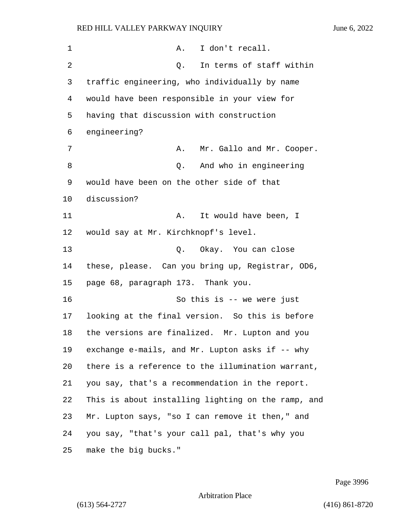| 1  | Α.<br>I don't recall.                              |
|----|----------------------------------------------------|
| 2  | In terms of staff within<br>Q.                     |
| 3  | traffic engineering, who individually by name      |
| 4  | would have been responsible in your view for       |
| 5  | having that discussion with construction           |
| 6  | engineering?                                       |
| 7  | Mr. Gallo and Mr. Cooper.<br>Α.                    |
| 8  | And who in engineering<br>Q.                       |
| 9  | would have been on the other side of that          |
| 10 | discussion?                                        |
| 11 | It would have been, I<br>Α.                        |
| 12 | would say at Mr. Kirchknopf's level.               |
| 13 | Okay. You can close<br>Q.                          |
| 14 | these, please. Can you bring up, Registrar, OD6,   |
| 15 | page 68, paragraph 173. Thank you.                 |
| 16 | So this is -- we were just                         |
| 17 | looking at the final version. So this is before    |
| 18 | the versions are finalized. Mr. Lupton and you     |
| 19 | exchange e-mails, and Mr. Lupton asks if -- why    |
| 20 | there is a reference to the illumination warrant,  |
| 21 | you say, that's a recommendation in the report.    |
| 22 | This is about installing lighting on the ramp, and |
| 23 | Mr. Lupton says, "so I can remove it then," and    |
| 24 | you say, "that's your call pal, that's why you     |
| 25 | make the big bucks."                               |

Page 3996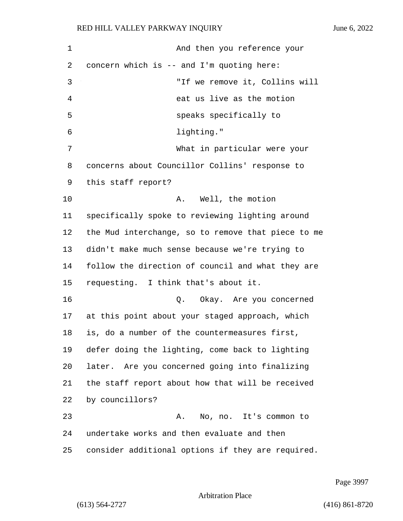| $\mathbf 1$ | And then you reference your                        |
|-------------|----------------------------------------------------|
| 2           | concern which is -- and I'm quoting here:          |
| 3           | "If we remove it, Collins will                     |
| 4           | eat us live as the motion                          |
| 5           | speaks specifically to                             |
| 6           | lighting."                                         |
| 7           | What in particular were your                       |
| 8           | concerns about Councillor Collins' response to     |
| 9           | this staff report?                                 |
| 10          | Well, the motion<br>A.,                            |
| 11          | specifically spoke to reviewing lighting around    |
| 12          | the Mud interchange, so to remove that piece to me |
| 13          | didn't make much sense because we're trying to     |
| 14          | follow the direction of council and what they are  |
| 15          | requesting. I think that's about it.               |
| 16          | Okay. Are you concerned<br>Q.                      |
| 17          | at this point about your staged approach, which    |
| 18          | is, do a number of the countermeasures first,      |
| 19          | defer doing the lighting, come back to lighting    |
| 20          | later. Are you concerned going into finalizing     |
| 21          | the staff report about how that will be received   |
| 22          | by councillors?                                    |
| 23          | No, no. It's common to<br>Α.                       |
| 24          | undertake works and then evaluate and then         |
| 25          | consider additional options if they are required.  |

Page 3997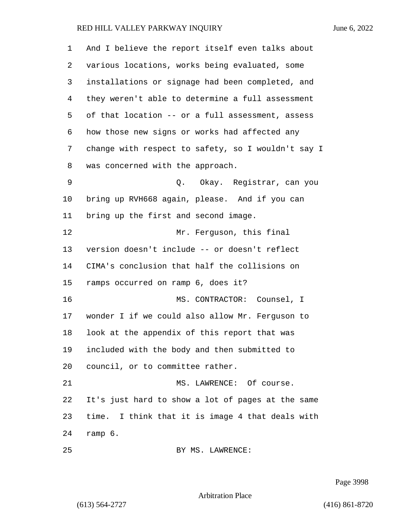| 1  | And I believe the report itself even talks about   |
|----|----------------------------------------------------|
| 2  | various locations, works being evaluated, some     |
| 3  | installations or signage had been completed, and   |
| 4  | they weren't able to determine a full assessment   |
| 5  | of that location -- or a full assessment, assess   |
| 6  | how those new signs or works had affected any      |
| 7  | change with respect to safety, so I wouldn't say I |
| 8  | was concerned with the approach.                   |
| 9  | Q. Okay. Registrar, can you                        |
| 10 | bring up RVH668 again, please. And if you can      |
| 11 | bring up the first and second image.               |
| 12 | Mr. Ferguson, this final                           |
| 13 | version doesn't include -- or doesn't reflect      |
| 14 | CIMA's conclusion that half the collisions on      |
| 15 | ramps occurred on ramp 6, does it?                 |
| 16 | MS. CONTRACTOR: Counsel, I                         |
| 17 | wonder I if we could also allow Mr. Ferguson to    |
| 18 | look at the appendix of this report that was       |
| 19 | included with the body and then submitted to       |
| 20 | council, or to committee rather.                   |
| 21 | MS. LAWRENCE: Of course.                           |
| 22 | It's just hard to show a lot of pages at the same  |
| 23 | time. I think that it is image 4 that deals with   |
| 24 | ramp 6.                                            |
| 25 | BY MS. LAWRENCE:                                   |

Page 3998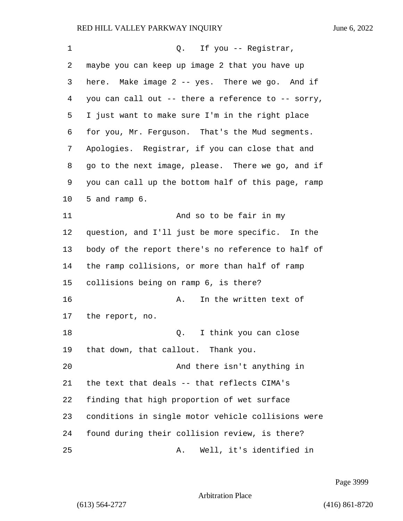| 1  | Q.<br>If you -- Registrar,                         |
|----|----------------------------------------------------|
| 2  | maybe you can keep up image 2 that you have up     |
| 3  | here. Make image 2 -- yes. There we go. And if     |
| 4  | you can call out -- there a reference to -- sorry, |
| 5  | I just want to make sure I'm in the right place    |
| 6  | for you, Mr. Ferguson. That's the Mud segments.    |
| 7  | Apologies. Registrar, if you can close that and    |
| 8  | go to the next image, please. There we go, and if  |
| 9  | you can call up the bottom half of this page, ramp |
| 10 | 5 and ramp 6.                                      |
| 11 | And so to be fair in my                            |
| 12 | question, and I'll just be more specific. In the   |
| 13 | body of the report there's no reference to half of |
| 14 | the ramp collisions, or more than half of ramp     |
| 15 | collisions being on ramp 6, is there?              |
| 16 | In the written text of<br>Α.                       |
| 17 | the report, no.                                    |
| 18 | I think you can close<br>Q.                        |
| 19 | that down, that callout. Thank you.                |
| 20 | And there isn't anything in                        |
| 21 | the text that deals -- that reflects CIMA's        |
| 22 | finding that high proportion of wet surface        |
| 23 | conditions in single motor vehicle collisions were |
| 24 | found during their collision review, is there?     |
| 25 | Well, it's identified in<br>Α.                     |

Page 3999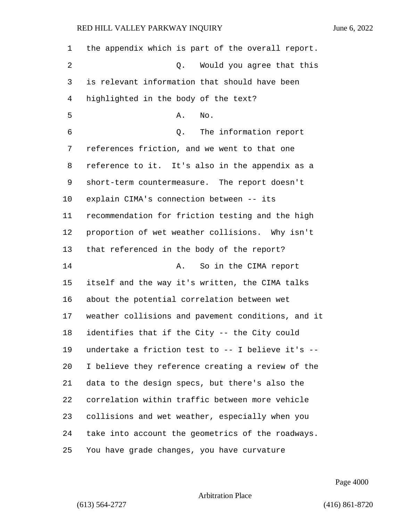the appendix which is part of the overall report. 2 Q. Would you agree that this is relevant information that should have been highlighted in the body of the text? A. No. 6 Q. The information report references friction, and we went to that one reference to it. It's also in the appendix as a short-term countermeasure. The report doesn't explain CIMA's connection between -- its recommendation for friction testing and the high proportion of wet weather collisions. Why isn't that referenced in the body of the report? 14 A. So in the CIMA report itself and the way it's written, the CIMA talks about the potential correlation between wet weather collisions and pavement conditions, and it identifies that if the City -- the City could undertake a friction test to -- I believe it's -- I believe they reference creating a review of the data to the design specs, but there's also the correlation within traffic between more vehicle collisions and wet weather, especially when you take into account the geometrics of the roadways. You have grade changes, you have curvature

Page 4000

## Arbitration Place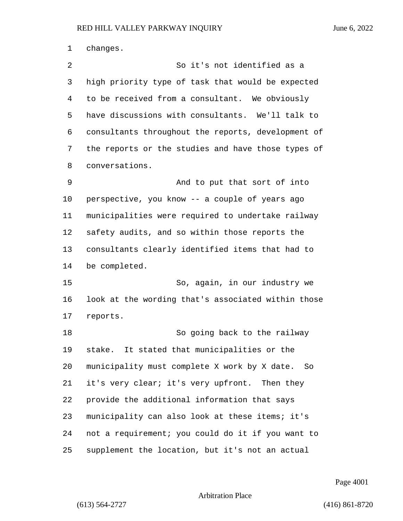changes. 2 So it's not identified as a high priority type of task that would be expected to be received from a consultant. We obviously have discussions with consultants. We'll talk to consultants throughout the reports, development of the reports or the studies and have those types of conversations. 9 And to put that sort of into perspective, you know -- a couple of years ago municipalities were required to undertake railway safety audits, and so within those reports the consultants clearly identified items that had to be completed. 15 So, again, in our industry we look at the wording that's associated within those reports. 18 So going back to the railway stake. It stated that municipalities or the municipality must complete X work by X date. So it's very clear; it's very upfront. Then they provide the additional information that says 23 municipality can also look at these items; it's not a requirement; you could do it if you want to supplement the location, but it's not an actual

Page 4001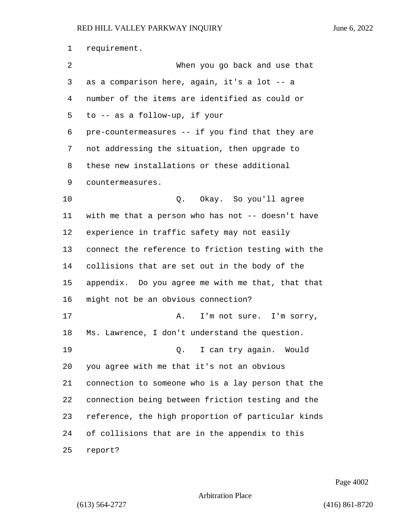requirement. 2 When you go back and use that as a comparison here, again, it's a lot -- a number of the items are identified as could or to -- as a follow-up, if your pre-countermeasures -- if you find that they are not addressing the situation, then upgrade to these new installations or these additional countermeasures. 10 Q. Okay. So you'll agree with me that a person who has not -- doesn't have experience in traffic safety may not easily connect the reference to friction testing with the collisions that are set out in the body of the appendix. Do you agree me with me that, that that might not be an obvious connection? 17 A. I'm not sure. I'm sorry, Ms. Lawrence, I don't understand the question. 19 Q. I can try again. Would you agree with me that it's not an obvious connection to someone who is a lay person that the connection being between friction testing and the reference, the high proportion of particular kinds of collisions that are in the appendix to this report?

Page 4002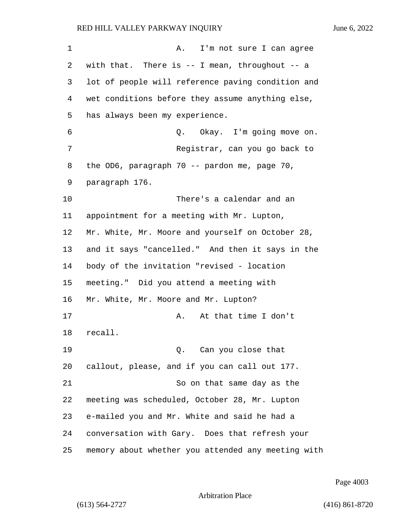1 A. I'm not sure I can agree with that. There is -- I mean, throughout -- a lot of people will reference paving condition and wet conditions before they assume anything else, has always been my experience. 6 Q. Okay. I'm going move on. 7 Registrar, can you go back to 8 the OD6, paragraph 70 -- pardon me, page 70, paragraph 176. 10 There's a calendar and an appointment for a meeting with Mr. Lupton, Mr. White, Mr. Moore and yourself on October 28, and it says "cancelled." And then it says in the body of the invitation "revised - location meeting." Did you attend a meeting with Mr. White, Mr. Moore and Mr. Lupton? 17 A. At that time I don't 18 recall. 19 Q. Can you close that callout, please, and if you can call out 177. 21 So on that same day as the meeting was scheduled, October 28, Mr. Lupton e-mailed you and Mr. White and said he had a conversation with Gary. Does that refresh your memory about whether you attended any meeting with

Page 4003

Arbitration Place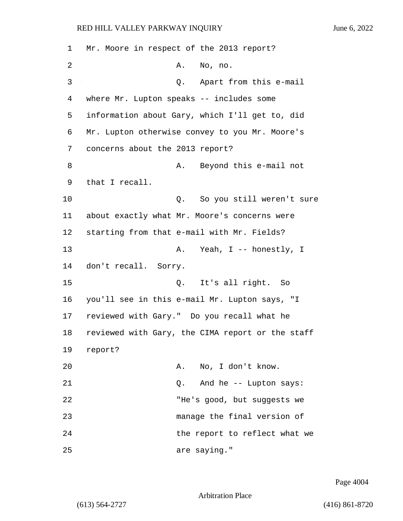1 Mr. Moore in respect of the 2013 report? 2 A. No, no. 3 Q. Apart from this e-mail 4 where Mr. Lupton speaks -- includes some 5 information about Gary, which I'll get to, did 6 Mr. Lupton otherwise convey to you Mr. Moore's 7 concerns about the 2013 report? 8 A. Beyond this e-mail not 9 that I recall. 10 **Q.** So you still weren't sure 11 about exactly what Mr. Moore's concerns were 12 starting from that e-mail with Mr. Fields? 13 A. Yeah, I -- honestly, I 14 don't recall. Sorry. 15 Q. It's all right. So 16 you'll see in this e-mail Mr. Lupton says, "I 17 reviewed with Gary." Do you recall what he 18 reviewed with Gary, the CIMA report or the staff 19 report? 20 A. No, I don't know. 21 Q. And he -- Lupton says: 22 THe's good, but suggests we 23 manage the final version of 24 the report to reflect what we 25 are saying."

Page 4004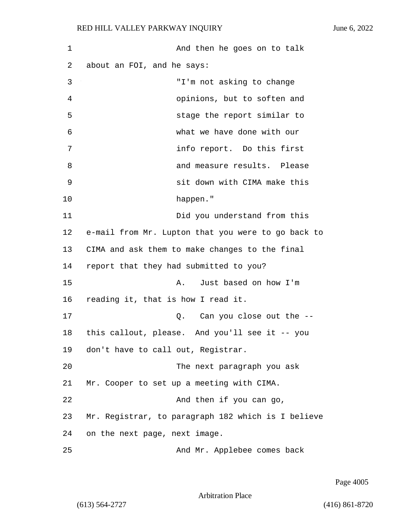| 1  | And then he goes on to talk                        |
|----|----------------------------------------------------|
| 2  | about an FOI, and he says:                         |
| 3  | "I'm not asking to change                          |
| 4  | opinions, but to soften and                        |
| 5  | stage the report similar to                        |
| 6  | what we have done with our                         |
| 7  | info report. Do this first                         |
| 8  | and measure results. Please                        |
| 9  | sit down with CIMA make this                       |
| 10 | happen."                                           |
| 11 | Did you understand from this                       |
| 12 | e-mail from Mr. Lupton that you were to go back to |
| 13 | CIMA and ask them to make changes to the final     |
| 14 | report that they had submitted to you?             |
| 15 | Just based on how I'm<br>Α.                        |
| 16 | reading it, that is how I read it.                 |
| 17 | Can you close out the --<br>Q.                     |
| 18 | this callout, please. And you'll see it -- you     |
| 19 | don't have to call out, Registrar.                 |
| 20 | The next paragraph you ask                         |
| 21 | Mr. Cooper to set up a meeting with CIMA.          |
| 22 | And then if you can go,                            |
| 23 | Mr. Registrar, to paragraph 182 which is I believe |
| 24 | on the next page, next image.                      |
| 25 | And Mr. Applebee comes back                        |

Page 4005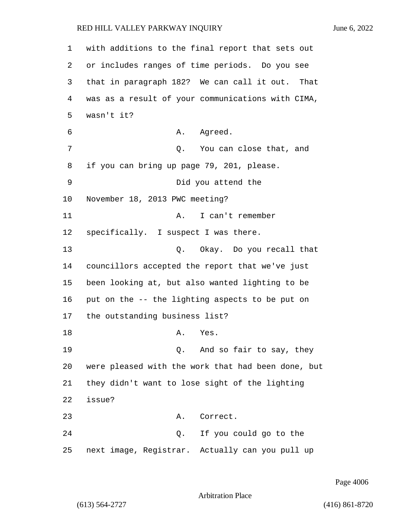1 with additions to the final report that sets out 2 or includes ranges of time periods. Do you see 3 that in paragraph 182? We can call it out. That 4 was as a result of your communications with CIMA, 5 wasn't it? 6 A. Agreed. 7 Q. You can close that, and 8 if you can bring up page 79, 201, please. 9 Did you attend the 10 November 18, 2013 PWC meeting? 11 A. I can't remember 12 specifically. I suspect I was there. 13 Q. Okay. Do you recall that 14 councillors accepted the report that we've just 15 been looking at, but also wanted lighting to be 16 put on the -- the lighting aspects to be put on 17 the outstanding business list? 18 A. Yes. 19 Q. And so fair to say, they 20 were pleased with the work that had been done, but 21 they didn't want to lose sight of the lighting 22 issue? 23 A. Correct. 24 Q. If you could go to the 25 next image, Registrar. Actually can you pull up

Page 4006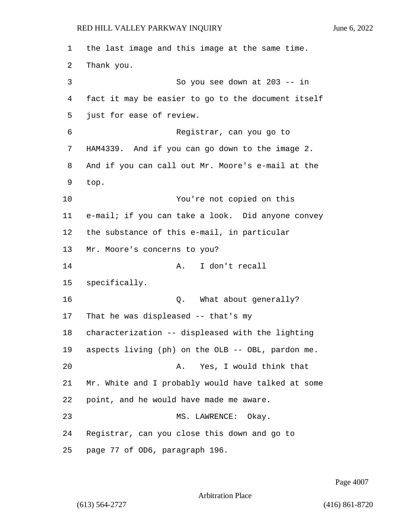the last image and this image at the same time. Thank you. 3 So you see down at 203 -- in fact it may be easier to go to the document itself just for ease of review. 6 Registrar, can you go to HAM4339. And if you can go down to the image 2. And if you can call out Mr. Moore's e-mail at the top. 10 You're not copied on this e-mail; if you can take a look. Did anyone convey the substance of this e-mail, in particular Mr. Moore's concerns to you? 14 A. I don't recall specifically. 16 Q. What about generally? That he was displeased -- that's my characterization -- displeased with the lighting aspects living (ph) on the OLB -- OBL, pardon me. 20 A. Yes, I would think that Mr. White and I probably would have talked at some point, and he would have made me aware. 23 MS. LAWRENCE: Okay. Registrar, can you close this down and go to page 77 of OD6, paragraph 196.

Page 4007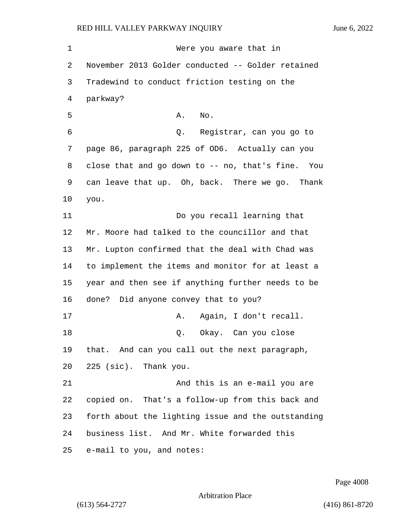1 Were you aware that in November 2013 Golder conducted -- Golder retained Tradewind to conduct friction testing on the parkway? 5 A. No. 6 Q. Registrar, can you go to page 86, paragraph 225 of OD6. Actually can you close that and go down to -- no, that's fine. You can leave that up. Oh, back. There we go. Thank you. 11 Do you recall learning that Mr. Moore had talked to the councillor and that Mr. Lupton confirmed that the deal with Chad was to implement the items and monitor for at least a year and then see if anything further needs to be done? Did anyone convey that to you? 17 A. Again, I don't recall. 18 Q. Okay. Can you close that. And can you call out the next paragraph, 225 (sic). Thank you. 21 And this is an e-mail you are copied on. That's a follow-up from this back and forth about the lighting issue and the outstanding business list. And Mr. White forwarded this e-mail to you, and notes:

Page 4008

Arbitration Place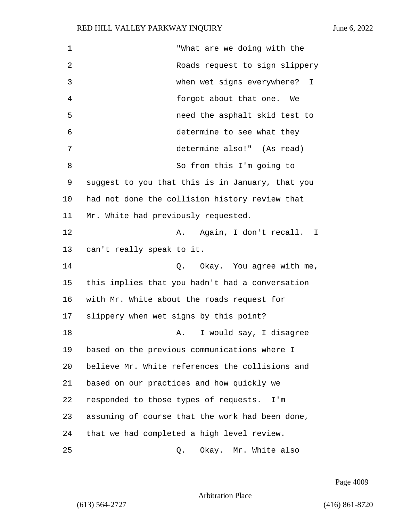| 1  | "What are we doing with the                      |
|----|--------------------------------------------------|
| 2  | Roads request to sign slippery                   |
| 3  | when wet signs everywhere?<br>I                  |
| 4  | forgot about that one.<br>We                     |
| 5  | need the asphalt skid test to                    |
| 6  | determine to see what they                       |
| 7  | determine also!" (As read)                       |
| 8  | So from this I'm going to                        |
| 9  | suggest to you that this is in January, that you |
| 10 | had not done the collision history review that   |
| 11 | Mr. White had previously requested.              |
| 12 | Again, I don't recall.<br>Α.<br>I.               |
| 13 | can't really speak to it.                        |
| 14 | Okay. You agree with me,<br>Q.                   |
| 15 | this implies that you hadn't had a conversation  |
| 16 | with Mr. White about the roads request for       |
| 17 | slippery when wet signs by this point?           |
| 18 | I would say, I disagree<br>Α.                    |
| 19 | based on the previous communications where I     |
| 20 | believe Mr. White references the collisions and  |
| 21 | based on our practices and how quickly we        |
| 22 | responded to those types of requests.<br>I'm     |
| 23 | assuming of course that the work had been done,  |
| 24 | that we had completed a high level review.       |
| 25 | Okay. Mr. White also<br>Q.                       |

Page 4009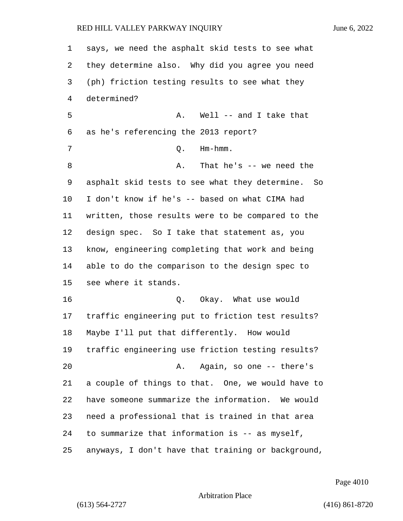| 1  | says, we need the asphalt skid tests to see what   |
|----|----------------------------------------------------|
| 2  | they determine also. Why did you agree you need    |
| 3  | (ph) friction testing results to see what they     |
| 4  | determined?                                        |
| 5  | A. Well -- and I take that                         |
| 6  | as he's referencing the 2013 report?               |
| 7  | $Hm - hmm$ .<br>Q.                                 |
| 8  | That he's $--$ we need the<br>Α.                   |
| 9  | asphalt skid tests to see what they determine. So  |
| 10 | I don't know if he's -- based on what CIMA had     |
| 11 | written, those results were to be compared to the  |
| 12 | design spec. So I take that statement as, you      |
| 13 | know, engineering completing that work and being   |
| 14 | able to do the comparison to the design spec to    |
| 15 | see where it stands.                               |
| 16 | Okay. What use would<br>Q.                         |
| 17 | traffic engineering put to friction test results?  |
| 18 | Maybe I'll put that differently. How would         |
| 19 | traffic engineering use friction testing results?  |
| 20 | Again, so one -- there's<br>Α.                     |
| 21 | a couple of things to that. One, we would have to  |
| 22 | have someone summarize the information. We would   |
| 23 | need a professional that is trained in that area   |
| 24 | to summarize that information is -- as myself,     |
| 25 | anyways, I don't have that training or background, |

Page 4010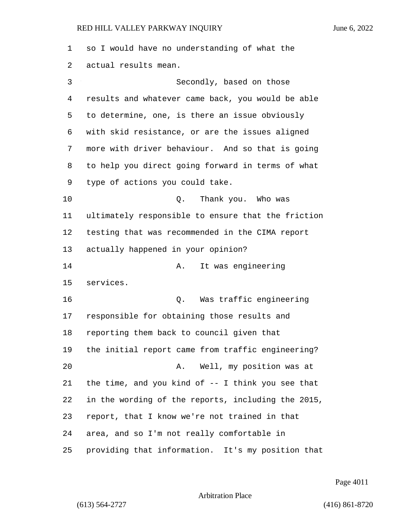so I would have no understanding of what the actual results mean. 3 Secondly, based on those results and whatever came back, you would be able to determine, one, is there an issue obviously with skid resistance, or are the issues aligned more with driver behaviour. And so that is going to help you direct going forward in terms of what type of actions you could take. 10 Q. Thank you. Who was ultimately responsible to ensure that the friction testing that was recommended in the CIMA report actually happened in your opinion? 14 A. It was engineering services. 16 Q. Was traffic engineering responsible for obtaining those results and reporting them back to council given that the initial report came from traffic engineering? 20 A. Well, my position was at the time, and you kind of -- I think you see that in the wording of the reports, including the 2015, report, that I know we're not trained in that area, and so I'm not really comfortable in providing that information. It's my position that

Page 4011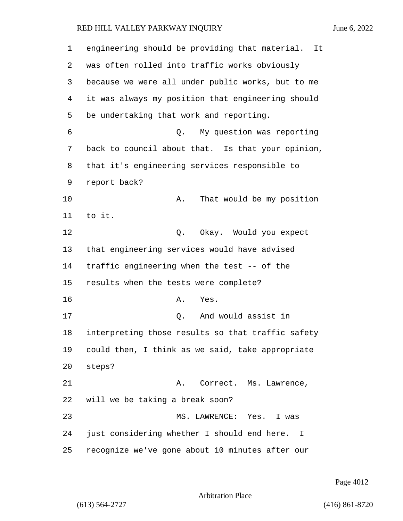| 1  | engineering should be providing that material.<br>It        |
|----|-------------------------------------------------------------|
| 2  | was often rolled into traffic works obviously               |
| 3  | because we were all under public works, but to me           |
| 4  | it was always my position that engineering should           |
| 5  | be undertaking that work and reporting.                     |
| 6  | My question was reporting<br>Q.                             |
| 7  | back to council about that. Is that your opinion,           |
| 8  | that it's engineering services responsible to               |
| 9  | report back?                                                |
| 10 | That would be my position<br>Α.                             |
| 11 | to it.                                                      |
| 12 | Q. Okay. Would you expect                                   |
| 13 | that engineering services would have advised                |
| 14 | traffic engineering when the test -- of the                 |
| 15 | results when the tests were complete?                       |
| 16 | Yes.<br>Α.                                                  |
| 17 | And would assist in<br>Q.                                   |
| 18 | interpreting those results so that traffic safety           |
| 19 | could then, I think as we said, take appropriate            |
| 20 | steps?                                                      |
| 21 | Α.<br>Correct. Ms. Lawrence,                                |
| 22 | will we be taking a break soon?                             |
| 23 | MS. LAWRENCE: Yes.<br>I was                                 |
| 24 | just considering whether I should end here.<br>$\mathbf{I}$ |
| 25 | recognize we've gone about 10 minutes after our             |

Page 4012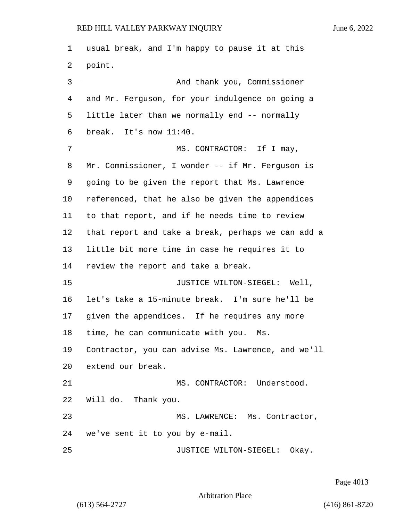usual break, and I'm happy to pause it at this point. 3 And thank you, Commissioner and Mr. Ferguson, for your indulgence on going a little later than we normally end -- normally break. It's now 11:40. 7 MS. CONTRACTOR: If I may, Mr. Commissioner, I wonder -- if Mr. Ferguson is going to be given the report that Ms. Lawrence referenced, that he also be given the appendices to that report, and if he needs time to review that report and take a break, perhaps we can add a little bit more time in case he requires it to review the report and take a break. **JUSTICE WILTON-SIEGEL:** Well, let's take a 15-minute break. I'm sure he'll be given the appendices. If he requires any more time, he can communicate with you. Ms. Contractor, you can advise Ms. Lawrence, and we'll extend our break. 21 MS. CONTRACTOR: Understood. Will do. Thank you. 23 MS. LAWRENCE: Ms. Contractor, we've sent it to you by e-mail. **JUSTICE WILTON-SIEGEL:** Okay.

Page 4013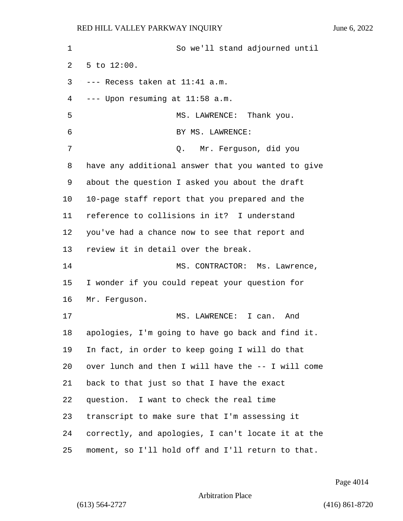1 So we'll stand adjourned until 5 to 12:00. --- Recess taken at  $11:41$  a.m. --- Upon resuming at 11:58 a.m. 5 MS. LAWRENCE: Thank you. 6 BY MS. LAWRENCE: 7 Q. Mr. Ferguson, did you have any additional answer that you wanted to give about the question I asked you about the draft 10-page staff report that you prepared and the reference to collisions in it? I understand you've had a chance now to see that report and review it in detail over the break. 14 MS. CONTRACTOR: Ms. Lawrence, I wonder if you could repeat your question for Mr. Ferguson. 17 MS. LAWRENCE: I can. And apologies, I'm going to have go back and find it. In fact, in order to keep going I will do that over lunch and then I will have the -- I will come back to that just so that I have the exact question. I want to check the real time transcript to make sure that I'm assessing it correctly, and apologies, I can't locate it at the moment, so I'll hold off and I'll return to that.

Page 4014

Arbitration Place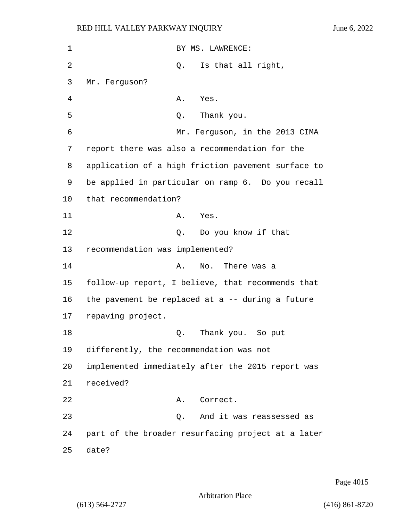| 1  | BY MS. LAWRENCE:                                    |
|----|-----------------------------------------------------|
| 2  | Is that all right,<br>Q.                            |
| 3  | Mr. Ferguson?                                       |
| 4  | Α.<br>Yes.                                          |
| 5  | Thank you.<br>Q.                                    |
| 6  | Mr. Ferguson, in the 2013 CIMA                      |
| 7  | report there was also a recommendation for the      |
| 8  | application of a high friction pavement surface to  |
| 9  | be applied in particular on ramp 6. Do you recall   |
| 10 | that recommendation?                                |
| 11 | Yes.<br>А.                                          |
| 12 | Q. Do you know if that                              |
| 13 | recommendation was implemented?                     |
| 14 | No. There was a<br>Α.                               |
| 15 | follow-up report, I believe, that recommends that   |
| 16 | the pavement be replaced at a $-$ - during a future |
| 17 | repaving project.                                   |
| 18 | Thank you. So put<br>Q.                             |
| 19 | differently, the recommendation was not             |
| 20 | implemented immediately after the 2015 report was   |
| 21 | received?                                           |
| 22 | Correct.<br>Α.                                      |
| 23 | Q. And it was reassessed as                         |
| 24 | part of the broader resurfacing project at a later  |
| 25 | date?                                               |

Page 4015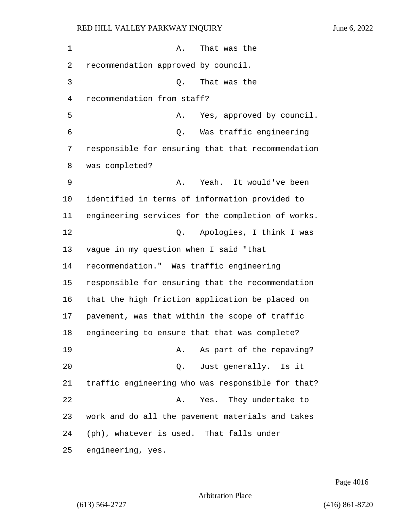| $\mathbf 1$ | That was the<br>Α.                                |
|-------------|---------------------------------------------------|
| 2           | recommendation approved by council.               |
| 3           | That was the<br>Q.                                |
| 4           | recommendation from staff?                        |
| 5           | Yes, approved by council.<br>Α.                   |
| 6           | Was traffic engineering<br>Q.                     |
| 7           | responsible for ensuring that that recommendation |
| 8           | was completed?                                    |
| 9           | Yeah. It would've been<br>Α.                      |
| 10          | identified in terms of information provided to    |
| 11          | engineering services for the completion of works. |
| 12          | Apologies, I think I was<br>Q.                    |
| 13          | vague in my question when I said "that            |
| 14          | recommendation." Was traffic engineering          |
| 15          | responsible for ensuring that the recommendation  |
| 16          | that the high friction application be placed on   |
| 17          | pavement, was that within the scope of traffic    |
| 18          | engineering to ensure that that was complete?     |
| 19          | As part of the repaving?<br>A.                    |
| 20          | Q. Just generally. Is it                          |
| 21          | traffic engineering who was responsible for that? |
| 22          | Yes. They undertake to<br>Α.                      |
| 23          | work and do all the pavement materials and takes  |
| 24          | (ph), whatever is used. That falls under          |
| 25          | engineering, yes.                                 |

Page 4016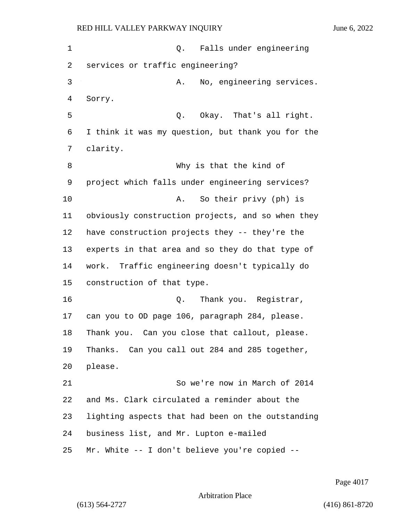1 and 0. Falls under engineering services or traffic engineering? 3 A. No, engineering services. Sorry. 5 Q. Okay. That's all right. I think it was my question, but thank you for the clarity. 8 Why is that the kind of project which falls under engineering services? 10 A. So their privy (ph) is obviously construction projects, and so when they have construction projects they -- they're the experts in that area and so they do that type of work. Traffic engineering doesn't typically do construction of that type. 16 Q. Thank you. Registrar, can you to OD page 106, paragraph 284, please. Thank you. Can you close that callout, please. Thanks. Can you call out 284 and 285 together, please. 21 So we're now in March of 2014 and Ms. Clark circulated a reminder about the lighting aspects that had been on the outstanding business list, and Mr. Lupton e-mailed Mr. White -- I don't believe you're copied --

Page 4017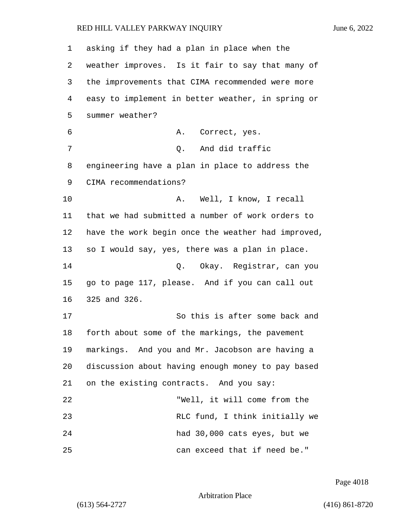asking if they had a plan in place when the weather improves. Is it fair to say that many of the improvements that CIMA recommended were more easy to implement in better weather, in spring or summer weather? 6 A. Correct, yes. 7 C. And did traffic engineering have a plan in place to address the CIMA recommendations? 10 A. Well, I know, I recall that we had submitted a number of work orders to have the work begin once the weather had improved, so I would say, yes, there was a plan in place. 14 Q. Okay. Registrar, can you go to page 117, please. And if you can call out 325 and 326. 17 So this is after some back and forth about some of the markings, the pavement markings. And you and Mr. Jacobson are having a discussion about having enough money to pay based on the existing contracts. And you say: 22 "Well, it will come from the 23 RLC fund, I think initially we 24 had 30,000 cats eyes, but we 25 can exceed that if need be."

Page 4018

Arbitration Place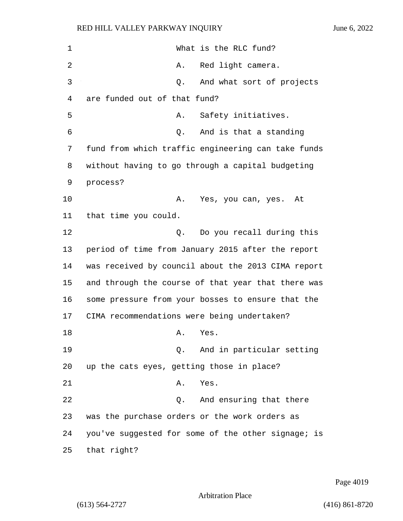| $\mathbf 1$ | What is the RLC fund?                              |
|-------------|----------------------------------------------------|
| 2           | Red light camera.<br>Α.                            |
| 3           | And what sort of projects<br>Q.                    |
| 4           | are funded out of that fund?                       |
| 5           | Safety initiatives.<br>Α.                          |
| 6           | And is that a standing<br>Q.                       |
| 7           | fund from which traffic engineering can take funds |
| 8           | without having to go through a capital budgeting   |
| 9           | process?                                           |
| 10          | Α.<br>Yes, you can, yes. At                        |
| 11          | that time you could.                               |
| 12          | Do you recall during this<br>Q.                    |
| 13          | period of time from January 2015 after the report  |
| 14          | was received by council about the 2013 CIMA report |
| 15          | and through the course of that year that there was |
| 16          | some pressure from your bosses to ensure that the  |
| 17          | CIMA recommendations were being undertaken?        |
| 18          | Yes.<br>Α.                                         |
| 19          | And in particular setting<br>$Q$ .                 |
| 20          | up the cats eyes, getting those in place?          |
| 21          | Yes.<br>Α.                                         |
| 22          | And ensuring that there<br>Q.                      |
| 23          | was the purchase orders or the work orders as      |
| 24          | you've suggested for some of the other signage; is |
| 25          | that right?                                        |

Page 4019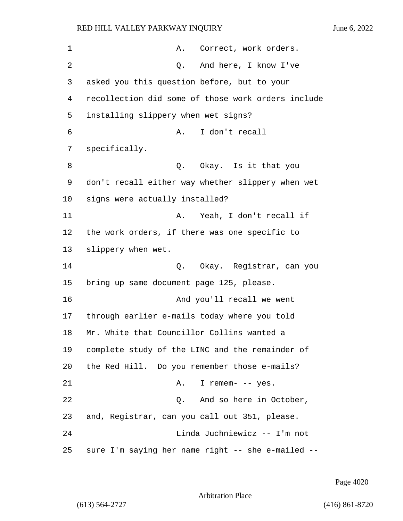| 1  | Correct, work orders.<br>A.                        |
|----|----------------------------------------------------|
| 2  | And here, I know I've<br>Q.                        |
| 3  | asked you this question before, but to your        |
| 4  | recollection did some of those work orders include |
| 5  | installing slippery when wet signs?                |
| 6  | I don't recall<br>Α.                               |
| 7  | specifically.                                      |
| 8  | Q. Okay. Is it that you                            |
| 9  | don't recall either way whether slippery when wet  |
| 10 | signs were actually installed?                     |
| 11 | Yeah, I don't recall if<br>Α.                      |
| 12 | the work orders, if there was one specific to      |
| 13 | slippery when wet.                                 |
| 14 | Okay. Registrar, can you<br>Q.                     |
| 15 | bring up same document page 125, please.           |
| 16 | And you'll recall we went                          |
| 17 | through earlier e-mails today where you told       |
| 18 | Mr. White that Councillor Collins wanted a         |
| 19 | complete study of the LINC and the remainder of    |
| 20 | the Red Hill. Do you remember those e-mails?       |
| 21 | I remem- -- yes.<br>Α.                             |
| 22 | And so here in October,<br>Q.                      |
| 23 | and, Registrar, can you call out 351, please.      |
| 24 | Linda Juchniewicz -- I'm not                       |
| 25 | sure I'm saying her name right -- she e-mailed --  |

Page 4020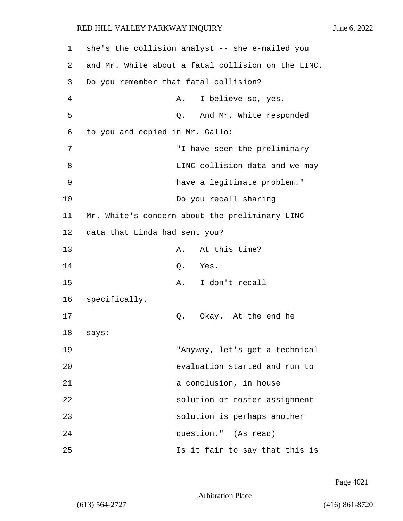| 1              | she's the collision analyst -- she e-mailed you    |
|----------------|----------------------------------------------------|
| 2              | and Mr. White about a fatal collision on the LINC. |
| 3              | Do you remember that fatal collision?              |
| $\overline{4}$ | I believe so, yes.<br>Α.                           |
| 5              | And Mr. White responded<br>Q.                      |
| 6              | to you and copied in Mr. Gallo:                    |
| 7              | "I have seen the preliminary                       |
| 8              | LINC collision data and we may                     |
| 9              | have a legitimate problem."                        |
| 10             | Do you recall sharing                              |
| 11             | Mr. White's concern about the preliminary LINC     |
| 12             | data that Linda had sent you?                      |
| 13             | At this time?<br>Α.                                |
| 14             | Yes.<br>Q.                                         |
| 15             | I don't recall<br>Α.                               |
| 16             | specifically.                                      |
| 17             | Okay. At the end he<br>Q.                          |
| 18             | says:                                              |
| 19             | "Anyway, let's get a technical                     |
| 20             | evaluation started and run to                      |
| 21             | a conclusion, in house                             |
| 22             | solution or roster assignment                      |
| 23             | solution is perhaps another                        |
| 24             | question." (As read)                               |
| 25             | Is it fair to say that this is                     |

Page 4021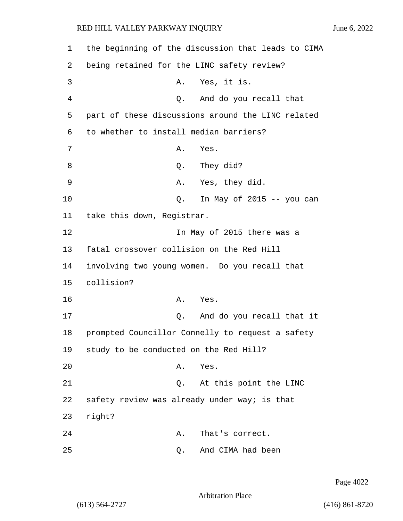| 1  | the beginning of the discussion that leads to CIMA |
|----|----------------------------------------------------|
| 2  | being retained for the LINC safety review?         |
| 3  | Yes, it is.<br>Α.                                  |
| 4  | And do you recall that<br>Q.                       |
| 5  | part of these discussions around the LINC related  |
| 6  | to whether to install median barriers?             |
| 7  | Α.<br>Yes.                                         |
| 8  | They did?<br>Q.                                    |
| 9  | A. Yes, they did.                                  |
| 10 | In May of $2015$ -- you can<br>Q.                  |
| 11 | take this down, Registrar.                         |
| 12 | In May of 2015 there was a                         |
| 13 | fatal crossover collision on the Red Hill          |
| 14 | involving two young women. Do you recall that      |
| 15 | collision?                                         |
| 16 | Yes.<br>Α.                                         |
| 17 | Q. And do you recall that it                       |
| 18 | prompted Councillor Connelly to request a safety   |
| 19 | study to be conducted on the Red Hill?             |
| 20 | Yes.<br>Α.                                         |
| 21 | At this point the LINC<br>Q.                       |
| 22 | safety review was already under way; is that       |
| 23 | right?                                             |
| 24 | That's correct.<br>Α.                              |
| 25 | And CIMA had been<br>Q.                            |

Page 4022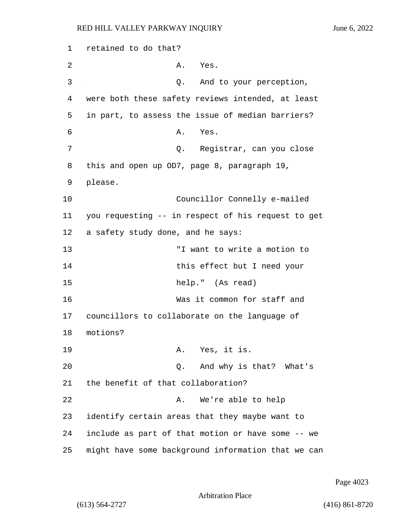RED HILL VALLEY PARKWAY INQUIRY June 6, 2022 1 retained to do that? 2 A. Yes. 3 Q. And to your perception, 4 were both these safety reviews intended, at least 5 in part, to assess the issue of median barriers? 6 A. Yes. 7 Q. Registrar, can you close 8 this and open up OD7, page 8, paragraph 19, 10 Councillor Connelly e-mailed 11 you requesting -- in respect of his request to get

12 a safety study done, and he says: 13 "I want to write a motion to 14 this effect but I need your 15 help." (As read) 16 Was it common for staff and 17 councillors to collaborate on the language of 18 motions? 19 A. Yes, it is. 20 Q. And why is that? What's 21 the benefit of that collaboration? 22 A. We're able to help 23 identify certain areas that they maybe want to 24 include as part of that motion or have some -- we 25 might have some background information that we can

Page 4023

Arbitration Place

9 please.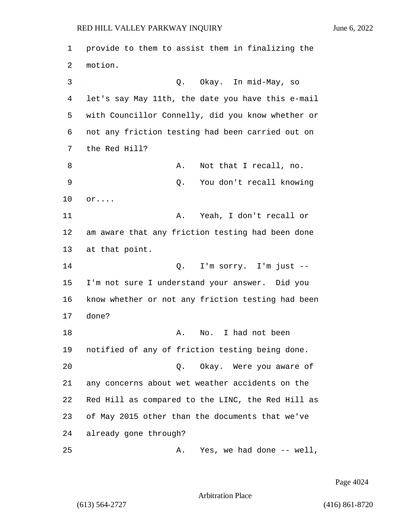1 provide to them to assist them in finalizing the 2 motion. 3 Q. Okay. In mid-May, so 4 let's say May 11th, the date you have this e-mail 5 with Councillor Connelly, did you know whether or 6 not any friction testing had been carried out on 7 the Red Hill? 8 A. Not that I recall, no. 9 Q. You don't recall knowing 10 or.... 11 A. Yeah, I don't recall or 12 am aware that any friction testing had been done 13 at that point. 14 Q. I'm sorry. I'm just -- 15 I'm not sure I understand your answer. Did you 16 know whether or not any friction testing had been 17 done? 18 A. No. I had not been 19 notified of any of friction testing being done. 20 Q. Okay. Were you aware of 21 any concerns about wet weather accidents on the 22 Red Hill as compared to the LINC, the Red Hill as 23 of May 2015 other than the documents that we've 24 already gone through? 25 A. Yes, we had done -- well,

Page 4024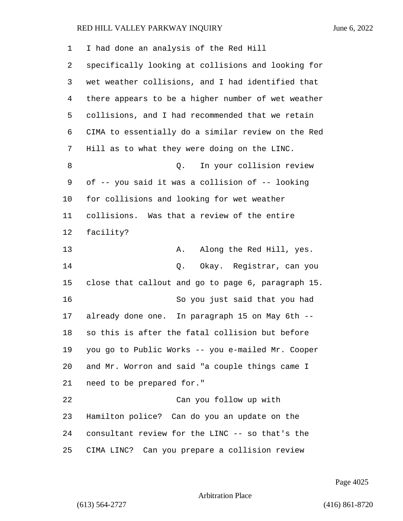I had done an analysis of the Red Hill specifically looking at collisions and looking for wet weather collisions, and I had identified that there appears to be a higher number of wet weather collisions, and I had recommended that we retain CIMA to essentially do a similar review on the Red Hill as to what they were doing on the LINC. 8 and 2. In your collision review of -- you said it was a collision of -- looking for collisions and looking for wet weather collisions. Was that a review of the entire facility? 13 A. Along the Red Hill, yes. 14 Q. Okay. Registrar, can you close that callout and go to page 6, paragraph 15. 16 So you just said that you had already done one. In paragraph 15 on May 6th -- so this is after the fatal collision but before you go to Public Works -- you e-mailed Mr. Cooper and Mr. Worron and said "a couple things came I need to be prepared for." 22 Can you follow up with Hamilton police? Can do you an update on the consultant review for the LINC -- so that's the CIMA LINC? Can you prepare a collision review

Page 4025

Arbitration Place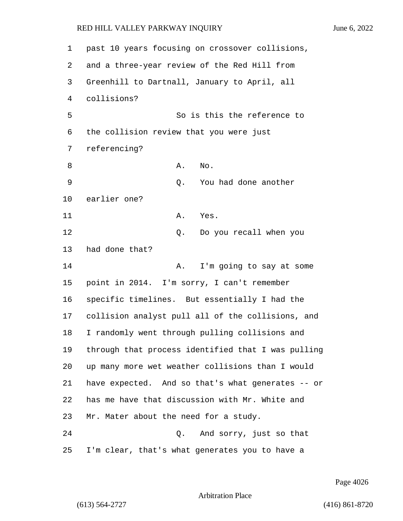| 1  | past 10 years focusing on crossover collisions,    |
|----|----------------------------------------------------|
| 2  | and a three-year review of the Red Hill from       |
| 3  | Greenhill to Dartnall, January to April, all       |
| 4  | collisions?                                        |
| 5  | So is this the reference to                        |
| 6  | the collision review that you were just            |
| 7  | referencing?                                       |
| 8  | Α.<br>No.                                          |
| 9  | You had done another<br>Q.                         |
| 10 | earlier one?                                       |
| 11 | Α.<br>Yes.                                         |
| 12 | Do you recall when you<br>Q.                       |
| 13 | had done that?                                     |
| 14 | I'm going to say at some<br>Α.                     |
| 15 | point in 2014. I'm sorry, I can't remember         |
| 16 | specific timelines. But essentially I had the      |
| 17 | collision analyst pull all of the collisions, and  |
| 18 | I randomly went through pulling collisions and     |
| 19 | through that process identified that I was pulling |
| 20 | up many more wet weather collisions than I would   |
| 21 | have expected. And so that's what generates -- or  |
| 22 | has me have that discussion with Mr. White and     |
| 23 | Mr. Mater about the need for a study.              |
| 24 | Q. And sorry, just so that                         |
| 25 | I'm clear, that's what generates you to have a     |

Page 4026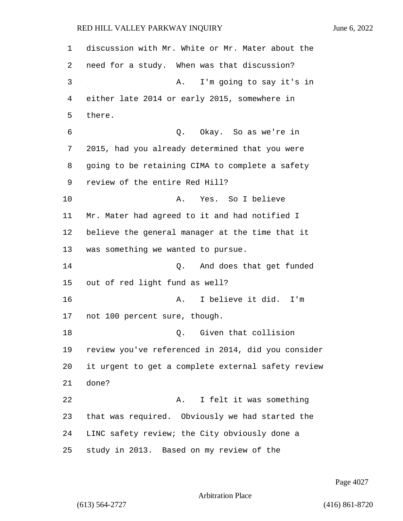discussion with Mr. White or Mr. Mater about the need for a study. When was that discussion? 3 A. I'm going to say it's in either late 2014 or early 2015, somewhere in there. 6 Q. Okay. So as we're in 2015, had you already determined that you were going to be retaining CIMA to complete a safety review of the entire Red Hill? 10 A. Yes. So I believe Mr. Mater had agreed to it and had notified I believe the general manager at the time that it was something we wanted to pursue. 14 Q. And does that get funded out of red light fund as well? 16 A. I believe it did. I'm not 100 percent sure, though. 18 C. Given that collision review you've referenced in 2014, did you consider it urgent to get a complete external safety review done? 22 A. I felt it was something that was required. Obviously we had started the LINC safety review; the City obviously done a study in 2013. Based on my review of the

Page 4027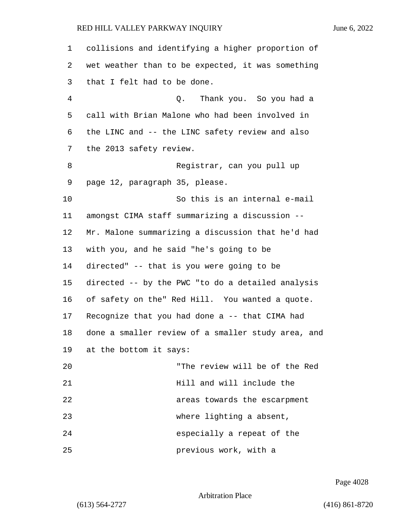collisions and identifying a higher proportion of wet weather than to be expected, it was something that I felt had to be done. 4 Q. Thank you. So you had a call with Brian Malone who had been involved in the LINC and -- the LINC safety review and also the 2013 safety review. 8 Registrar, can you pull up page 12, paragraph 35, please. 10 So this is an internal e-mail amongst CIMA staff summarizing a discussion -- Mr. Malone summarizing a discussion that he'd had with you, and he said "he's going to be directed" -- that is you were going to be directed -- by the PWC "to do a detailed analysis of safety on the" Red Hill. You wanted a quote. Recognize that you had done a -- that CIMA had done a smaller review of a smaller study area, and at the bottom it says: 20 "The review will be of the Red **Hill** and will include the 22 areas towards the escarpment 23 where lighting a absent, 24 especially a repeat of the 25 previous work, with a

Page 4028

Arbitration Place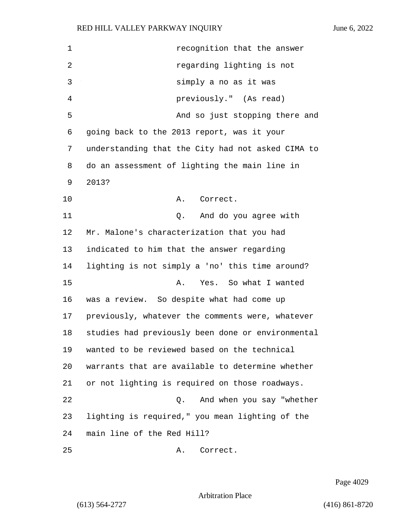| 1  | recognition that the answer                       |
|----|---------------------------------------------------|
| 2  | regarding lighting is not                         |
| 3  | simply a no as it was                             |
| 4  | previously." (As read)                            |
| 5  | And so just stopping there and                    |
| 6  | going back to the 2013 report, was it your        |
| 7  | understanding that the City had not asked CIMA to |
| 8  | do an assessment of lighting the main line in     |
| 9  | 2013?                                             |
| 10 | Correct.<br>Α.                                    |
| 11 | And do you agree with<br>Q.                       |
| 12 | Mr. Malone's characterization that you had        |
| 13 | indicated to him that the answer regarding        |
| 14 | lighting is not simply a 'no' this time around?   |
| 15 | Yes. So what I wanted<br>Α.                       |
| 16 | was a review. So despite what had come up         |
| 17 | previously, whatever the comments were, whatever  |
| 18 | studies had previously been done or environmental |
| 19 | wanted to be reviewed based on the technical      |
| 20 | warrants that are available to determine whether  |
| 21 | or not lighting is required on those roadways.    |
| 22 | And when you say "whether<br>Q.                   |
| 23 | lighting is required," you mean lighting of the   |
| 24 | main line of the Red Hill?                        |
| 25 | Correct.<br>Α.                                    |

Page 4029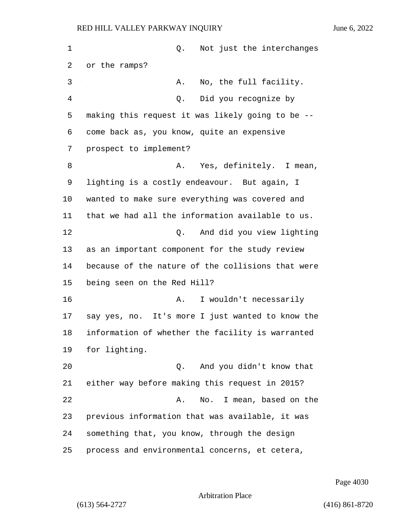1 and 1 Q. Not just the interchanges or the ramps? 3 A. No, the full facility. 4 Q. Did you recognize by making this request it was likely going to be -- come back as, you know, quite an expensive prospect to implement? 8 A. Yes, definitely. I mean, lighting is a costly endeavour. But again, I wanted to make sure everything was covered and that we had all the information available to us. 12 Q. And did you view lighting as an important component for the study review because of the nature of the collisions that were being seen on the Red Hill? 16 A. I wouldn't necessarily say yes, no. It's more I just wanted to know the information of whether the facility is warranted for lighting. 20 Q. And you didn't know that either way before making this request in 2015? 22 A. No. I mean, based on the previous information that was available, it was something that, you know, through the design process and environmental concerns, et cetera,

Page 4030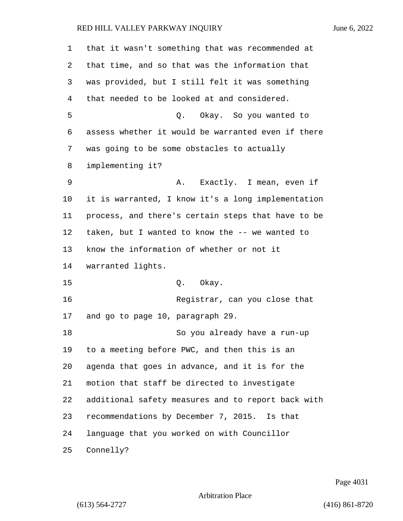| 1  | that it wasn't something that was recommended at   |
|----|----------------------------------------------------|
| 2  | that time, and so that was the information that    |
| 3  | was provided, but I still felt it was something    |
| 4  | that needed to be looked at and considered.        |
| 5  | Q. Okay. So you wanted to                          |
| 6  | assess whether it would be warranted even if there |
| 7  | was going to be some obstacles to actually         |
| 8  | implementing it?                                   |
| 9  | A. Exactly. I mean, even if                        |
| 10 | it is warranted, I know it's a long implementation |
| 11 | process, and there's certain steps that have to be |
| 12 | taken, but I wanted to know the -- we wanted to    |
| 13 | know the information of whether or not it          |
| 14 | warranted lights.                                  |
| 15 | Q. Okay.                                           |
| 16 | Registrar, can you close that                      |
| 17 | and go to page 10, paragraph 29.                   |
| 18 | So you already have a run-up                       |
| 19 | to a meeting before PWC, and then this is an       |
| 20 | agenda that goes in advance, and it is for the     |
| 21 | motion that staff be directed to investigate       |
| 22 | additional safety measures and to report back with |
| 23 | recommendations by December 7, 2015. Is that       |
| 24 | language that you worked on with Councillor        |
| 25 | Connelly?                                          |

Page 4031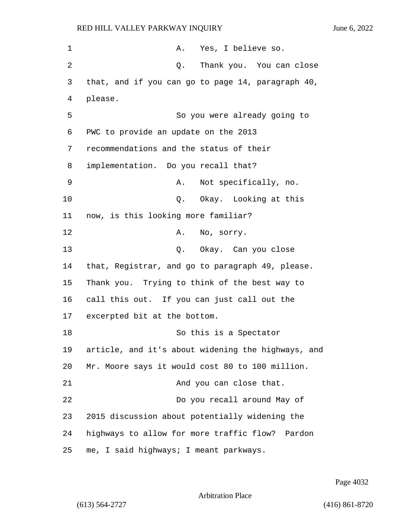1 A. Yes, I believe so. 2 Q. Thank you. You can close 3 that, and if you can go to page 14, paragraph 40, 4 please. 5 So you were already going to 6 PWC to provide an update on the 2013 7 recommendations and the status of their 8 implementation. Do you recall that? 9 A. Not specifically, no. 10 Q. Okay. Looking at this 11 now, is this looking more familiar? 12 A. No. sorry. 13 Q. Okay. Can you close 14 that, Registrar, and go to paragraph 49, please. 15 Thank you. Trying to think of the best way to 16 call this out. If you can just call out the 17 excerpted bit at the bottom. 18 So this is a Spectator 19 article, and it's about widening the highways, and 20 Mr. Moore says it would cost 80 to 100 million. 21 And you can close that. 22 Do you recall around May of 23 2015 discussion about potentially widening the 24 highways to allow for more traffic flow? Pardon 25 me, I said highways; I meant parkways.

Page 4032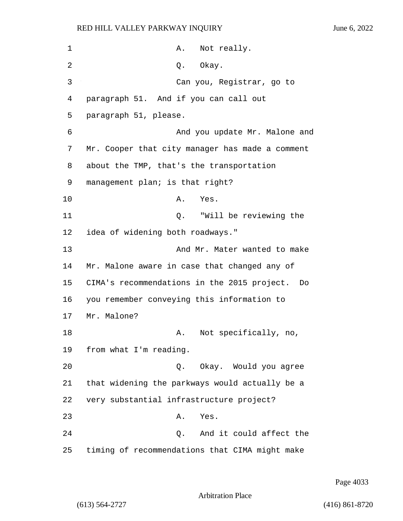| $\mathbf 1$ | Not really.<br>Α.                                 |
|-------------|---------------------------------------------------|
| 2           | Q. Okay.                                          |
| 3           | Can you, Registrar, go to                         |
| 4           | paragraph 51. And if you can call out             |
| 5           | paragraph 51, please.                             |
| 6           | And you update Mr. Malone and                     |
| 7           | Mr. Cooper that city manager has made a comment   |
| 8           | about the TMP, that's the transportation          |
| 9           | management plan; is that right?                   |
| 10          | Yes.<br>A.                                        |
| 11          | Q. "Will be reviewing the                         |
| 12          | idea of widening both roadways."                  |
| 13          | And Mr. Mater wanted to make                      |
| 14          | Mr. Malone aware in case that changed any of      |
| 15          | CIMA's recommendations in the 2015 project.<br>Do |
| 16          | you remember conveying this information to        |
| 17          | Mr. Malone?                                       |
| 18          | Not specifically, no,<br>A.                       |
| 19          | from what I'm reading.                            |
| 20          | Q. Okay. Would you agree                          |
| 21          | that widening the parkways would actually be a    |
| 22          | very substantial infrastructure project?          |
| 23          | Yes.<br>Α.                                        |
| 24          | And it could affect the<br>Q.                     |
| 25          | timing of recommendations that CIMA might make    |

Page 4033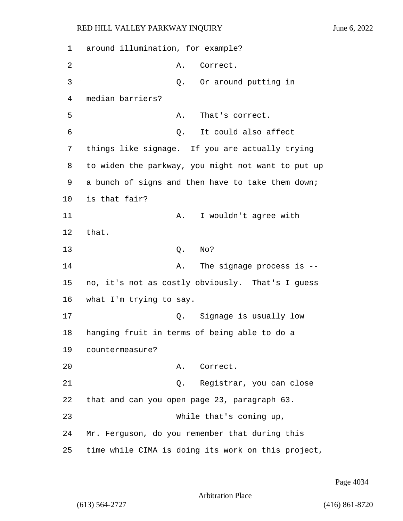1 around illumination, for example? 2 A. Correct. 3 Q. Or around putting in 4 median barriers? 5 A. That's correct. 6 Q. It could also affect 7 things like signage. If you are actually trying 8 to widen the parkway, you might not want to put up 9 a bunch of signs and then have to take them down; 10 is that fair? 11 A. I wouldn't agree with 12 that. 13 Q. No? 14 A. The signage process is --15 no, it's not as costly obviously. That's I guess 16 what I'm trying to say. 17 Q. Signage is usually low 18 hanging fruit in terms of being able to do a 19 countermeasure? 20 A. Correct. 21 Q. Registrar, you can close 22 that and can you open page 23, paragraph 63. 23 While that's coming up, 24 Mr. Ferguson, do you remember that during this 25 time while CIMA is doing its work on this project,

Page 4034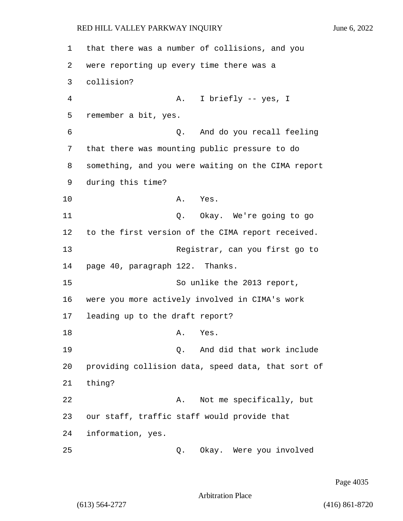1 that there was a number of collisions, and you 2 were reporting up every time there was a 3 collision? 4 A. I briefly -- yes, I 5 remember a bit, yes. 6 Q. And do you recall feeling 7 that there was mounting public pressure to do 8 something, and you were waiting on the CIMA report 9 during this time? 10 A. Yes. 11 Q. Okay. We're going to go 12 to the first version of the CIMA report received. 13 Registrar, can you first go to 14 page 40, paragraph 122. Thanks. 15 So unlike the 2013 report, 16 were you more actively involved in CIMA's work 17 leading up to the draft report? 18 A. Yes. 19 Q. And did that work include 20 providing collision data, speed data, that sort of 21 thing? 22 A. Not me specifically, but 23 our staff, traffic staff would provide that 24 information, yes. 25 Q. Okay. Were you involved

Page 4035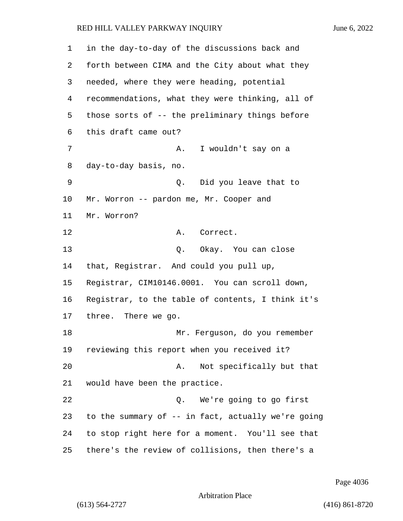in the day-to-day of the discussions back and forth between CIMA and the City about what they needed, where they were heading, potential recommendations, what they were thinking, all of those sorts of -- the preliminary things before this draft came out? 7 A. I wouldn't say on a day-to-day basis, no. 9 Q. Did you leave that to Mr. Worron -- pardon me, Mr. Cooper and Mr. Worron? 12 A. Correct. 13 Q. Okay. You can close that, Registrar. And could you pull up, Registrar, CIM10146.0001. You can scroll down, Registrar, to the table of contents, I think it's three. There we go. 18 Mr. Ferguson, do you remember reviewing this report when you received it? 20 A. Not specifically but that would have been the practice. 22 Q. We're going to go first to the summary of -- in fact, actually we're going to stop right here for a moment. You'll see that there's the review of collisions, then there's a

Arbitration Place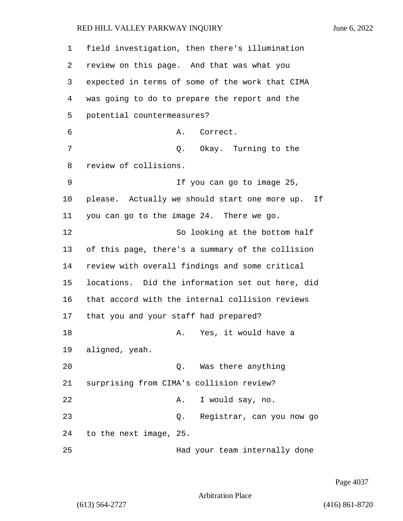field investigation, then there's illumination review on this page. And that was what you expected in terms of some of the work that CIMA was going to do to prepare the report and the potential countermeasures? 6 A. Correct. 7 C. Okay. Turning to the review of collisions. 9 If you can go to image 25, please. Actually we should start one more up. If you can go to the image 24. There we go. 12 So looking at the bottom half of this page, there's a summary of the collision review with overall findings and some critical locations. Did the information set out here, did that accord with the internal collision reviews that you and your staff had prepared? 18 A. Yes, it would have a aligned, yeah. 20 Q. Was there anything surprising from CIMA's collision review? 22 A. I would say, no. 23 Q. Registrar, can you now go to the next image, 25.

25 Had your team internally done

Page 4037

Arbitration Place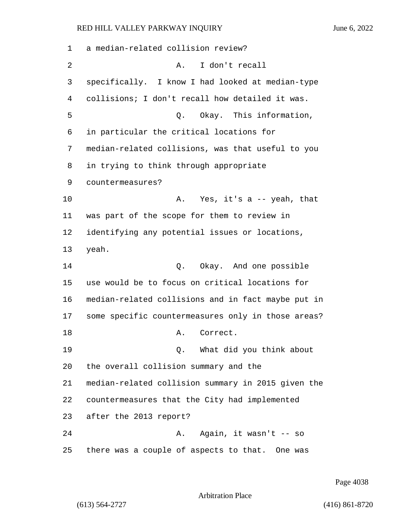a median-related collision review? 2 A. I don't recall specifically. I know I had looked at median-type collisions; I don't recall how detailed it was. 5 Q. Okay. This information, in particular the critical locations for median-related collisions, was that useful to you in trying to think through appropriate countermeasures? 10 A. Yes, it's a -- yeah, that was part of the scope for them to review in identifying any potential issues or locations, yeah. 14 O. Okay. And one possible use would be to focus on critical locations for median-related collisions and in fact maybe put in some specific countermeasures only in those areas? 18 A. Correct. 19 Q. What did you think about the overall collision summary and the median-related collision summary in 2015 given the countermeasures that the City had implemented after the 2013 report? 24 A. Again, it wasn't -- so there was a couple of aspects to that. One was

Page 4038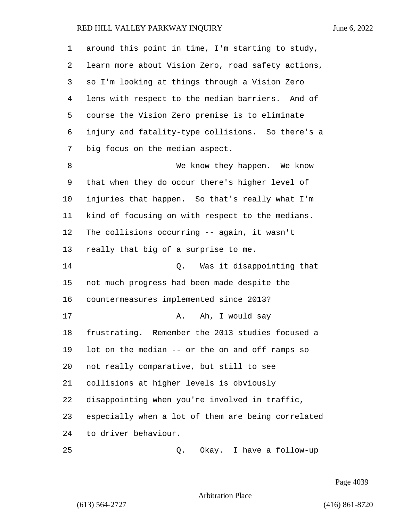| 1  | around this point in time, I'm starting to study,  |
|----|----------------------------------------------------|
| 2  | learn more about Vision Zero, road safety actions, |
| 3  | so I'm looking at things through a Vision Zero     |
| 4  | lens with respect to the median barriers. And of   |
| 5  | course the Vision Zero premise is to eliminate     |
| 6  | injury and fatality-type collisions. So there's a  |
| 7  | big focus on the median aspect.                    |
| 8  | We know they happen. We know                       |
| 9  | that when they do occur there's higher level of    |
| 10 | injuries that happen. So that's really what I'm    |
| 11 | kind of focusing on with respect to the medians.   |
| 12 | The collisions occurring -- again, it wasn't       |
| 13 | really that big of a surprise to me.               |
| 14 | Was it disappointing that<br>Q.                    |
| 15 | not much progress had been made despite the        |
| 16 | countermeasures implemented since 2013?            |
| 17 | Ah, I would say<br>Α.                              |
| 18 | frustrating. Remember the 2013 studies focused a   |
| 19 | lot on the median -- or the on and off ramps so    |
| 20 | not really comparative, but still to see           |
| 21 | collisions at higher levels is obviously           |
| 22 | disappointing when you're involved in traffic,     |
| 23 | especially when a lot of them are being correlated |
| 24 | to driver behaviour.                               |
| 25 | Okay. I have a follow-up<br>Q.                     |

Page 4039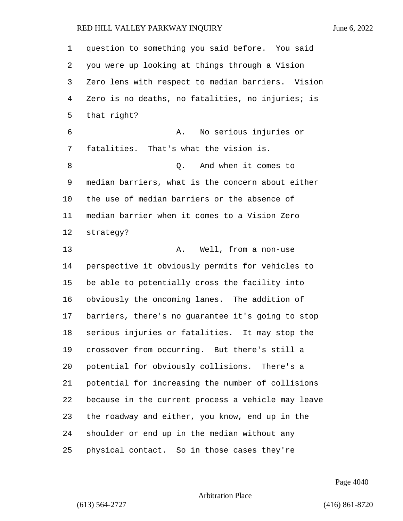question to something you said before. You said you were up looking at things through a Vision Zero lens with respect to median barriers. Vision Zero is no deaths, no fatalities, no injuries; is

 that right? 6 A. No serious injuries or fatalities. That's what the vision is. 8 and when it comes to median barriers, what is the concern about either the use of median barriers or the absence of median barrier when it comes to a Vision Zero strategy?

13 A. Well, from a non-use perspective it obviously permits for vehicles to be able to potentially cross the facility into obviously the oncoming lanes. The addition of barriers, there's no guarantee it's going to stop serious injuries or fatalities. It may stop the crossover from occurring. But there's still a potential for obviously collisions. There's a potential for increasing the number of collisions because in the current process a vehicle may leave the roadway and either, you know, end up in the shoulder or end up in the median without any physical contact. So in those cases they're

Page 4040

Arbitration Place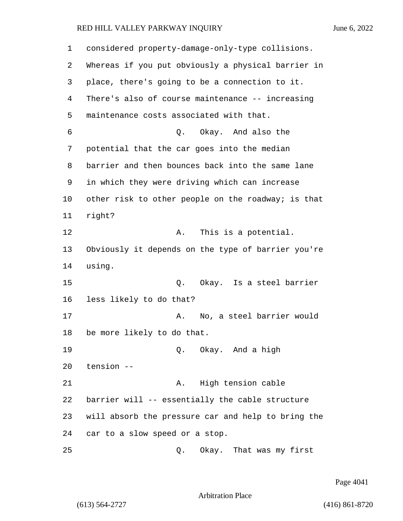| 1  | considered property-damage-only-type collisions.   |
|----|----------------------------------------------------|
| 2  | Whereas if you put obviously a physical barrier in |
| 3  | place, there's going to be a connection to it.     |
| 4  | There's also of course maintenance -- increasing   |
| 5  | maintenance costs associated with that.            |
| 6  | Okay. And also the<br>Q.                           |
| 7  | potential that the car goes into the median        |
| 8  | barrier and then bounces back into the same lane   |
| 9  | in which they were driving which can increase      |
| 10 | other risk to other people on the roadway; is that |
| 11 | right?                                             |
| 12 | This is a potential.<br>Α.                         |
| 13 | Obviously it depends on the type of barrier you're |
| 14 | using.                                             |
| 15 | Q. Okay. Is a steel barrier                        |
| 16 | less likely to do that?                            |
| 17 | No, a steel barrier would<br>Α.                    |
| 18 | be more likely to do that.                         |
| 19 | Q. Okay. And a high                                |
| 20 | tension --                                         |
| 21 | High tension cable<br>Α.                           |
| 22 | barrier will -- essentially the cable structure    |
| 23 | will absorb the pressure car and help to bring the |
| 24 | car to a slow speed or a stop.                     |
| 25 | Okay. That was my first<br>Q.                      |

Page 4041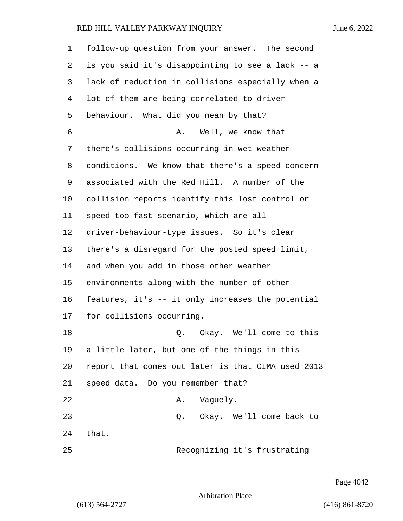| $\mathbf 1$ | follow-up question from your answer. The second    |
|-------------|----------------------------------------------------|
| 2           | is you said it's disappointing to see a lack -- a  |
| 3           | lack of reduction in collisions especially when a  |
| 4           | lot of them are being correlated to driver         |
| 5           | behaviour. What did you mean by that?              |
| 6           | Well, we know that<br>Α.                           |
| 7           | there's collisions occurring in wet weather        |
| 8           | conditions. We know that there's a speed concern   |
| 9           | associated with the Red Hill. A number of the      |
| 10          | collision reports identify this lost control or    |
| 11          | speed too fast scenario, which are all             |
| 12          | driver-behaviour-type issues. So it's clear        |
| 13          | there's a disregard for the posted speed limit,    |
| 14          | and when you add in those other weather            |
| 15          | environments along with the number of other        |
| 16          | features, it's -- it only increases the potential  |
| 17          | for collisions occurring.                          |
| 18          | Okay. We'll come to this<br>Q.                     |
| 19          | a little later, but one of the things in this      |
| 20          | report that comes out later is that CIMA used 2013 |
| 21          | speed data. Do you remember that?                  |
| 22          | Vaguely.<br>Α.                                     |
| 23          | Okay. We'll come back to<br>Q.                     |
| 24          | that.                                              |
| 25          | Recognizing it's frustrating                       |

Page 4042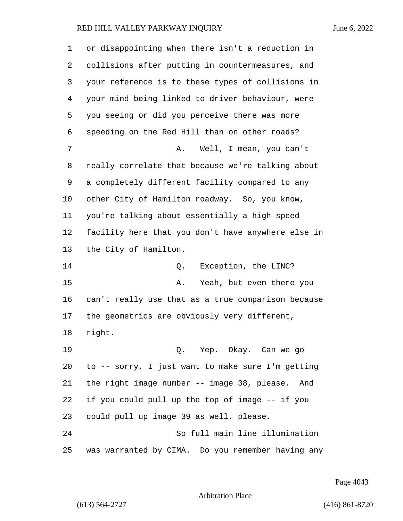| 1       | or disappointing when there isn't a reduction in   |
|---------|----------------------------------------------------|
| 2       | collisions after putting in countermeasures, and   |
| 3       | your reference is to these types of collisions in  |
| 4       | your mind being linked to driver behaviour, were   |
| 5       | you seeing or did you perceive there was more      |
| 6       | speeding on the Red Hill than on other roads?      |
| 7       | Well, I mean, you can't<br>Α.                      |
| 8       | really correlate that because we're talking about  |
| 9       | a completely different facility compared to any    |
| $10 \,$ | other City of Hamilton roadway. So, you know,      |
| 11      | you're talking about essentially a high speed      |
| 12      | facility here that you don't have anywhere else in |
| 13      | the City of Hamilton.                              |
| 14      | Exception, the LINC?<br>Q.                         |
| 15      | Yeah, but even there you<br>Α.                     |
| 16      | can't really use that as a true comparison because |
| 17      | the geometrics are obviously very different,       |
| 18      | right.                                             |
| 19      | Q. Yep. Okay. Can we go                            |
| 20      | to -- sorry, I just want to make sure I'm getting  |
| 21      | the right image number -- image 38, please. And    |
| 22      | if you could pull up the top of image -- if you    |
| 23      | could pull up image 39 as well, please.            |
| 24      | So full main line illumination                     |
| 25      | was warranted by CIMA. Do you remember having any  |

Page 4043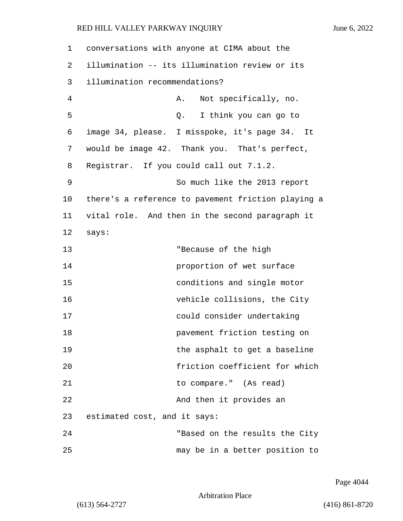1 conversations with anyone at CIMA about the 2 illumination -- its illumination review or its 3 illumination recommendations? 4 A. Not specifically, no. 5 Q. I think you can go to 6 image 34, please. I misspoke, it's page 34. It 7 would be image 42. Thank you. That's perfect, 8 Registrar. If you could call out 7.1.2. 9 So much like the 2013 report 10 there's a reference to pavement friction playing a 11 vital role. And then in the second paragraph it 12 says: 13 "Because of the high 14 proportion of wet surface 15 conditions and single motor 16 vehicle collisions, the City 17 could consider undertaking 18 **pavement** friction testing on 19 **19** the asphalt to get a baseline 20 friction coefficient for which 21 to compare." (As read) 22 And then it provides an 23 estimated cost, and it says: 24 "Based on the results the City 25 may be in a better position to

Page 4044

Arbitration Place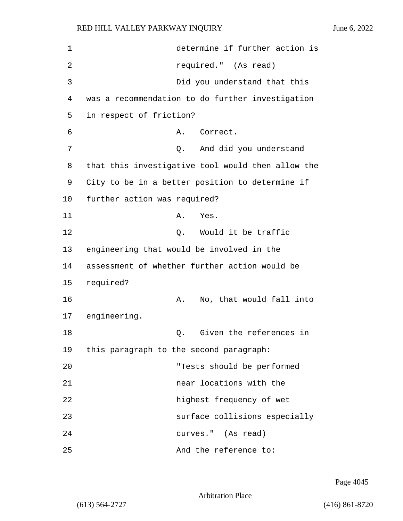| 1  | determine if further action is                    |
|----|---------------------------------------------------|
| 2  | required." (As read)                              |
| 3  | Did you understand that this                      |
| 4  | was a recommendation to do further investigation  |
| 5  | in respect of friction?                           |
| 6  | Correct.<br>Α.                                    |
| 7  | And did you understand<br>Q.                      |
| 8  | that this investigative tool would then allow the |
| 9  | City to be in a better position to determine if   |
| 10 | further action was required?                      |
| 11 | Yes.<br>Α.                                        |
| 12 | Would it be traffic<br>Q.                         |
| 13 | engineering that would be involved in the         |
| 14 | assessment of whether further action would be     |
| 15 | required?                                         |
| 16 | No, that would fall into<br>Α.                    |
| 17 | engineering.                                      |
| 18 | Given the references in<br>Q.                     |
| 19 | this paragraph to the second paragraph:           |
| 20 | "Tests should be performed                        |
| 21 | near locations with the                           |
| 22 | highest frequency of wet                          |
| 23 | surface collisions especially                     |
| 24 | curves." (As read)                                |
| 25 | And the reference to:                             |

Page 4045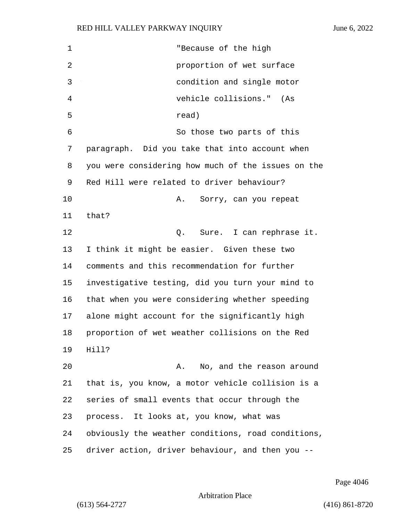| 1              | "Because of the high                               |
|----------------|----------------------------------------------------|
| $\overline{2}$ | proportion of wet surface                          |
| 3              | condition and single motor                         |
| 4              | vehicle collisions." (As                           |
| 5              | read)                                              |
| 6              | So those two parts of this                         |
| 7              | paragraph. Did you take that into account when     |
| 8              | you were considering how much of the issues on the |
| 9              | Red Hill were related to driver behaviour?         |
| 10             | Sorry, can you repeat<br>Α.                        |
| 11             | that?                                              |
| 12             | Sure. I can rephrase it.<br>Q.                     |
| 13             | I think it might be easier. Given these two        |
| 14             | comments and this recommendation for further       |
| 15             | investigative testing, did you turn your mind to   |
| 16             | that when you were considering whether speeding    |
| 17             | alone might account for the significantly high     |
| 18             | proportion of wet weather collisions on the Red    |
| 19             | Hill?                                              |
| 20             | No, and the reason around<br>Α.                    |
| 21             | that is, you know, a motor vehicle collision is a  |
| 22             | series of small events that occur through the      |
| 23             | process. It looks at, you know, what was           |
| 24             | obviously the weather conditions, road conditions, |
| 25             | driver action, driver behaviour, and then you --   |

Page 4046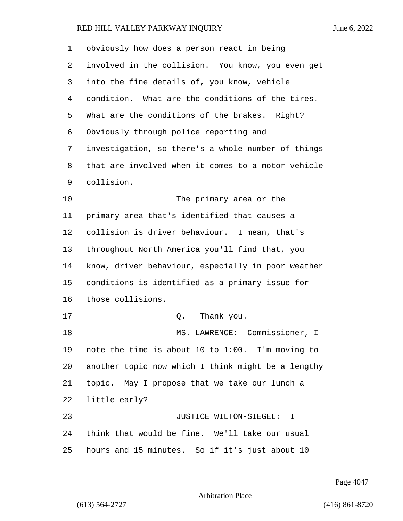| $\mathbf 1$ | obviously how does a person react in being         |
|-------------|----------------------------------------------------|
| 2           | involved in the collision. You know, you even get  |
| 3           | into the fine details of, you know, vehicle        |
| 4           | condition. What are the conditions of the tires.   |
| 5           | What are the conditions of the brakes. Right?      |
| 6           | Obviously through police reporting and             |
| 7           | investigation, so there's a whole number of things |
| 8           | that are involved when it comes to a motor vehicle |
| 9           | collision.                                         |
| 10          | The primary area or the                            |
| 11          | primary area that's identified that causes a       |
| 12          | collision is driver behaviour. I mean, that's      |
| 13          | throughout North America you'll find that, you     |
| 14          | know, driver behaviour, especially in poor weather |
| 15          | conditions is identified as a primary issue for    |
| 16          | those collisions.                                  |
| 17          | Q.<br>Thank you.                                   |
| 18          | MS. LAWRENCE: Commissioner, I                      |
| 19          | note the time is about 10 to 1:00. I'm moving to   |
| 20          | another topic now which I think might be a lengthy |
| 21          | topic. May I propose that we take our lunch a      |
| 22          | little early?                                      |
| 23          | JUSTICE WILTON-SIEGEL: I                           |
| 24          | think that would be fine. We'll take our usual     |
| 25          | hours and 15 minutes. So if it's just about 10     |

Page 4047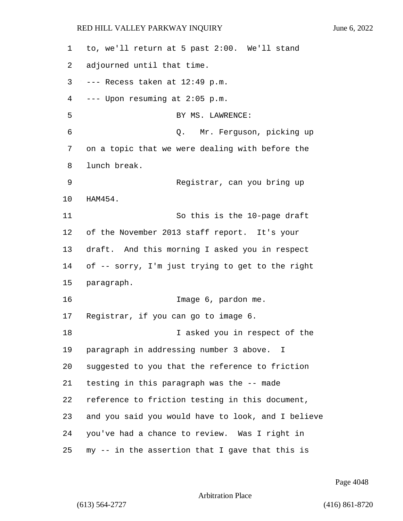| 1  | to, we'll return at 5 past 2:00. We'll stand       |
|----|----------------------------------------------------|
| 2  | adjourned until that time.                         |
| 3  | --- Recess taken at 12:49 p.m.                     |
| 4  | --- Upon resuming at 2:05 p.m.                     |
| 5  | BY MS. LAWRENCE:                                   |
| 6  | Q. Mr. Ferguson, picking up                        |
| 7  | on a topic that we were dealing with before the    |
| 8  | lunch break.                                       |
| 9  | Registrar, can you bring up                        |
| 10 | HAM454.                                            |
| 11 | So this is the 10-page draft                       |
| 12 | of the November 2013 staff report. It's your       |
| 13 | draft. And this morning I asked you in respect     |
| 14 | of -- sorry, I'm just trying to get to the right   |
| 15 | paragraph.                                         |
| 16 | Image 6, pardon me.                                |
| 17 | Registrar, if you can go to image 6.               |
| 18 | I asked you in respect of the                      |
| 19 | paragraph in addressing number 3 above. I          |
| 20 | suggested to you that the reference to friction    |
| 21 | testing in this paragraph was the -- made          |
| 22 | reference to friction testing in this document,    |
| 23 | and you said you would have to look, and I believe |
| 24 | you've had a chance to review. Was I right in      |
| 25 | my -- in the assertion that I gave that this is    |

Page 4048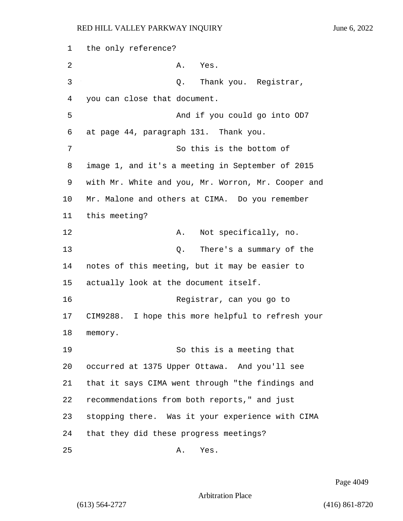1 the only reference? 2 A. Yes. 3 Q. Thank you. Registrar, 4 you can close that document. 5 And if you could go into OD7 6 at page 44, paragraph 131. Thank you. 7 So this is the bottom of 8 image 1, and it's a meeting in September of 2015 9 with Mr. White and you, Mr. Worron, Mr. Cooper and 10 Mr. Malone and others at CIMA. Do you remember 11 this meeting? 12 A. Not specifically, no. 13 Q. There's a summary of the 14 notes of this meeting, but it may be easier to 15 actually look at the document itself. 16 Registrar, can you go to 17 CIM9288. I hope this more helpful to refresh your 18 memory. 19 So this is a meeting that 20 occurred at 1375 Upper Ottawa. And you'll see 21 that it says CIMA went through "the findings and 22 recommendations from both reports," and just 23 stopping there. Was it your experience with CIMA 24 that they did these progress meetings? 25 A. Yes.

Page 4049

Arbitration Place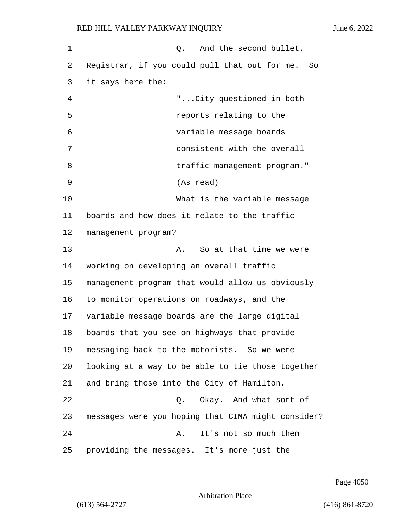| 1  | And the second bullet,<br>Q.                       |
|----|----------------------------------------------------|
| 2  | Registrar, if you could pull that out for me. So   |
| 3  | it says here the:                                  |
| 4  | "City questioned in both                           |
| 5  | reports relating to the                            |
| 6  | variable message boards                            |
| 7  | consistent with the overall                        |
| 8  | traffic management program."                       |
| 9  | (As read)                                          |
| 10 | What is the variable message                       |
| 11 | boards and how does it relate to the traffic       |
| 12 | management program?                                |
| 13 | So at that time we were<br>Α.                      |
| 14 | working on developing an overall traffic           |
| 15 | management program that would allow us obviously   |
| 16 | to monitor operations on roadways, and the         |
| 17 | variable message boards are the large digital      |
| 18 | boards that you see on highways that provide       |
| 19 | messaging back to the motorists. So we were        |
| 20 | looking at a way to be able to tie those together  |
| 21 | and bring those into the City of Hamilton.         |
| 22 | Okay. And what sort of<br>Q.                       |
| 23 | messages were you hoping that CIMA might consider? |
| 24 | It's not so much them<br>Α.                        |
| 25 | providing the messages. It's more just the         |

Page 4050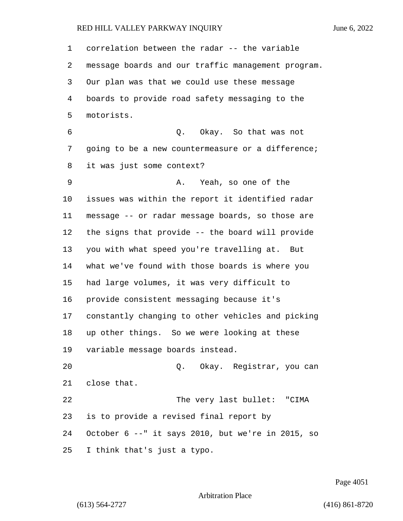correlation between the radar -- the variable message boards and our traffic management program. Our plan was that we could use these message boards to provide road safety messaging to the motorists. 6 Q. Okay. So that was not going to be a new countermeasure or a difference; it was just some context? 9 A. Yeah, so one of the issues was within the report it identified radar message -- or radar message boards, so those are the signs that provide -- the board will provide you with what speed you're travelling at. But what we've found with those boards is where you had large volumes, it was very difficult to provide consistent messaging because it's constantly changing to other vehicles and picking up other things. So we were looking at these variable message boards instead. 20 Q. Okay. Registrar, you can close that. 22 The very last bullet: "CIMA is to provide a revised final report by October 6 --" it says 2010, but we're in 2015, so I think that's just a typo.

Page 4051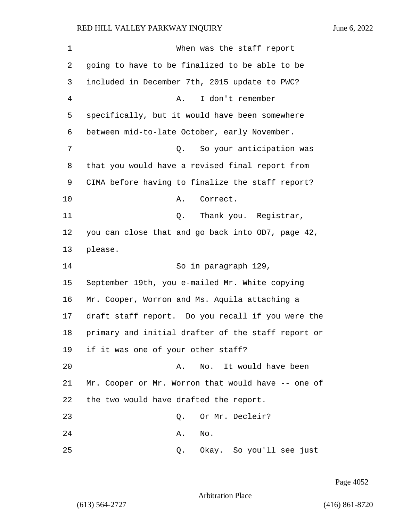| 1  | When was the staff report                          |
|----|----------------------------------------------------|
| 2  | going to have to be finalized to be able to be     |
| 3  | included in December 7th, 2015 update to PWC?      |
| 4  | I don't remember<br>Α.                             |
| 5  | specifically, but it would have been somewhere     |
| 6  | between mid-to-late October, early November.       |
| 7  | So your anticipation was<br>Q.                     |
| 8  | that you would have a revised final report from    |
| 9  | CIMA before having to finalize the staff report?   |
| 10 | Correct.<br>Α.                                     |
| 11 | Thank you. Registrar,<br>Q.                        |
| 12 | you can close that and go back into OD7, page 42,  |
| 13 | please.                                            |
| 14 | So in paragraph 129,                               |
| 15 | September 19th, you e-mailed Mr. White copying     |
| 16 | Mr. Cooper, Worron and Ms. Aquila attaching a      |
| 17 | draft staff report. Do you recall if you were the  |
| 18 | primary and initial drafter of the staff report or |
| 19 | if it was one of your other staff?                 |
| 20 | No. It would have been<br>Α.                       |
| 21 | Mr. Cooper or Mr. Worron that would have -- one of |
| 22 | the two would have drafted the report.             |
| 23 | Or Mr. Decleir?<br>Q.                              |
| 24 | No.<br>Α.                                          |
| 25 | Okay. So you'll see just<br>Q.                     |

Page 4052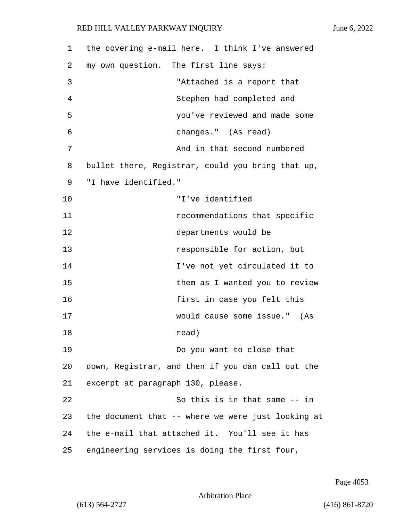1 the covering e-mail here. I think I've answered 2 my own question. The first line says: 3 "Attached is a report that 4 Stephen had completed and 5 you've reviewed and made some 6 changes." (As read) 7 And in that second numbered 8 bullet there, Registrar, could you bring that up, 9 "I have identified." 10 "I've identified 11 recommendations that specific 12 departments would be 13 responsible for action, but 14 I've not yet circulated it to 15 them as I wanted you to review 16 **first in case you felt this** 17 would cause some issue." (As 18 read) 19 Do you want to close that 20 down, Registrar, and then if you can call out the 21 excerpt at paragraph 130, please. 22 So this is in that same -- in 23 the document that -- where we were just looking at 24 the e-mail that attached it. You'll see it has 25 engineering services is doing the first four,

Page 4053

Arbitration Place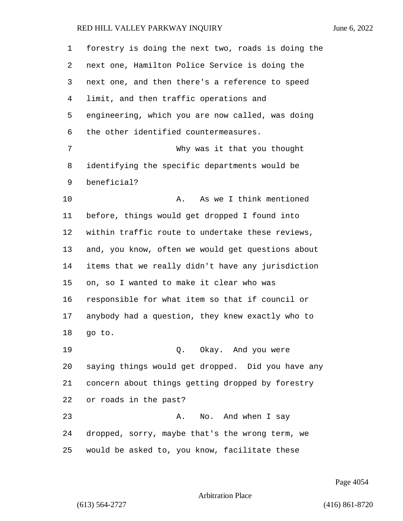| $\mathbf{1}$ | forestry is doing the next two, roads is doing the |
|--------------|----------------------------------------------------|
| 2            | next one, Hamilton Police Service is doing the     |
| 3            | next one, and then there's a reference to speed    |
| 4            | limit, and then traffic operations and             |
| 5            | engineering, which you are now called, was doing   |
| 6            | the other identified countermeasures.              |
| 7            | Why was it that you thought                        |
| 8            | identifying the specific departments would be      |
| 9            | beneficial?                                        |
| 10           | As we I think mentioned<br>Α.                      |
| 11           | before, things would get dropped I found into      |
| 12           | within traffic route to undertake these reviews,   |
| 13           | and, you know, often we would get questions about  |
| 14           | items that we really didn't have any jurisdiction  |
| 15           | on, so I wanted to make it clear who was           |
| 16           | responsible for what item so that if council or    |
| 17           | anybody had a question, they knew exactly who to   |
| 18           | go to.                                             |
| 19           | Q. Okay. And you were                              |
| 20           | saying things would get dropped. Did you have any  |
| 21           | concern about things getting dropped by forestry   |
| 22           | or roads in the past?                              |
| 23           | No. And when I say<br>Α.                           |
| 24           | dropped, sorry, maybe that's the wrong term, we    |
| 25           | would be asked to, you know, facilitate these      |

Page 4054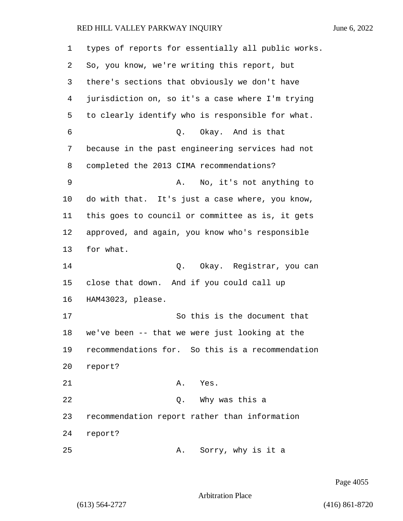| 1  | types of reports for essentially all public works. |
|----|----------------------------------------------------|
| 2  | So, you know, we're writing this report, but       |
| 3  | there's sections that obviously we don't have      |
| 4  | jurisdiction on, so it's a case where I'm trying   |
| 5  | to clearly identify who is responsible for what.   |
| 6  | Q. Okay. And is that                               |
| 7  | because in the past engineering services had not   |
| 8  | completed the 2013 CIMA recommendations?           |
| 9  | No, it's not anything to<br>Α.                     |
| 10 | do with that. It's just a case where, you know,    |
| 11 | this goes to council or committee as is, it gets   |
| 12 | approved, and again, you know who's responsible    |
| 13 | for what.                                          |
| 14 | Okay. Registrar, you can<br>Q.                     |
| 15 | close that down. And if you could call up          |
| 16 | HAM43023, please.                                  |
| 17 | So this is the document that                       |
| 18 | we've been -- that we were just looking at the     |
| 19 | recommendations for. So this is a recommendation   |
| 20 | report?                                            |
| 21 | A. Yes.                                            |
| 22 | Q. Why was this a                                  |
| 23 | recommendation report rather than information      |
| 24 | report?                                            |
| 25 | Sorry, why is it a<br>Α.                           |

Page 4055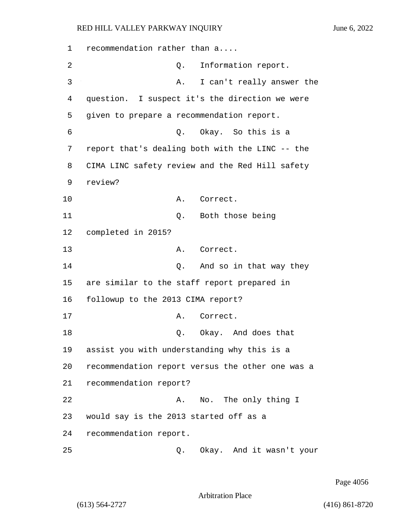1 recommendation rather than a.... 2 Q. Information report. 3 A. I can't really answer the 4 question. I suspect it's the direction we were 5 given to prepare a recommendation report. 6 Q. Okay. So this is a 7 report that's dealing both with the LINC -- the 8 CIMA LINC safety review and the Red Hill safety 9 review? 10 A. Correct. 11 Q. Both those being 12 completed in 2015? 13 A. Correct. 14 Q. And so in that way they 15 are similar to the staff report prepared in 16 followup to the 2013 CIMA report? 17 A. Correct. 18 Q. Okay. And does that 19 assist you with understanding why this is a 20 recommendation report versus the other one was a 21 recommendation report? 22 A. No. The only thing I 23 would say is the 2013 started off as a 24 recommendation report. 25 Q. Okay. And it wasn't your

Page 4056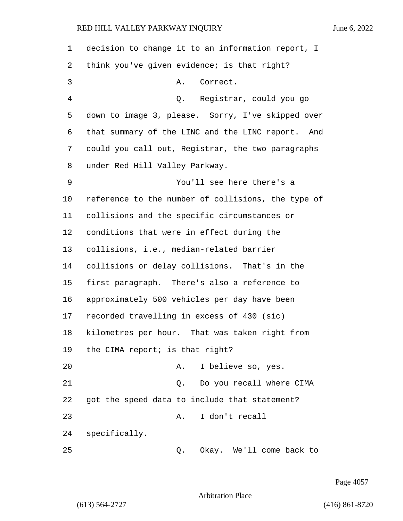| 1  | decision to change it to an information report, I  |
|----|----------------------------------------------------|
| 2  | think you've given evidence; is that right?        |
| 3  | Correct.<br>Α.                                     |
| 4  | Q. Registrar, could you go                         |
| 5  | down to image 3, please. Sorry, I've skipped over  |
| 6  | that summary of the LINC and the LINC report. And  |
| 7  | could you call out, Registrar, the two paragraphs  |
| 8  | under Red Hill Valley Parkway.                     |
| 9  | You'll see here there's a                          |
| 10 | reference to the number of collisions, the type of |
| 11 | collisions and the specific circumstances or       |
| 12 | conditions that were in effect during the          |
| 13 | collisions, i.e., median-related barrier           |
| 14 | collisions or delay collisions. That's in the      |
| 15 | first paragraph. There's also a reference to       |
| 16 | approximately 500 vehicles per day have been       |
| 17 | recorded travelling in excess of 430 (sic)         |
| 18 | kilometres per hour. That was taken right from     |
| 19 | the CIMA report; is that right?                    |
| 20 | I believe so, yes.<br>Α.                           |
| 21 | Do you recall where CIMA<br>Q.                     |
| 22 | got the speed data to include that statement?      |
| 23 | I don't recall<br>Α.                               |
| 24 | specifically.                                      |
| 25 | Okay. We'll come back to<br>Q.                     |

Page 4057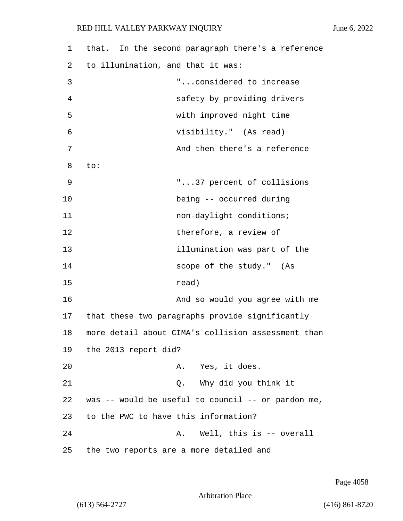| 1  | that. In the second paragraph there's a reference  |
|----|----------------------------------------------------|
| 2  | to illumination, and that it was:                  |
| 3  | "considered to increase                            |
| 4  | safety by providing drivers                        |
| 5  | with improved night time                           |
| 6  | visibility." (As read)                             |
| 7  | And then there's a reference                       |
| 8  | to:                                                |
| 9  | "37 percent of collisions                          |
| 10 | being -- occurred during                           |
| 11 | non-daylight conditions;                           |
| 12 | therefore, a review of                             |
| 13 | illumination was part of the                       |
| 14 | scope of the study." (As                           |
| 15 | read)                                              |
| 16 | And so would you agree with me                     |
| 17 | that these two paragraphs provide significantly    |
| 18 | more detail about CIMA's collision assessment than |
| 19 | the 2013 report did?                               |
| 20 | A. Yes, it does.                                   |
| 21 | Why did you think it<br>Q.                         |
| 22 | was -- would be useful to council -- or pardon me, |
| 23 | to the PWC to have this information?               |
| 24 | Well, this is -- overall<br>Α.                     |
| 25 | the two reports are a more detailed and            |

Page 4058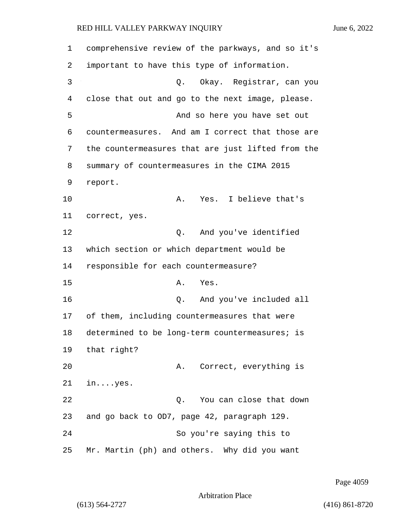1 comprehensive review of the parkways, and so it's 2 important to have this type of information. 3 Q. Okay. Registrar, can you 4 close that out and go to the next image, please. 5 And so here you have set out 6 countermeasures. And am I correct that those are 7 the countermeasures that are just lifted from the 8 summary of countermeasures in the CIMA 2015 9 report. 10 A. Yes. I believe that's 11 correct, yes. 12 O. And you've identified 13 which section or which department would be 14 responsible for each countermeasure? 15 A. Yes. 16 Q. And you've included all 17 of them, including countermeasures that were 18 determined to be long-term countermeasures; is 19 that right? 20 A. Correct, everything is 21 in....yes. 22 Q. You can close that down 23 and go back to OD7, page 42, paragraph 129. 24 So you're saying this to 25 Mr. Martin (ph) and others. Why did you want

Page 4059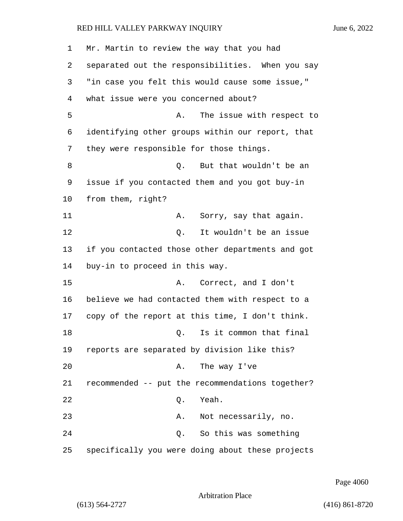| 1  | Mr. Martin to review the way that you had        |
|----|--------------------------------------------------|
| 2  | separated out the responsibilities. When you say |
| 3  | "in case you felt this would cause some issue,"  |
| 4  | what issue were you concerned about?             |
| 5  | The issue with respect to<br>Α.                  |
| 6  | identifying other groups within our report, that |
| 7  | they were responsible for those things.          |
| 8  | But that wouldn't be an<br>0.                    |
| 9  | issue if you contacted them and you got buy-in   |
| 10 | from them, right?                                |
| 11 | Sorry, say that again.<br>Α.                     |
| 12 | It wouldn't be an issue<br>Q.                    |
| 13 | if you contacted those other departments and got |
| 14 | buy-in to proceed in this way.                   |
| 15 | Correct, and I don't<br>Α.                       |
| 16 | believe we had contacted them with respect to a  |
| 17 | copy of the report at this time, I don't think.  |
| 18 | Is it common that final<br>Q.                    |
| 19 | reports are separated by division like this?     |
| 20 | The way I've<br>Α.                               |
| 21 | recommended -- put the recommendations together? |
| 22 | Yeah.<br>Q.                                      |
| 23 | Α.<br>Not necessarily, no.                       |
| 24 | So this was something<br>Q.                      |
| 25 | specifically you were doing about these projects |

Page 4060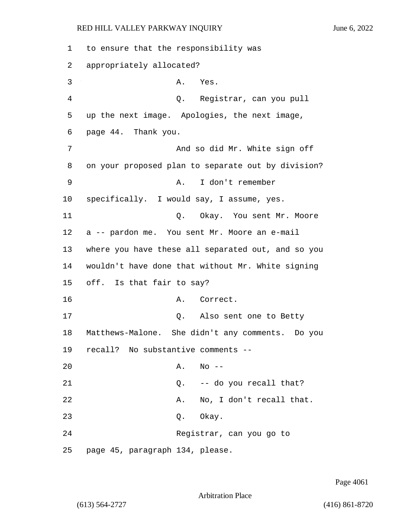1 to ensure that the responsibility was 2 appropriately allocated? 3 A. Yes. 4 Q. Registrar, can you pull 5 up the next image. Apologies, the next image, 6 page 44. Thank you. 7 And so did Mr. White sign off 8 on your proposed plan to separate out by division? 9 A. I don't remember 10 specifically. I would say, I assume, yes. 11 Q. Okay. You sent Mr. Moore 12 a -- pardon me. You sent Mr. Moore an e-mail 13 where you have these all separated out, and so you 14 wouldn't have done that without Mr. White signing 15 off. Is that fair to say? 16 A. Correct. 17 Q. Also sent one to Betty 18 Matthews-Malone. She didn't any comments. Do you 19 recall? No substantive comments -- 20 A. No -- 21 Q. -- do you recall that? 22 A. No, I don't recall that. 23 Q. Okay. 24 Registrar, can you go to 25 page 45, paragraph 134, please.

Page 4061

Arbitration Place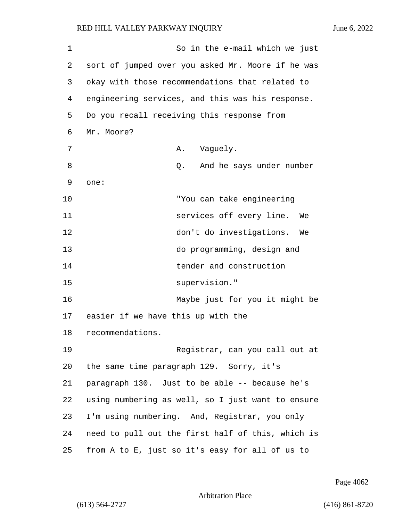1 So in the e-mail which we just 2 sort of jumped over you asked Mr. Moore if he was 3 okay with those recommendations that related to 4 engineering services, and this was his response. 5 Do you recall receiving this response from 6 Mr. Moore? 7 A. Vaquely. 8 and D. And he says under number 9 one: 10 "You can take engineering 11 services off every line. We 12 don't do investigations. We 13 do programming, design and 14 tender and construction 15 supervision." 16 Maybe just for you it might be 17 easier if we have this up with the 18 recommendations. 19 Registrar, can you call out at 20 the same time paragraph 129. Sorry, it's 21 paragraph 130. Just to be able -- because he's 22 using numbering as well, so I just want to ensure 23 I'm using numbering. And, Registrar, you only 24 need to pull out the first half of this, which is 25 from A to E, just so it's easy for all of us to

Page 4062

```
Arbitration Place
```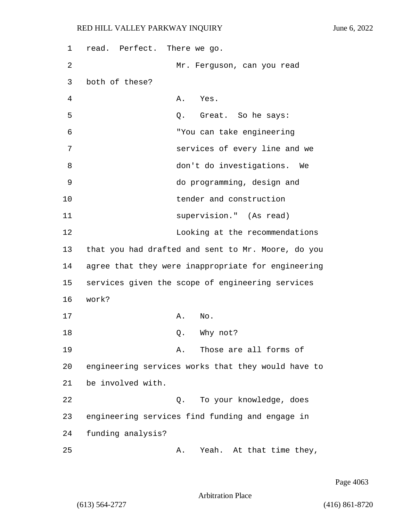1 read. Perfect. There we go. 2 Mr. Ferguson, can you read 3 both of these? 4 A. Yes. 5 Q. Great. So he says: 6 "You can take engineering 7 services of every line and we 8 don't do investigations. We 9 do programming, design and 10 tender and construction 11 supervision." (As read) 12 Looking at the recommendations 13 that you had drafted and sent to Mr. Moore, do you 14 agree that they were inappropriate for engineering 15 services given the scope of engineering services 16 work? 17 A. No. 18 Q. Why not? 19 A. Those are all forms of 20 engineering services works that they would have to 21 be involved with. 22 Q. To your knowledge, does 23 engineering services find funding and engage in 24 funding analysis? 25 A. Yeah. At that time they,

Page 4063

Arbitration Place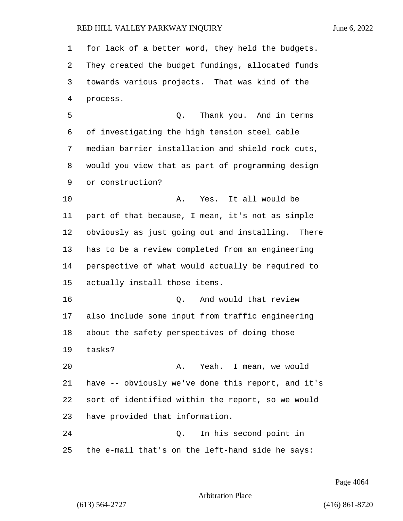for lack of a better word, they held the budgets. They created the budget fundings, allocated funds towards various projects. That was kind of the process. 5 Q. Thank you. And in terms of investigating the high tension steel cable median barrier installation and shield rock cuts, would you view that as part of programming design or construction? 10 A. Yes. It all would be part of that because, I mean, it's not as simple obviously as just going out and installing. There has to be a review completed from an engineering perspective of what would actually be required to actually install those items. **16 D.** And would that review also include some input from traffic engineering about the safety perspectives of doing those tasks? 20 A. Yeah. I mean, we would have -- obviously we've done this report, and it's sort of identified within the report, so we would have provided that information. 24 Q. In his second point in the e-mail that's on the left-hand side he says:

Page 4064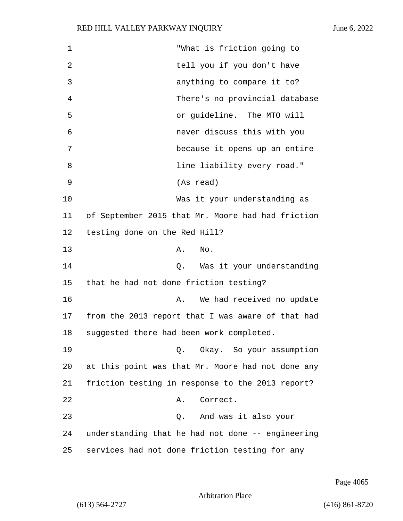| 1              | "What is friction going to                        |
|----------------|---------------------------------------------------|
| $\overline{2}$ | tell you if you don't have                        |
| 3              | anything to compare it to?                        |
| 4              | There's no provincial database                    |
| 5              | or guideline. The MTO will                        |
| 6              | never discuss this with you                       |
| 7              | because it opens up an entire                     |
| 8              | line liability every road."                       |
| 9              | (As read)                                         |
| 10             | Was it your understanding as                      |
| 11             | of September 2015 that Mr. Moore had had friction |
| 12             | testing done on the Red Hill?                     |
| 13             | No.<br>Α.                                         |
| 14             | Was it your understanding<br>Q.                   |
| 15             | that he had not done friction testing?            |
| 16             | We had received no update<br>Α.                   |
| 17             | from the 2013 report that I was aware of that had |
| 18             | suggested there had been work completed.          |
| 19             | Q. Okay. So your assumption                       |
| 20             | at this point was that Mr. Moore had not done any |
| 21             | friction testing in response to the 2013 report?  |
| 22             | Correct.<br>Α.                                    |
| 23             | And was it also your<br>Q.                        |
| 24             | understanding that he had not done -- engineering |
| 25             | services had not done friction testing for any    |

Page 4065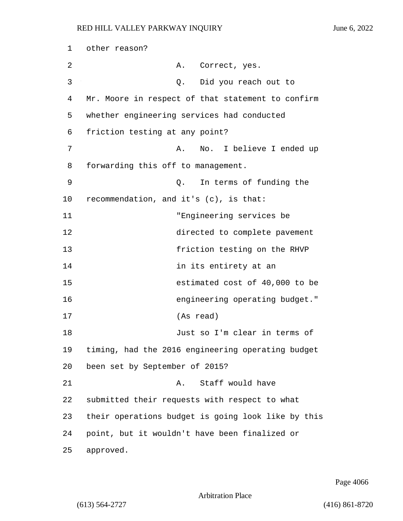| 1  | other reason?                                      |
|----|----------------------------------------------------|
| 2  | Correct, yes.<br>А.                                |
| 3  | Did you reach out to<br>Q.                         |
| 4  | Mr. Moore in respect of that statement to confirm  |
| 5  | whether engineering services had conducted         |
| 6  | friction testing at any point?                     |
| 7  | No. I believe I ended up<br>Α.                     |
| 8  | forwarding this off to management.                 |
| 9  | In terms of funding the<br>Q.                      |
| 10 | recommendation, and it's (c), is that:             |
| 11 | "Engineering services be                           |
| 12 | directed to complete pavement                      |
| 13 | friction testing on the RHVP                       |
| 14 | in its entirety at an                              |
| 15 | estimated cost of 40,000 to be                     |
| 16 | engineering operating budget."                     |
| 17 | (As read)                                          |
| 18 | Just so I'm clear in terms of                      |
| 19 | timing, had the 2016 engineering operating budget  |
| 20 | been set by September of 2015?                     |
| 21 | Staff would have<br>Α.                             |
| 22 | submitted their requests with respect to what      |
| 23 | their operations budget is going look like by this |
| 24 | point, but it wouldn't have been finalized or      |
| 25 | approved.                                          |

Page 4066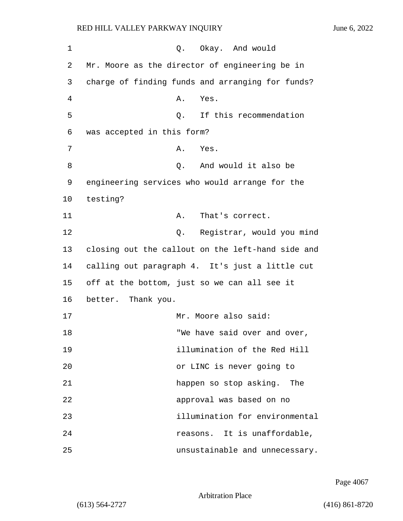1 O. Okay. And would 2 Mr. Moore as the director of engineering be in 3 charge of finding funds and arranging for funds? 4 A. Yes. 5 Q. If this recommendation 6 was accepted in this form? 7 A. Yes. 8 and would it also be 8 9 engineering services who would arrange for the 10 testing? 11 A. That's correct. 12 Q. Registrar, would you mind 13 closing out the callout on the left-hand side and 14 calling out paragraph 4. It's just a little cut 15 off at the bottom, just so we can all see it 16 better. Thank you. 17 Mr. Moore also said: 18 TWE have said over and over, 19 illumination of the Red Hill 20 or LINC is never going to 21 happen so stop asking. The 22 approval was based on no 23 illumination for environmental 24 **reasons**. It is unaffordable, 25 unsustainable and unnecessary.

Page 4067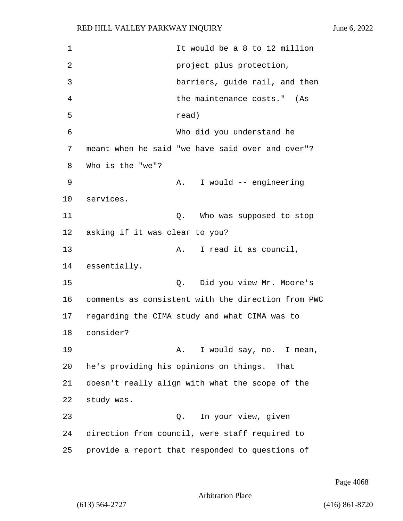1 It would be a 8 to 12 million 2 project plus protection, 3 barriers, guide rail, and then 4 the maintenance costs." (As 5 read) 6 Who did you understand he 7 meant when he said "we have said over and over"? 8 Who is the "we"? 9 A. I would -- engineering 10 services. 11 Q. Who was supposed to stop 12 asking if it was clear to you? 13 A. I read it as council, 14 essentially. 15 Q. Did you view Mr. Moore's 16 comments as consistent with the direction from PWC 17 regarding the CIMA study and what CIMA was to 18 consider? 19 A. I would say, no. I mean, 20 he's providing his opinions on things. That 21 doesn't really align with what the scope of the 22 study was. 23 Q. In your view, given 24 direction from council, were staff required to 25 provide a report that responded to questions of

Page 4068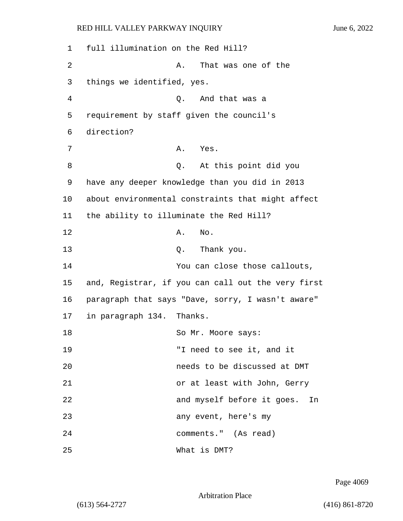1 full illumination on the Red Hill? 2 A. That was one of the 3 things we identified, yes. 4 Q. And that was a 5 requirement by staff given the council's 6 direction? 7 A. Yes. 8 Q. At this point did you 9 have any deeper knowledge than you did in 2013 10 about environmental constraints that might affect 11 the ability to illuminate the Red Hill? 12 A. No. 13 Q. Thank you. 14 You can close those callouts, 15 and, Registrar, if you can call out the very first 16 paragraph that says "Dave, sorry, I wasn't aware" 17 in paragraph 134. Thanks. 18 So Mr. Moore says: 19 "I need to see it, and it 20 needs to be discussed at DMT 21 or at least with John, Gerry 22 and myself before it goes. In 23 any event, here's my 24 comments." (As read) 25 What is DMT?

Page 4069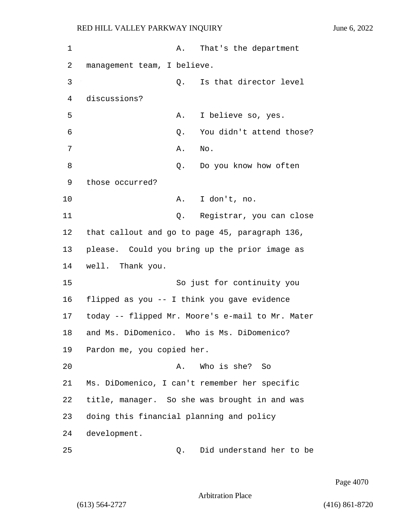| 1  | Α.                                             | That's the department                            |
|----|------------------------------------------------|--------------------------------------------------|
| 2  | management team, I believe.                    |                                                  |
| 3  | Q.                                             | Is that director level                           |
| 4  | discussions?                                   |                                                  |
| 5  | Α.                                             | I believe so, yes.                               |
| 6  | Q.                                             | You didn't attend those?                         |
| 7  | Α.                                             | No.                                              |
| 8  | Q.                                             | Do you know how often                            |
| 9  | those occurred?                                |                                                  |
| 10 | Α.                                             | I don't, no.                                     |
| 11 | Q.                                             | Registrar, you can close                         |
| 12 | that callout and go to page 45, paragraph 136, |                                                  |
| 13 | please. Could you bring up the prior image as  |                                                  |
| 14 | well. Thank you.                               |                                                  |
| 15 |                                                | So just for continuity you                       |
| 16 | flipped as you -- I think you gave evidence    |                                                  |
| 17 |                                                | today -- flipped Mr. Moore's e-mail to Mr. Mater |
| 18 | and Ms. DiDomenico. Who is Ms. DiDomenico?     |                                                  |
| 19 | Pardon me, you copied her.                     |                                                  |
| 20 | Α.                                             | Who is she? So                                   |
| 21 | Ms. DiDomenico, I can't remember her specific  |                                                  |
| 22 | title, manager. So she was brought in and was  |                                                  |
| 23 | doing this financial planning and policy       |                                                  |
| 24 | development.                                   |                                                  |
| 25 | Q.                                             | Did understand her to be                         |

Page 4070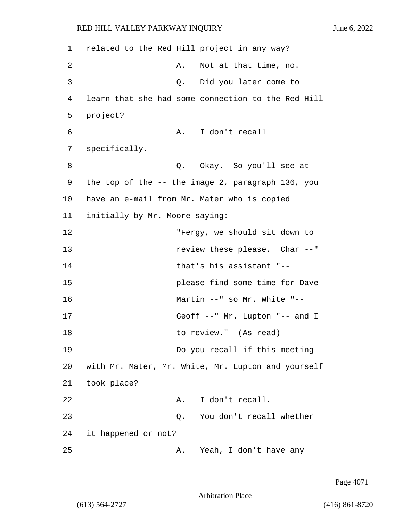1 related to the Red Hill project in any way? 2 A. Not at that time, no. 3 Q. Did you later come to 4 learn that she had some connection to the Red Hill 5 project? 6 A. I don't recall 7 specifically. 8 a Q. Okay. So you'll see at 9 the top of the -- the image 2, paragraph 136, you 10 have an e-mail from Mr. Mater who is copied 11 initially by Mr. Moore saying: 12 "Fergy, we should sit down to 13 review these please. Char --" 14 that's his assistant "-- 15 please find some time for Dave 16 Martin --" so Mr. White "-- 17 Geoff --" Mr. Lupton "-- and I 18 to review." (As read) 19 Do you recall if this meeting 20 with Mr. Mater, Mr. White, Mr. Lupton and yourself 21 took place? 22 A. I don't recall. 23 Q. You don't recall whether 24 it happened or not? 25 A. Yeah, I don't have any

Page 4071

Arbitration Place

(613) 564-2727 (416) 861-8720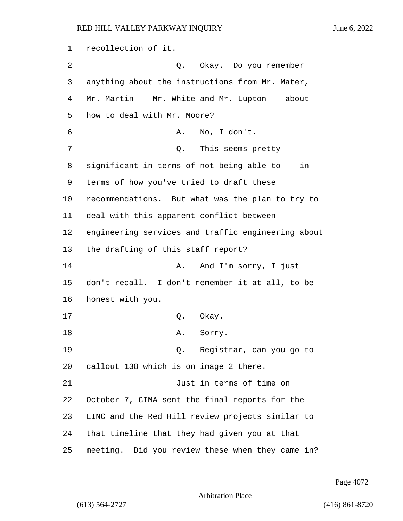recollection of it. 2 Q. Okay. Do you remember anything about the instructions from Mr. Mater, Mr. Martin -- Mr. White and Mr. Lupton -- about how to deal with Mr. Moore? 6 A. No, I don't. 7 Q. This seems pretty significant in terms of not being able to -- in terms of how you've tried to draft these recommendations. But what was the plan to try to deal with this apparent conflict between engineering services and traffic engineering about the drafting of this staff report? 14 A. And I'm sorry, I just don't recall. I don't remember it at all, to be honest with you. 17 Q. Okay. 18 A. Sorry. 19 Q. Registrar, can you go to callout 138 which is on image 2 there. 21 Just in terms of time on October 7, CIMA sent the final reports for the LINC and the Red Hill review projects similar to that timeline that they had given you at that

25 meeting. Did you review these when they came in?

Page 4072

Arbitration Place

(613) 564-2727 (416) 861-8720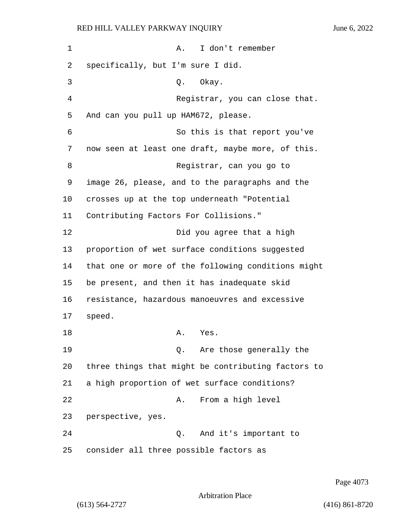1 A. I don't remember 2 specifically, but I'm sure I did. 3 Q. Okay. 4 Registrar, you can close that. 5 And can you pull up HAM672, please. 6 So this is that report you've 7 now seen at least one draft, maybe more, of this. 8 Registrar, can you go to 9 image 26, please, and to the paragraphs and the 10 crosses up at the top underneath "Potential 11 Contributing Factors For Collisions." 12 Did you agree that a high 13 proportion of wet surface conditions suggested 14 that one or more of the following conditions might 15 be present, and then it has inadequate skid 16 resistance, hazardous manoeuvres and excessive 17 speed. 18 A. Yes. 19 Q. Are those generally the 20 three things that might be contributing factors to 21 a high proportion of wet surface conditions? 22 A. From a high level 23 perspective, yes. 24 Q. And it's important to 25 consider all three possible factors as

Page 4073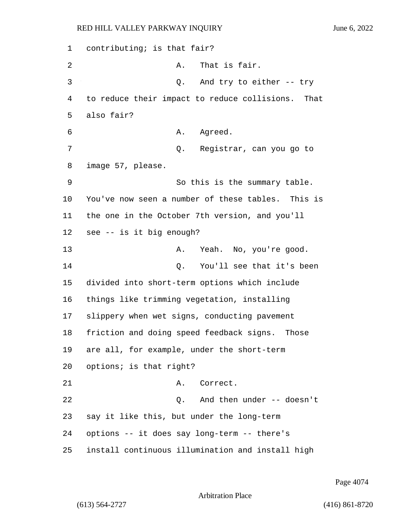contributing; is that fair? 2 A. That is fair. 3 Q. And try to either -- try to reduce their impact to reduce collisions. That also fair? 6 A. Agreed. 7 Q. Registrar, can you go to image 57, please. 9 So this is the summary table. You've now seen a number of these tables. This is the one in the October 7th version, and you'll see -- is it big enough? 13 A. Yeah. No, you're good. 14 Q. You'll see that it's been divided into short-term options which include things like trimming vegetation, installing slippery when wet signs, conducting pavement friction and doing speed feedback signs. Those are all, for example, under the short-term options; is that right? 21 A. Correct. 22 Q. And then under -- doesn't say it like this, but under the long-term options -- it does say long-term -- there's install continuous illumination and install high

Page 4074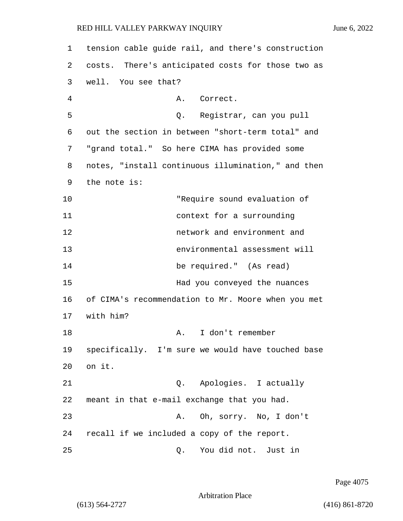| 1  | tension cable guide rail, and there's construction |
|----|----------------------------------------------------|
| 2  | costs. There's anticipated costs for those two as  |
| 3  | well. You see that?                                |
| 4  | A. Correct.                                        |
| 5  | Q. Registrar, can you pull                         |
| 6  | out the section in between "short-term total" and  |
| 7  | "grand total." So here CIMA has provided some      |
| 8  | notes, "install continuous illumination," and then |
| 9  | the note is:                                       |
| 10 | "Require sound evaluation of                       |
| 11 | context for a surrounding                          |
| 12 | network and environment and                        |
| 13 | environmental assessment will                      |
| 14 | be required." (As read)                            |
| 15 | Had you conveyed the nuances                       |
| 16 | of CIMA's recommendation to Mr. Moore when you met |
| 17 | with him?                                          |
| 18 | I don't remember<br>Α.                             |
| 19 | specifically. I'm sure we would have touched base  |
| 20 | on it.                                             |
| 21 | Q. Apologies. I actually                           |
| 22 | meant in that e-mail exchange that you had.        |
| 23 | Oh, sorry. No, I don't<br>Α.                       |
| 24 | recall if we included a copy of the report.        |
| 25 | You did not. Just in<br>Q.                         |

Page 4075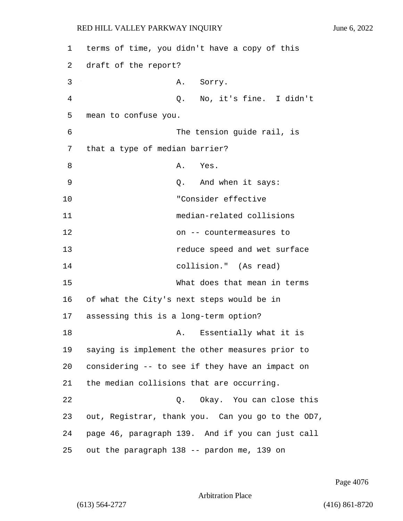1 terms of time, you didn't have a copy of this 2 draft of the report? 3 A. Sorry. 4 Q. No, it's fine. I didn't 5 mean to confuse you. 6 The tension guide rail, is 7 that a type of median barrier? 8 A. Yes. 9 Q. And when it says: 10 "Consider effective 11 median-related collisions 12 on -- countermeasures to 13 **13** reduce speed and wet surface 14 collision." (As read) 15 What does that mean in terms 16 of what the City's next steps would be in 17 assessing this is a long-term option? 18 **A.** Essentially what it is 19 saying is implement the other measures prior to 20 considering -- to see if they have an impact on 21 the median collisions that are occurring. 22 Q. Okay. You can close this 23 out, Registrar, thank you. Can you go to the OD7, 24 page 46, paragraph 139. And if you can just call 25 out the paragraph 138 -- pardon me, 139 on

Page 4076

Arbitration Place

(613) 564-2727 (416) 861-8720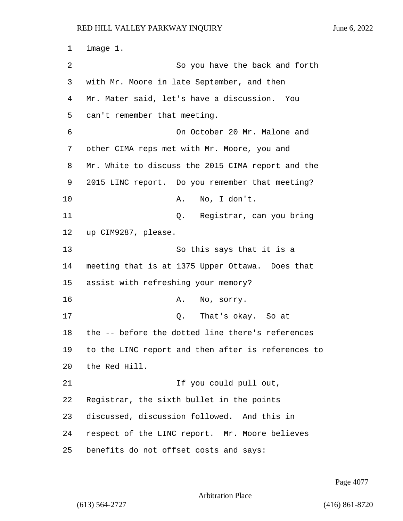1 image 1. 2 So you have the back and forth with Mr. Moore in late September, and then Mr. Mater said, let's have a discussion. You can't remember that meeting. 6 On October 20 Mr. Malone and other CIMA reps met with Mr. Moore, you and Mr. White to discuss the 2015 CIMA report and the 2015 LINC report. Do you remember that meeting? 10 A. No, I don't. 11 Q. Registrar, can you bring up CIM9287, please. 13 So this says that it is a meeting that is at 1375 Upper Ottawa. Does that assist with refreshing your memory? 16 A. No, sorry. 17 Q. That's okay. So at the -- before the dotted line there's references to the LINC report and then after is references to the Red Hill. 21 1 If you could pull out, Registrar, the sixth bullet in the points discussed, discussion followed. And this in respect of the LINC report. Mr. Moore believes benefits do not offset costs and says:

Page 4077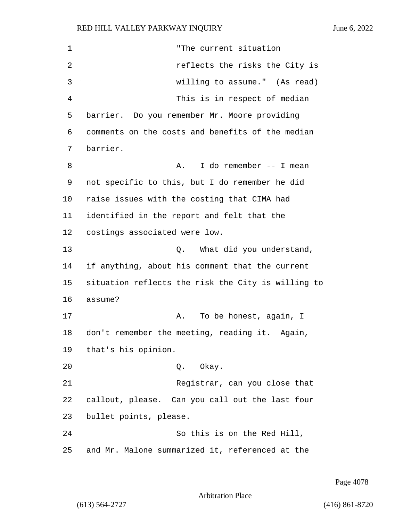1 "The current situation 2 *reflects* the risks the City is 3 willing to assume." (As read) 4 This is in respect of median 5 barrier. Do you remember Mr. Moore providing 6 comments on the costs and benefits of the median 7 barrier. 8 A. I do remember -- I mean 9 not specific to this, but I do remember he did 10 raise issues with the costing that CIMA had 11 identified in the report and felt that the 12 costings associated were low. 13 Q. What did you understand, 14 if anything, about his comment that the current 15 situation reflects the risk the City is willing to 16 assume? 17 A. To be honest, again, I 18 don't remember the meeting, reading it. Again, 19 that's his opinion. 20 Q. Okay. 21 Registrar, can you close that 22 callout, please. Can you call out the last four 23 bullet points, please. 24 So this is on the Red Hill, 25 and Mr. Malone summarized it, referenced at the

Page 4078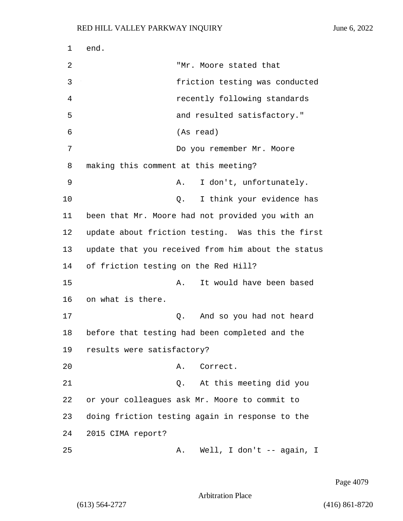1 end. 2 "Mr. Moore stated that 3 friction testing was conducted 4 recently following standards 5 and resulted satisfactory." 6 (As read) 7 Do you remember Mr. Moore 8 making this comment at this meeting? 9 A. I don't, unfortunately. 10 Q. I think your evidence has 11 been that Mr. Moore had not provided you with an 12 update about friction testing. Was this the first 13 update that you received from him about the status 14 of friction testing on the Red Hill? 15 A. It would have been based 16 on what is there. 17 Q. And so you had not heard 18 before that testing had been completed and the 19 results were satisfactory? 20 A. Correct. 21 Q. At this meeting did you 22 or your colleagues ask Mr. Moore to commit to 23 doing friction testing again in response to the 24 2015 CIMA report? 25 A. Well, I don't -- again, I

Page 4079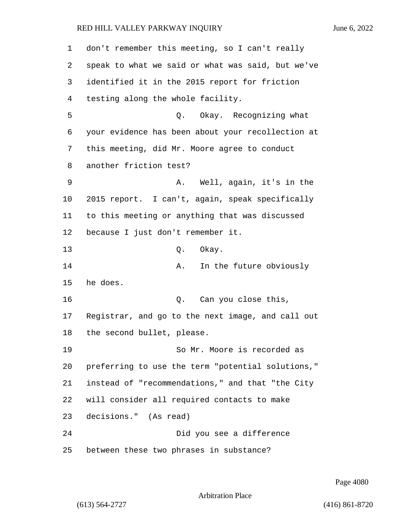| $\mathbf 1$ | don't remember this meeting, so I can't really    |
|-------------|---------------------------------------------------|
| 2           | speak to what we said or what was said, but we've |
| 3           | identified it in the 2015 report for friction     |
| 4           | testing along the whole facility.                 |
| 5           | Q. Okay. Recognizing what                         |
| 6           | your evidence has been about your recollection at |
| 7           | this meeting, did Mr. Moore agree to conduct      |
| 8           | another friction test?                            |
| 9           | Well, again, it's in the<br>Α.                    |
| 10          | 2015 report. I can't, again, speak specifically   |
| 11          | to this meeting or anything that was discussed    |
| 12          | because I just don't remember it.                 |
| 13          | Okay.<br>Q.                                       |
| 14          | In the future obviously<br>Α.                     |
| 15          | he does.                                          |
| 16          | Can you close this,<br>Q.                         |
| 17          | Registrar, and go to the next image, and call out |
| 18          | the second bullet, please.                        |
| 19          | So Mr. Moore is recorded as                       |
| 20          | preferring to use the term "potential solutions," |
| 21          | instead of "recommendations," and that "the City  |
| 22          | will consider all required contacts to make       |
| 23          | decisions." (As read)                             |
| 24          | Did you see a difference                          |
| 25          | between these two phrases in substance?           |

Page 4080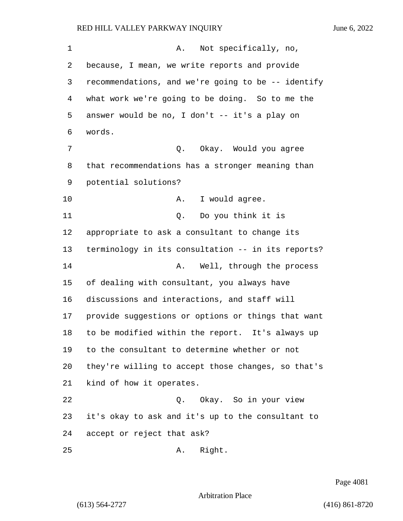1 A. Not specifically, no, because, I mean, we write reports and provide recommendations, and we're going to be -- identify what work we're going to be doing. So to me the answer would be no, I don't -- it's a play on words. 7 C. Okay. Would you agree that recommendations has a stronger meaning than potential solutions? 10 A. I would agree. 11 Q. Do you think it is appropriate to ask a consultant to change its terminology in its consultation -- in its reports? **A.** Well, through the process of dealing with consultant, you always have discussions and interactions, and staff will provide suggestions or options or things that want to be modified within the report. It's always up to the consultant to determine whether or not they're willing to accept those changes, so that's kind of how it operates. 22 Q. Okay. So in your view it's okay to ask and it's up to the consultant to accept or reject that ask?

25 A. Right.

Page 4081

Arbitration Place

(613) 564-2727 (416) 861-8720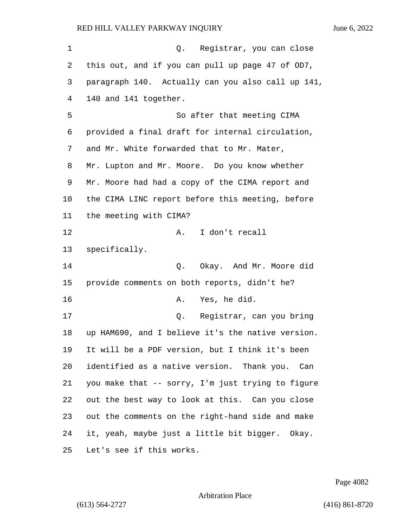| 1  | Q. Registrar, you can close                       |
|----|---------------------------------------------------|
| 2  | this out, and if you can pull up page 47 of OD7,  |
| 3  | paragraph 140. Actually can you also call up 141, |
| 4  | 140 and 141 together.                             |
| 5  | So after that meeting CIMA                        |
| 6  | provided a final draft for internal circulation,  |
| 7  | and Mr. White forwarded that to Mr. Mater,        |
| 8  | Mr. Lupton and Mr. Moore. Do you know whether     |
| 9  | Mr. Moore had had a copy of the CIMA report and   |
| 10 | the CIMA LINC report before this meeting, before  |
| 11 | the meeting with CIMA?                            |
| 12 | I don't recall<br>A.                              |
| 13 | specifically.                                     |
| 14 | Okay. And Mr. Moore did<br>Q.                     |
| 15 | provide comments on both reports, didn't he?      |
| 16 | Yes, he did.<br>Α.                                |
| 17 | Registrar, can you bring<br>Q.                    |
| 18 | up HAM690, and I believe it's the native version. |
| 19 | It will be a PDF version, but I think it's been   |
| 20 | identified as a native version. Thank you. Can    |
| 21 | you make that -- sorry, I'm just trying to figure |
| 22 | out the best way to look at this. Can you close   |
| 23 | out the comments on the right-hand side and make  |
| 24 | it, yeah, maybe just a little bit bigger. Okay.   |
| 25 | Let's see if this works.                          |

Page 4082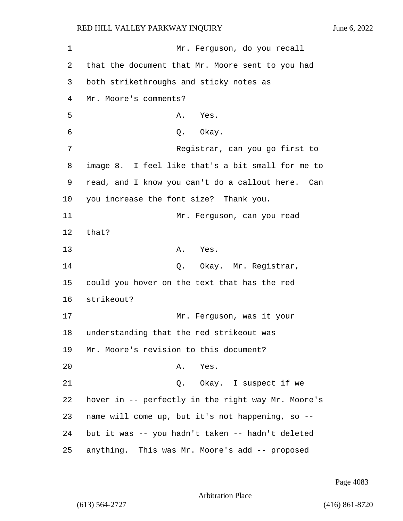1 Mr. Ferguson, do you recall 2 that the document that Mr. Moore sent to you had 3 both strikethroughs and sticky notes as 4 Mr. Moore's comments? 5 A. Yes. 6 0. Okay. 7 Registrar, can you go first to 8 image 8. I feel like that's a bit small for me to 9 read, and I know you can't do a callout here. Can 10 you increase the font size? Thank you. 11 Mr. Ferguson, can you read 12 that? 13 A. Yes. 14 Q. Okay. Mr. Registrar, 15 could you hover on the text that has the red 16 strikeout? 17 Mr. Ferguson, was it your 18 understanding that the red strikeout was 19 Mr. Moore's revision to this document? 20 A. Yes. 21 Q. Okay. I suspect if we 22 hover in -- perfectly in the right way Mr. Moore's 23 name will come up, but it's not happening, so -- 24 but it was -- you hadn't taken -- hadn't deleted 25 anything. This was Mr. Moore's add -- proposed

Page 4083

```
Arbitration Place
```
(613) 564-2727 (416) 861-8720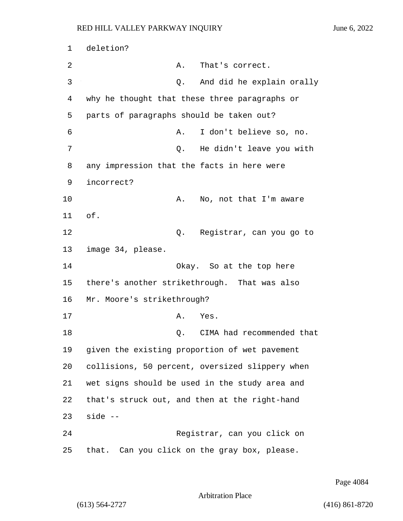1 deletion? 2 A. That's correct. 3 Q. And did he explain orally 4 why he thought that these three paragraphs or 5 parts of paragraphs should be taken out? 6 A. I don't believe so, no. 7 Q. He didn't leave you with 8 any impression that the facts in here were 9 incorrect? 10 A. No, not that I'm aware 11 of. 12 Q. Registrar, can you go to 13 image 34, please. 14 Okay. So at the top here 15 there's another strikethrough. That was also 16 Mr. Moore's strikethrough? 17 A. Yes. 18 C. CIMA had recommended that 19 given the existing proportion of wet pavement 20 collisions, 50 percent, oversized slippery when 21 wet signs should be used in the study area and 22 that's struck out, and then at the right-hand 23 side -- 24 Registrar, can you click on 25 that. Can you click on the gray box, please.

Page 4084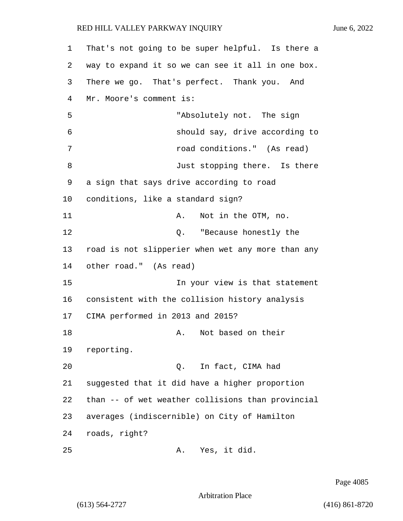| 1  | That's not going to be super helpful. Is there a  |
|----|---------------------------------------------------|
| 2  | way to expand it so we can see it all in one box. |
| 3  | There we go. That's perfect. Thank you. And       |
| 4  | Mr. Moore's comment is:                           |
| 5  | "Absolutely not. The sign                         |
| 6  | should say, drive according to                    |
| 7  | road conditions." (As read)                       |
| 8  | Just stopping there. Is there                     |
| 9  | a sign that says drive according to road          |
| 10 | conditions, like a standard sign?                 |
| 11 | Not in the OTM, no.<br>Α.                         |
| 12 | Q. "Because honestly the                          |
| 13 | road is not slipperier when wet any more than any |
| 14 | other road." (As read)                            |
| 15 | In your view is that statement                    |
| 16 | consistent with the collision history analysis    |
| 17 | CIMA performed in 2013 and 2015?                  |
| 18 | Not based on their<br>Α.                          |
| 19 | reporting.                                        |
| 20 | Q. In fact, CIMA had                              |
| 21 | suggested that it did have a higher proportion    |
| 22 | than -- of wet weather collisions than provincial |
| 23 | averages (indiscernible) on City of Hamilton      |
| 24 | roads, right?                                     |
| 25 | Yes, it did.<br>Α.                                |

Page 4085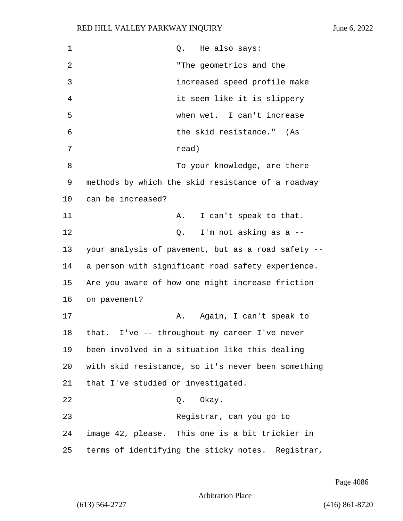| 1  | He also says:<br>Q.                                |
|----|----------------------------------------------------|
| 2  | "The geometrics and the                            |
| 3  | increased speed profile make                       |
| 4  | it seem like it is slippery                        |
| 5  | when wet. I can't increase                         |
| 6  | the skid resistance." (As                          |
| 7  | read)                                              |
| 8  | To your knowledge, are there                       |
| 9  | methods by which the skid resistance of a roadway  |
| 10 | can be increased?                                  |
| 11 | I can't speak to that.<br>Α.                       |
| 12 | I'm not asking as a --<br>Q.                       |
| 13 | your analysis of pavement, but as a road safety -- |
| 14 | a person with significant road safety experience.  |
| 15 | Are you aware of how one might increase friction   |
| 16 | on pavement?                                       |
| 17 | Again, I can't speak to<br>Α.                      |
| 18 | that. I've -- throughout my career I've never      |
| 19 | been involved in a situation like this dealing     |
| 20 | with skid resistance, so it's never been something |
| 21 | that I've studied or investigated.                 |
| 22 | Okay.<br>Q.                                        |
| 23 | Registrar, can you go to                           |
| 24 | image 42, please. This one is a bit trickier in    |
| 25 | terms of identifying the sticky notes. Registrar,  |

Page 4086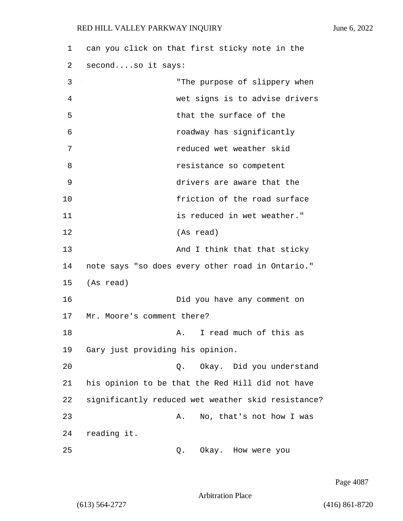| 1  | can you click on that first sticky note in the     |
|----|----------------------------------------------------|
| 2  | secondso it says:                                  |
| 3  | "The purpose of slippery when                      |
| 4  | wet signs is to advise drivers                     |
| 5  | that the surface of the                            |
| 6  | roadway has significantly                          |
| 7  | reduced wet weather skid                           |
| 8  | resistance so competent                            |
| 9  | drivers are aware that the                         |
| 10 | friction of the road surface                       |
| 11 | is reduced in wet weather."                        |
| 12 | (As read)                                          |
| 13 | And I think that that sticky                       |
| 14 | note says "so does every other road in Ontario."   |
| 15 | (As read)                                          |
| 16 | Did you have any comment on                        |
| 17 | Mr. Moore's comment there?                         |
| 18 | I read much of this as<br>A.                       |
| 19 | Gary just providing his opinion.                   |
| 20 | Okay. Did you understand<br>Q.                     |
| 21 | his opinion to be that the Red Hill did not have   |
| 22 | significantly reduced wet weather skid resistance? |
| 23 | No, that's not how I was<br>Α.                     |
| 24 | reading it.                                        |
| 25 | Okay. How were you<br>Q.                           |

Page 4087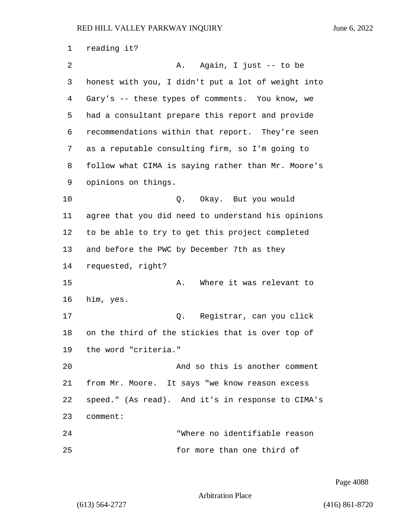| 1  | reading it?                                        |
|----|----------------------------------------------------|
| 2  | Again, I just -- to be<br>Α.                       |
| 3  | honest with you, I didn't put a lot of weight into |
| 4  | Gary's -- these types of comments. You know, we    |
| 5  | had a consultant prepare this report and provide   |
| 6  | recommendations within that report. They're seen   |
| 7  | as a reputable consulting firm, so I'm going to    |
| 8  | follow what CIMA is saying rather than Mr. Moore's |
| 9  | opinions on things.                                |
| 10 | Okay. But you would<br>Q.                          |
| 11 | agree that you did need to understand his opinions |
| 12 | to be able to try to get this project completed    |
| 13 | and before the PWC by December 7th as they         |
| 14 | requested, right?                                  |
| 15 | Where it was relevant to<br>Α.                     |
| 16 | him, yes.                                          |
| 17 | Registrar, can you click<br>Q.                     |
| 18 | on the third of the stickies that is over top of   |
| 19 | the word "criteria."                               |
| 20 | And so this is another comment                     |
| 21 | from Mr. Moore. It says "we know reason excess     |
| 22 | speed." (As read). And it's in response to CIMA's  |
| 23 | comment:                                           |
| 24 | "Where no identifiable reason                      |
| 25 | for more than one third of                         |

Page 4088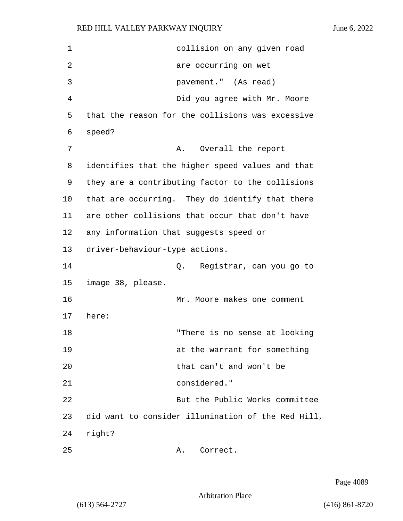| 1  | collision on any given road                        |
|----|----------------------------------------------------|
| 2  | are occurring on wet                               |
| 3  | pavement." (As read)                               |
| 4  | Did you agree with Mr. Moore                       |
| 5  | that the reason for the collisions was excessive   |
| 6  | speed?                                             |
| 7  | Overall the report<br>Α.                           |
| 8  | identifies that the higher speed values and that   |
| 9  | they are a contributing factor to the collisions   |
| 10 | that are occurring. They do identify that there    |
| 11 | are other collisions that occur that don't have    |
| 12 | any information that suggests speed or             |
| 13 | driver-behaviour-type actions.                     |
| 14 | Registrar, can you go to<br>Q.                     |
| 15 | image 38, please.                                  |
| 16 | Mr. Moore makes one comment                        |
| 17 | here:                                              |
| 18 | "There is no sense at looking                      |
| 19 | at the warrant for something                       |
| 20 | that can't and won't be                            |
| 21 | considered."                                       |
| 22 | But the Public Works committee                     |
| 23 | did want to consider illumination of the Red Hill, |
| 24 | right?                                             |
| 25 | Correct.<br>Α.                                     |

Page 4089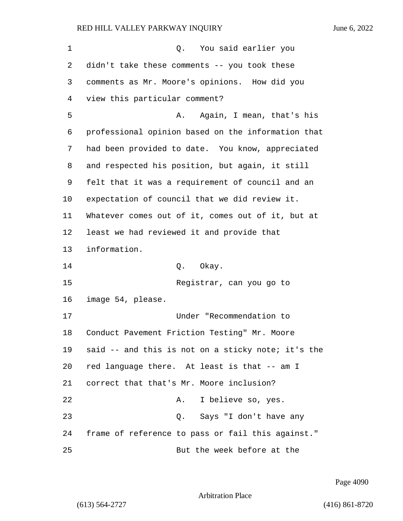| 1  | You said earlier you<br>Q.                         |
|----|----------------------------------------------------|
| 2  | didn't take these comments -- you took these       |
| 3  | comments as Mr. Moore's opinions. How did you      |
| 4  | view this particular comment?                      |
| 5  | Again, I mean, that's his<br>Α.                    |
| 6  | professional opinion based on the information that |
| 7  | had been provided to date. You know, appreciated   |
| 8  | and respected his position, but again, it still    |
| 9  | felt that it was a requirement of council and an   |
| 10 | expectation of council that we did review it.      |
| 11 | Whatever comes out of it, comes out of it, but at  |
| 12 | least we had reviewed it and provide that          |
| 13 | information.                                       |
| 14 | Q. Okay.                                           |
| 15 | Registrar, can you go to                           |
| 16 | image 54, please.                                  |
| 17 | Under "Recommendation to                           |
| 18 | Conduct Pavement Friction Testing" Mr. Moore       |
| 19 | said -- and this is not on a sticky note; it's the |
| 20 | red language there. At least is that -- am I       |
| 21 | correct that that's Mr. Moore inclusion?           |
| 22 | I believe so, yes.<br>Α.                           |
| 23 | Says "I don't have any<br>Q.                       |
| 24 | frame of reference to pass or fail this against."  |
| 25 | But the week before at the                         |

Page 4090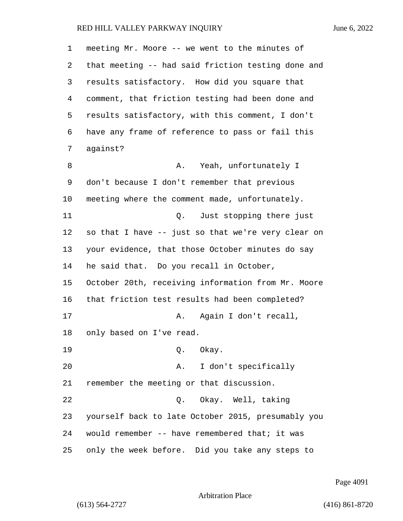| $\mathbf 1$ | meeting Mr. Moore -- we went to the minutes of     |
|-------------|----------------------------------------------------|
| 2           | that meeting -- had said friction testing done and |
| 3           | results satisfactory. How did you square that      |
| 4           | comment, that friction testing had been done and   |
| 5           | results satisfactory, with this comment, I don't   |
| 6           | have any frame of reference to pass or fail this   |
| 7           | against?                                           |
| 8           | Yeah, unfortunately I<br>Α.                        |
| 9           | don't because I don't remember that previous       |
| 10          | meeting where the comment made, unfortunately.     |
| 11          | Just stopping there just<br>Q.                     |
| 12          | so that I have -- just so that we're very clear on |
| 13          | your evidence, that those October minutes do say   |
| 14          | he said that. Do you recall in October,            |
| 15          | October 20th, receiving information from Mr. Moore |
| 16          | that friction test results had been completed?     |
| 17          | Again I don't recall,<br>Α.                        |
| 18          | only based on I've read.                           |
| 19          | Q. Okay.                                           |
| 20          | I don't specifically<br>Α.                         |
| 21          | remember the meeting or that discussion.           |
| 22          | Q. Okay. Well, taking                              |
| 23          | yourself back to late October 2015, presumably you |
| 24          | would remember -- have remembered that; it was     |
| 25          | only the week before. Did you take any steps to    |

Page 4091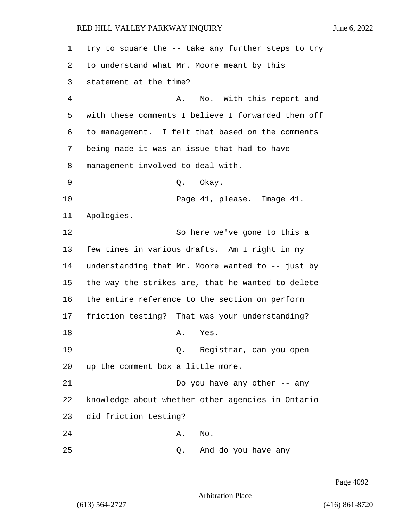try to square the -- take any further steps to try to understand what Mr. Moore meant by this statement at the time? 4 A. No. With this report and with these comments I believe I forwarded them off to management. I felt that based on the comments being made it was an issue that had to have management involved to deal with. 9 Q. Okay. 10 Page 41, please. Image 41. Apologies. 12 So here we've gone to this a few times in various drafts. Am I right in my understanding that Mr. Moore wanted to -- just by the way the strikes are, that he wanted to delete the entire reference to the section on perform friction testing? That was your understanding? 18 A. Yes. 19 Q. Registrar, can you open up the comment box a little more. 21 Do you have any other -- any knowledge about whether other agencies in Ontario did friction testing? 24 A. No. 25 Q. And do you have any

Page 4092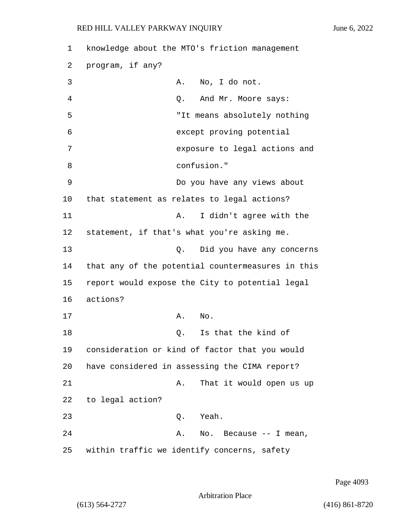1 knowledge about the MTO's friction management 2 program, if any? 3 A. No, I do not. 4 Q. And Mr. Moore says: 5 "It means absolutely nothing 6 except proving potential 7 exposure to legal actions and 8 confusion." 9 Do you have any views about 10 that statement as relates to legal actions? 11 A. I didn't agree with the 12 statement, if that's what you're asking me. 13 Q. Did you have any concerns 14 that any of the potential countermeasures in this 15 report would expose the City to potential legal 16 actions? 17 A. No. 18 C. Is that the kind of 19 consideration or kind of factor that you would 20 have considered in assessing the CIMA report? 21 A. That it would open us up 22 to legal action? 23 Q. Yeah. 24 A. No. Because -- I mean, 25 within traffic we identify concerns, safety

Page 4093

Arbitration Place

(613) 564-2727 (416) 861-8720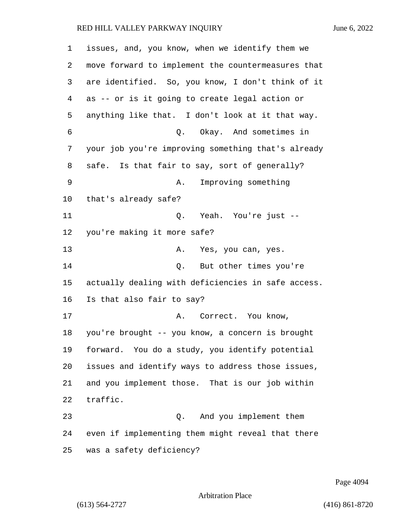| 1  | issues, and, you know, when we identify them we    |
|----|----------------------------------------------------|
| 2  | move forward to implement the countermeasures that |
| 3  | are identified. So, you know, I don't think of it  |
| 4  | as -- or is it going to create legal action or     |
| 5  | anything like that. I don't look at it that way.   |
| 6  | Q. Okay. And sometimes in                          |
| 7  | your job you're improving something that's already |
| 8  | safe. Is that fair to say, sort of generally?      |
| 9  | Improving something<br>Α.                          |
| 10 | that's already safe?                               |
| 11 | Q. Yeah. You're just --                            |
| 12 | you're making it more safe?                        |
| 13 | Yes, you can, yes.<br>Α.                           |
| 14 | But other times you're<br>Q.                       |
| 15 | actually dealing with deficiencies in safe access. |
| 16 | Is that also fair to say?                          |
| 17 | Correct. You know,<br>Α.                           |
| 18 | you're brought -- you know, a concern is brought   |
| 19 | forward. You do a study, you identify potential    |
| 20 | issues and identify ways to address those issues,  |
| 21 | and you implement those. That is our job within    |
| 22 | traffic.                                           |
| 23 | And you implement them<br>Q.                       |
| 24 | even if implementing them might reveal that there  |
| 25 | was a safety deficiency?                           |

Page 4094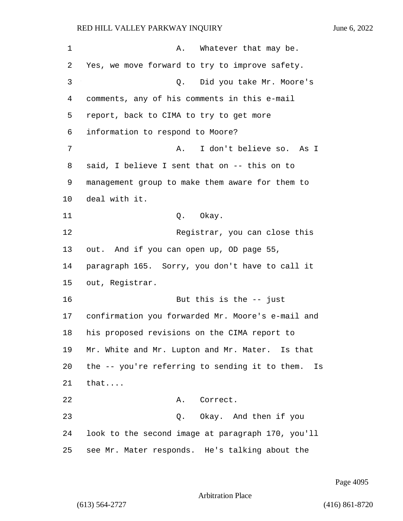| $\mathbf 1$ | Α.<br>Whatever that may be.                          |
|-------------|------------------------------------------------------|
| 2           | Yes, we move forward to try to improve safety.       |
| 3           | Q. Did you take Mr. Moore's                          |
| 4           | comments, any of his comments in this e-mail         |
| 5           | report, back to CIMA to try to get more              |
| 6           | information to respond to Moore?                     |
| 7           | I don't believe so.<br>As I<br>Α.                    |
| 8           | said, I believe I sent that on -- this on to         |
| 9           | management group to make them aware for them to      |
| 10          | deal with it.                                        |
| 11          | Q. Okay.                                             |
| 12          | Registrar, you can close this                        |
| 13          | out. And if you can open up, OD page 55,             |
| 14          | paragraph 165. Sorry, you don't have to call it      |
| 15          | out, Registrar.                                      |
| 16          | But this is the $-$ just                             |
| 17          | confirmation you forwarded Mr. Moore's e-mail and    |
| 18          | his proposed revisions on the CIMA report to         |
| 19          | Mr. White and Mr. Lupton and Mr. Mater. Is that      |
| 20          | the -- you're referring to sending it to them.<br>Is |
| 21          | that                                                 |
| 22          | Correct.<br>Α.                                       |
| 23          | Q. Okay. And then if you                             |
| 24          | look to the second image at paragraph 170, you'll    |
| 25          | see Mr. Mater responds. He's talking about the       |

Page 4095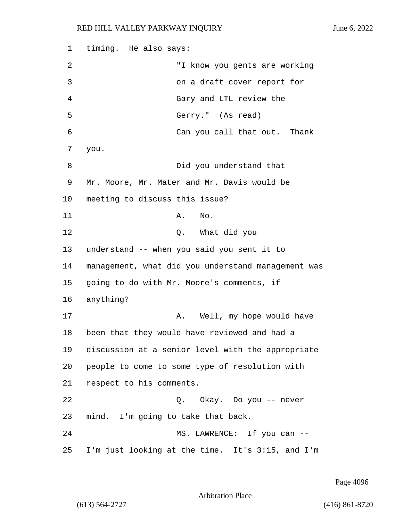1 timing. He also says: 2 "I know you gents are working 3 on a draft cover report for 4 Gary and LTL review the 5 Gerry." (As read) 6 Can you call that out. Thank 7 you. 8 Did you understand that 9 Mr. Moore, Mr. Mater and Mr. Davis would be 10 meeting to discuss this issue? 11 A. No. 12 O. What did you 13 understand -- when you said you sent it to 14 management, what did you understand management was 15 going to do with Mr. Moore's comments, if 16 anything? 17 A. Well, my hope would have 18 been that they would have reviewed and had a 19 discussion at a senior level with the appropriate 20 people to come to some type of resolution with 21 respect to his comments. 22 Q. Okay. Do you -- never 23 mind. I'm going to take that back. 24 MS. LAWRENCE: If you can --25 I'm just looking at the time. It's 3:15, and I'm

Page 4096

Arbitration Place

(613) 564-2727 (416) 861-8720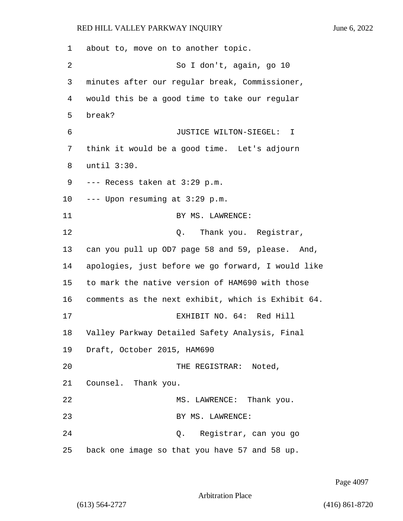1 about to, move on to another topic. 2 So I don't, again, go 10 3 minutes after our regular break, Commissioner, 4 would this be a good time to take our regular 5 break? 6 JUSTICE WILTON-SIEGEL: I 7 think it would be a good time. Let's adjourn 8 until 3:30. 9 --- Recess taken at 3:29 p.m. 10 --- Upon resuming at 3:29 p.m. 11 BY MS. LAWRENCE: 12 O. Thank you. Registrar, 13 can you pull up OD7 page 58 and 59, please. And, 14 apologies, just before we go forward, I would like 15 to mark the native version of HAM690 with those 16 comments as the next exhibit, which is Exhibit 64. 17 EXHIBIT NO. 64: Red Hill 18 Valley Parkway Detailed Safety Analysis, Final 19 Draft, October 2015, HAM690 20 THE REGISTRAR: Noted, 21 Counsel. Thank you. 22 MS. LAWRENCE: Thank you. 23 BY MS. LAWRENCE: 24 Q. Registrar, can you go 25 back one image so that you have 57 and 58 up.

Page 4097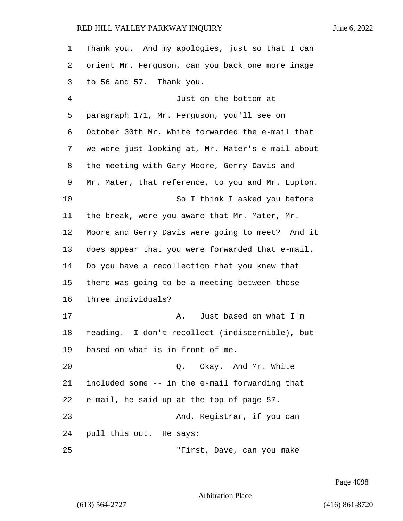| 1              | Thank you. And my apologies, just so that I can   |
|----------------|---------------------------------------------------|
| 2              | orient Mr. Ferguson, can you back one more image  |
| 3              | to 56 and 57. Thank you.                          |
| $\overline{4}$ | Just on the bottom at                             |
| 5              | paragraph 171, Mr. Ferguson, you'll see on        |
| 6              | October 30th Mr. White forwarded the e-mail that  |
| 7              | we were just looking at, Mr. Mater's e-mail about |
| 8              | the meeting with Gary Moore, Gerry Davis and      |
| 9              | Mr. Mater, that reference, to you and Mr. Lupton. |
| 10             | So I think I asked you before                     |
| 11             | the break, were you aware that Mr. Mater, Mr.     |
| 12             | Moore and Gerry Davis were going to meet? And it  |
| 13             | does appear that you were forwarded that e-mail.  |
| 14             | Do you have a recollection that you knew that     |
| 15             | there was going to be a meeting between those     |
| 16             | three individuals?                                |
| 17             | Just based on what I'm<br>А.                      |
| 18             | reading. I don't recollect (indiscernible), but   |
| 19             | based on what is in front of me.                  |
| 20             | Okay. And Mr. White<br>Q.                         |
| 21             | included some -- in the e-mail forwarding that    |
| 22             | e-mail, he said up at the top of page 57.         |
| 23             | And, Registrar, if you can                        |
| 24             | pull this out. He says:                           |
| 25             | "First, Dave, can you make                        |

Page 4098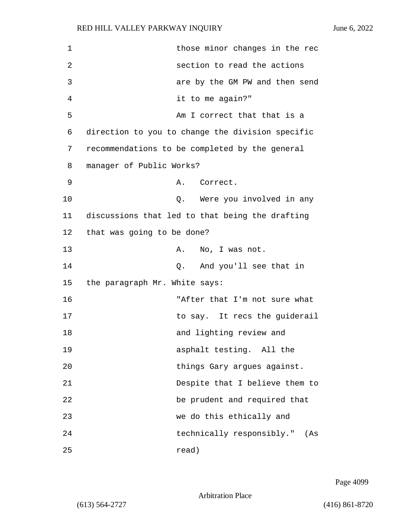| 1  | those minor changes in the rec                   |
|----|--------------------------------------------------|
| 2  | section to read the actions                      |
| 3  | are by the GM PW and then send                   |
| 4  | it to me again?"                                 |
| 5  | Am I correct that that is a                      |
| 6  | direction to you to change the division specific |
| 7  | recommendations to be completed by the general   |
| 8  | manager of Public Works?                         |
| 9  | Α.<br>Correct.                                   |
| 10 | Q. Were you involved in any                      |
| 11 | discussions that led to that being the drafting  |
| 12 | that was going to be done?                       |
| 13 | No, I was not.<br>Α.                             |
| 14 | And you'll see that in<br>Q.                     |
| 15 | the paragraph Mr. White says:                    |
| 16 | "After that I'm not sure what                    |
| 17 | to say. It recs the guiderail                    |
| 18 | and lighting review and                          |
| 19 | asphalt testing. All the                         |
| 20 | things Gary argues against.                      |
| 21 | Despite that I believe them to                   |
| 22 | be prudent and required that                     |
| 23 | we do this ethically and                         |
| 24 | technically responsibly."<br>(As                 |
| 25 | read)                                            |

Page 4099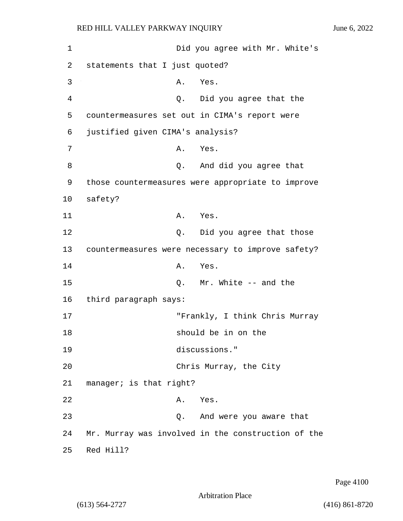1 Did you agree with Mr. White's 2 statements that I just quoted? 3 A. Yes. 4 Q. Did you agree that the 5 countermeasures set out in CIMA's report were 6 justified given CIMA's analysis? 7 A. Yes. 8 and did you agree that 9 those countermeasures were appropriate to improve 10 safety? 11 A. Yes. 12 Q. Did you agree that those 13 countermeasures were necessary to improve safety? 14 A. Yes. 15 Q. Mr. White -- and the 16 third paragraph says: 17 "Frankly, I think Chris Murray 18 should be in on the 19 discussions." 20 Chris Murray, the City 21 manager; is that right? 22 A. Yes. 23 Q. And were you aware that 24 Mr. Murray was involved in the construction of the 25 Red Hill?

Page 4100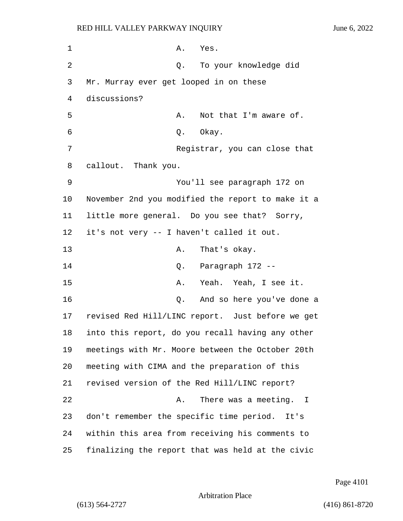1 A. Yes. 2 Q. To your knowledge did 3 Mr. Murray ever get looped in on these 4 discussions? 5 A. Not that I'm aware of. 6 0. Okay. 7 Registrar, you can close that 8 callout. Thank you. 9 You'll see paragraph 172 on 10 November 2nd you modified the report to make it a 11 little more general. Do you see that? Sorry, 12 it's not very -- I haven't called it out. 13 A. That's okay. 14 Q. Paragraph 172 -- 15 A. Yeah. Yeah, I see it. 16 Q. And so here you've done a 17 revised Red Hill/LINC report. Just before we get 18 into this report, do you recall having any other 19 meetings with Mr. Moore between the October 20th 20 meeting with CIMA and the preparation of this 21 revised version of the Red Hill/LINC report? 22 A. There was a meeting. I 23 don't remember the specific time period. It's 24 within this area from receiving his comments to 25 finalizing the report that was held at the civic

Page 4101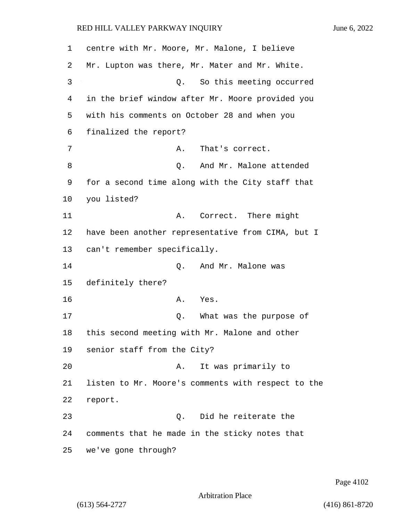1 centre with Mr. Moore, Mr. Malone, I believe 2 Mr. Lupton was there, Mr. Mater and Mr. White. 3 Q. So this meeting occurred 4 in the brief window after Mr. Moore provided you 5 with his comments on October 28 and when you 6 finalized the report? 7 A. That's correct. 8 and Mr. Malone attended 9 for a second time along with the City staff that 10 you listed? 11 A. Correct. There might 12 have been another representative from CIMA, but I 13 can't remember specifically. 14 C. And Mr. Malone was 15 definitely there? 16 A. Yes. 17 Q. What was the purpose of 18 this second meeting with Mr. Malone and other 19 senior staff from the City? 20 A. It was primarily to 21 listen to Mr. Moore's comments with respect to the 22 report. 23 Q. Did he reiterate the 24 comments that he made in the sticky notes that 25 we've gone through?

Page 4102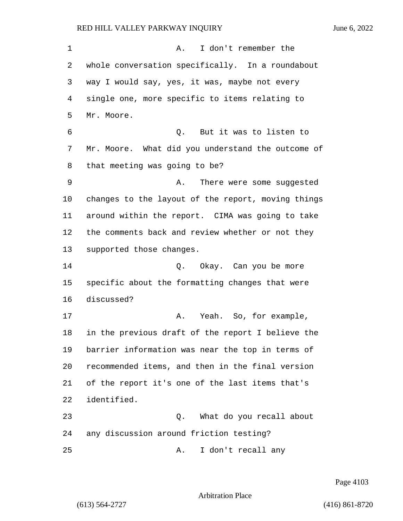1 A. I don't remember the whole conversation specifically. In a roundabout way I would say, yes, it was, maybe not every single one, more specific to items relating to Mr. Moore. 6 Q. But it was to listen to Mr. Moore. What did you understand the outcome of that meeting was going to be? 9 A. There were some suggested changes to the layout of the report, moving things around within the report. CIMA was going to take the comments back and review whether or not they supported those changes. 14 Q. Okay. Can you be more specific about the formatting changes that were discussed? 17 A. Yeah. So, for example, in the previous draft of the report I believe the barrier information was near the top in terms of recommended items, and then in the final version of the report it's one of the last items that's identified. 23 Q. What do you recall about any discussion around friction testing? 25 A. I don't recall any

Page 4103

Arbitration Place

(613) 564-2727 (416) 861-8720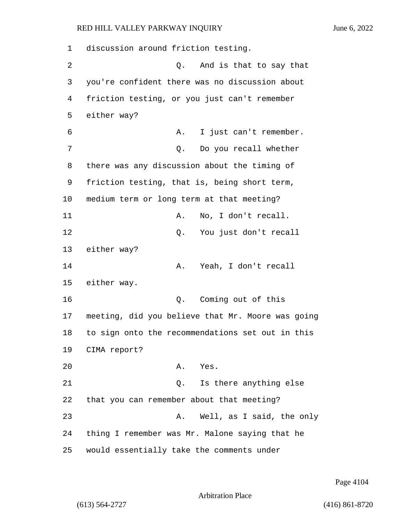1 discussion around friction testing. 2 Q. And is that to say that 3 you're confident there was no discussion about 4 friction testing, or you just can't remember 5 either way? 6 A. I just can't remember. 7 Q. Do you recall whether 8 there was any discussion about the timing of 9 friction testing, that is, being short term, 10 medium term or long term at that meeting? 11 A. No, I don't recall. 12 O. You just don't recall 13 either way? 14 A. Yeah, I don't recall 15 either way. 16 Q. Coming out of this 17 meeting, did you believe that Mr. Moore was going 18 to sign onto the recommendations set out in this 19 CIMA report? 20 A. Yes. 21 Q. Is there anything else 22 that you can remember about that meeting? 23 A. Well, as I said, the only 24 thing I remember was Mr. Malone saying that he 25 would essentially take the comments under

Page 4104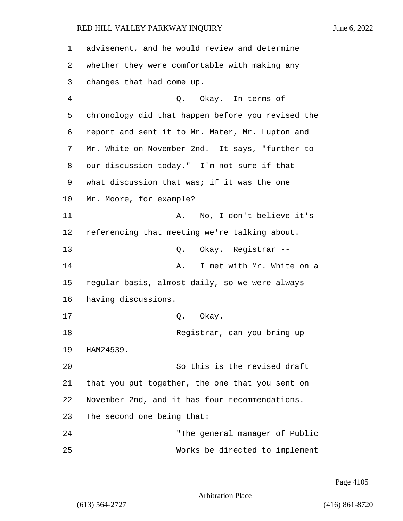advisement, and he would review and determine whether they were comfortable with making any changes that had come up. 4 Q. Okay. In terms of chronology did that happen before you revised the report and sent it to Mr. Mater, Mr. Lupton and Mr. White on November 2nd. It says, "further to our discussion today." I'm not sure if that -- what discussion that was; if it was the one Mr. Moore, for example? 11 A. No, I don't believe it's referencing that meeting we're talking about. 13 Q. Okay. Registrar -- **A.** I met with Mr. White on a regular basis, almost daily, so we were always having discussions. 17 0. Okay. 18 Registrar, can you bring up HAM24539. 20 So this is the revised draft that you put together, the one that you sent on November 2nd, and it has four recommendations. The second one being that: 24 "The general manager of Public 25 Works be directed to implement

Page 4105

Arbitration Place

(613) 564-2727 (416) 861-8720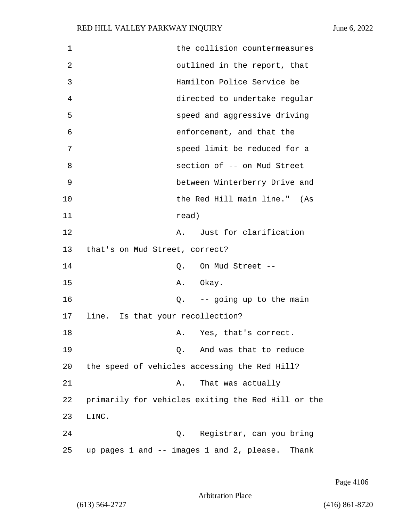| $\mathbf 1$ | the collision countermeasures                      |
|-------------|----------------------------------------------------|
| 2           | outlined in the report, that                       |
| 3           | Hamilton Police Service be                         |
| 4           | directed to undertake regular                      |
| 5           | speed and aggressive driving                       |
| 6           | enforcement, and that the                          |
| 7           | speed limit be reduced for a                       |
| 8           | section of -- on Mud Street                        |
| 9           | between Winterberry Drive and                      |
| 10          | the Red Hill main line." (As                       |
| 11          | read)                                              |
| 12          | A. Just for clarification                          |
| 13          | that's on Mud Street, correct?                     |
| 14          | On Mud Street --<br>Q.                             |
| 15          | A. Okay.                                           |
| 16          | $Q.$ -- going up to the main                       |
| 17          | line. Is that your recollection?                   |
| 18          | Yes, that's correct.<br>Α.                         |
| 19          | And was that to reduce<br>Q.                       |
| 20          | the speed of vehicles accessing the Red Hill?      |
| 21          | That was actually<br>Α.                            |
| 22          | primarily for vehicles exiting the Red Hill or the |
| 23          | LINC.                                              |
| 24          | Registrar, can you bring<br>Q.                     |
| 25          | up pages 1 and -- images 1 and 2, please. Thank    |

Page 4106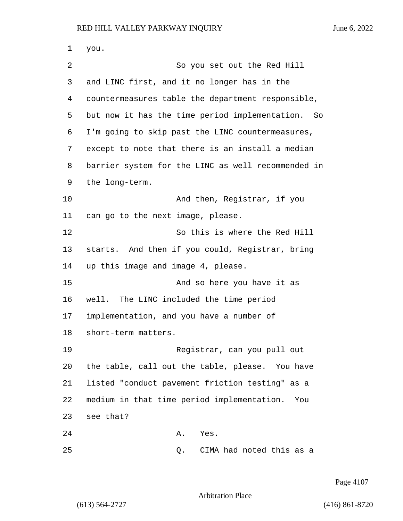you. 2 So you set out the Red Hill and LINC first, and it no longer has in the countermeasures table the department responsible, but now it has the time period implementation. So I'm going to skip past the LINC countermeasures, except to note that there is an install a median barrier system for the LINC as well recommended in the long-term. 10 And then, Registrar, if you can go to the next image, please. 12 So this is where the Red Hill starts. And then if you could, Registrar, bring up this image and image 4, please. 15 And so here you have it as well. The LINC included the time period implementation, and you have a number of short-term matters. 19 Registrar, can you pull out the table, call out the table, please. You have listed "conduct pavement friction testing" as a medium in that time period implementation. You see that? 24 A. Yes. 25 Q. CIMA had noted this as a

Page 4107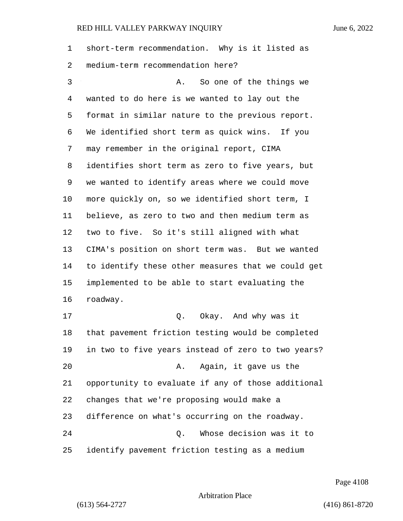| 1  | short-term recommendation. Why is it listed as     |
|----|----------------------------------------------------|
| 2  | medium-term recommendation here?                   |
| 3  | So one of the things we<br>Α.                      |
| 4  | wanted to do here is we wanted to lay out the      |
| 5  | format in similar nature to the previous report.   |
| 6  | We identified short term as quick wins. If you     |
| 7  | may remember in the original report, CIMA          |
| 8  | identifies short term as zero to five years, but   |
| 9  | we wanted to identify areas where we could move    |
| 10 | more quickly on, so we identified short term, I    |
| 11 | believe, as zero to two and then medium term as    |
| 12 | two to five. So it's still aligned with what       |
| 13 | CIMA's position on short term was. But we wanted   |
| 14 | to identify these other measures that we could get |
| 15 | implemented to be able to start evaluating the     |
| 16 | roadway.                                           |
| 17 | Q. Okay. And why was it                            |
| 18 | that pavement friction testing would be completed  |
| 19 | in two to five years instead of zero to two years? |
| 20 | Again, it gave us the<br>Α.                        |
| 21 | opportunity to evaluate if any of those additional |
| 22 | changes that we're proposing would make a          |
| 23 | difference on what's occurring on the roadway.     |
| 24 | Whose decision was it to<br>Q.                     |
| 25 | identify pavement friction testing as a medium     |

Page 4108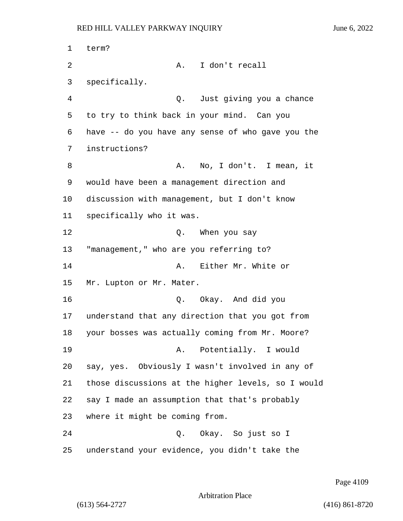1 term? 2 A. I don't recall specifically. 4 Q. Just giving you a chance to try to think back in your mind. Can you have -- do you have any sense of who gave you the instructions? 8 A. No, I don't. I mean, it would have been a management direction and discussion with management, but I don't know specifically who it was. 12 O. When you say "management," who are you referring to? 14 A. Either Mr. White or Mr. Lupton or Mr. Mater. 16 Q. Okay. And did you understand that any direction that you got from your bosses was actually coming from Mr. Moore? 19 A. Potentially. I would say, yes. Obviously I wasn't involved in any of those discussions at the higher levels, so I would say I made an assumption that that's probably where it might be coming from. 24 Q. Okay. So just so I understand your evidence, you didn't take the

Page 4109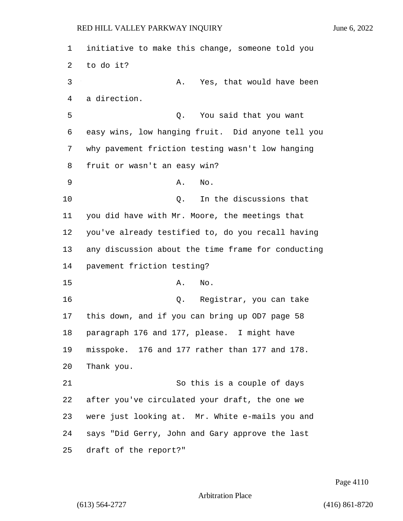initiative to make this change, someone told you to do it? 3 A. Yes, that would have been a direction. 5 Q. You said that you want easy wins, low hanging fruit. Did anyone tell you why pavement friction testing wasn't low hanging fruit or wasn't an easy win? 9 A. No. 10 Q. In the discussions that you did have with Mr. Moore, the meetings that you've already testified to, do you recall having any discussion about the time frame for conducting pavement friction testing? 15 A. No. 16 Q. Registrar, you can take this down, and if you can bring up OD7 page 58 paragraph 176 and 177, please. I might have misspoke. 176 and 177 rather than 177 and 178. Thank you. 21 So this is a couple of days after you've circulated your draft, the one we were just looking at. Mr. White e-mails you and says "Did Gerry, John and Gary approve the last draft of the report?"

Page 4110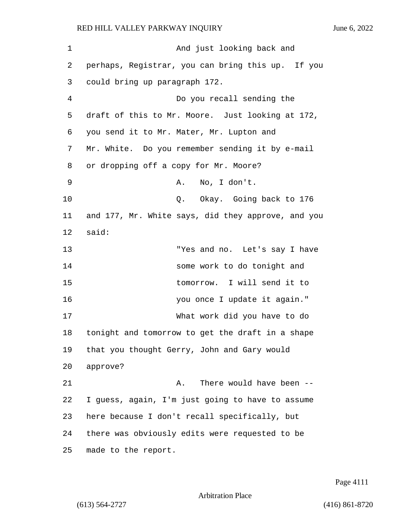1 And just looking back and 2 perhaps, Registrar, you can bring this up. If you 3 could bring up paragraph 172. 4 Do you recall sending the 5 draft of this to Mr. Moore. Just looking at 172, 6 you send it to Mr. Mater, Mr. Lupton and 7 Mr. White. Do you remember sending it by e-mail 8 or dropping off a copy for Mr. Moore? 9 A. No, I don't. 10 Q. Okay. Going back to 176 11 and 177, Mr. White says, did they approve, and you 12 said: 13 "Yes and no. Let's say I have 14 some work to do tonight and 15 tomorrow. I will send it to 16 you once I update it again." 17 What work did you have to do 18 tonight and tomorrow to get the draft in a shape 19 that you thought Gerry, John and Gary would 20 approve? 21 A. There would have been --22 I guess, again, I'm just going to have to assume 23 here because I don't recall specifically, but 24 there was obviously edits were requested to be 25 made to the report.

Page 4111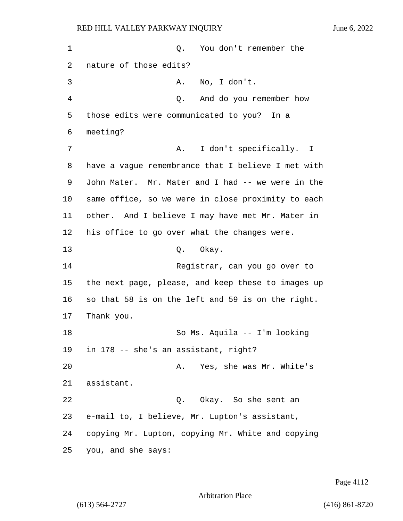1 Q. You don't remember the 2 nature of those edits? 3 A. No, I don't. 4 Q. And do you remember how 5 those edits were communicated to you? In a 6 meeting? 7 A. I don't specifically. I 8 have a vague remembrance that I believe I met with 9 John Mater. Mr. Mater and I had -- we were in the 10 same office, so we were in close proximity to each 11 other. And I believe I may have met Mr. Mater in 12 his office to go over what the changes were. 13 Q. Okay. 14 Registrar, can you go over to 15 the next page, please, and keep these to images up 16 so that 58 is on the left and 59 is on the right. 17 Thank you. 18 So Ms. Aquila -- I'm looking 19 in 178 -- she's an assistant, right? 20 A. Yes, she was Mr. White's 21 assistant. 22 Q. Okay. So she sent an 23 e-mail to, I believe, Mr. Lupton's assistant, 24 copying Mr. Lupton, copying Mr. White and copying 25 you, and she says:

Page 4112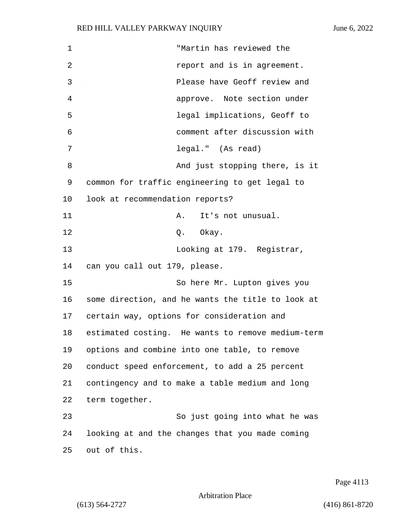| 1  | "Martin has reviewed the                          |
|----|---------------------------------------------------|
| 2  | report and is in agreement.                       |
| 3  | Please have Geoff review and                      |
| 4  | approve. Note section under                       |
| 5  | legal implications, Geoff to                      |
| 6  | comment after discussion with                     |
| 7  | legal." (As read)                                 |
| 8  | And just stopping there, is it                    |
| 9  | common for traffic engineering to get legal to    |
| 10 | look at recommendation reports?                   |
| 11 | It's not unusual.<br>A.                           |
| 12 | Q. Okay.                                          |
| 13 | Looking at 179. Registrar,                        |
| 14 | can you call out 179, please.                     |
| 15 | So here Mr. Lupton gives you                      |
| 16 | some direction, and he wants the title to look at |
| 17 | certain way, options for consideration and        |
| 18 | estimated costing. He wants to remove medium-term |
| 19 | options and combine into one table, to remove     |
| 20 | conduct speed enforcement, to add a 25 percent    |
| 21 | contingency and to make a table medium and long   |
| 22 | term together.                                    |
| 23 | So just going into what he was                    |
| 24 | looking at and the changes that you made coming   |
| 25 | out of this.                                      |

Page 4113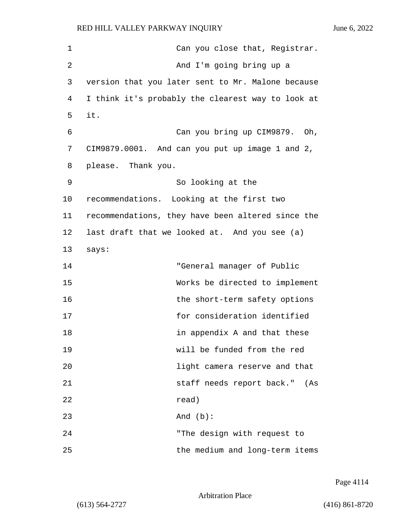| 1  | Can you close that, Registrar.                    |
|----|---------------------------------------------------|
| 2  | And I'm going bring up a                          |
| 3  | version that you later sent to Mr. Malone because |
| 4  | I think it's probably the clearest way to look at |
| 5  | it.                                               |
| 6  | Can you bring up CIM9879. Oh,                     |
| 7  | CIM9879.0001. And can you put up image 1 and 2,   |
| 8  | please. Thank you.                                |
| 9  | So looking at the                                 |
| 10 | recommendations. Looking at the first two         |
| 11 | recommendations, they have been altered since the |
| 12 | last draft that we looked at. And you see (a)     |
| 13 | says:                                             |
| 14 | "General manager of Public                        |
| 15 | Works be directed to implement                    |
| 16 | the short-term safety options                     |
| 17 | for consideration identified                      |
| 18 | in appendix A and that these                      |
| 19 | will be funded from the red                       |
| 20 | light camera reserve and that                     |
| 21 | staff needs report back."<br>(As                  |
| 22 | read)                                             |
| 23 | And $(b)$ :                                       |
| 24 | "The design with request to                       |
| 25 | the medium and long-term items                    |

Page 4114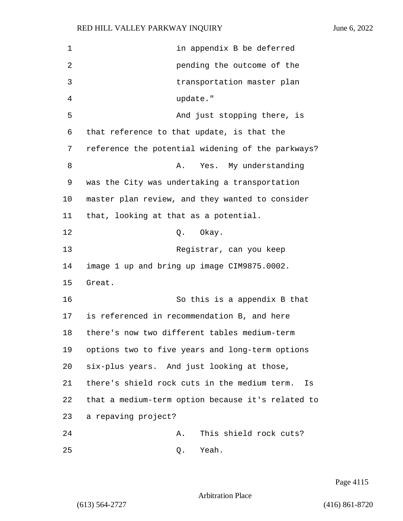| 1  | in appendix B be deferred                          |
|----|----------------------------------------------------|
| 2  | pending the outcome of the                         |
| 3  | transportation master plan                         |
| 4  | update."                                           |
| 5  | And just stopping there, is                        |
| 6  | that reference to that update, is that the         |
| 7  | reference the potential widening of the parkways?  |
| 8  | Yes. My understanding<br>Α.                        |
| 9  | was the City was undertaking a transportation      |
| 10 | master plan review, and they wanted to consider    |
| 11 | that, looking at that as a potential.              |
| 12 | Okay.<br>Q.                                        |
| 13 | Registrar, can you keep                            |
| 14 | image 1 up and bring up image CIM9875.0002.        |
| 15 | Great.                                             |
| 16 | So this is a appendix B that                       |
| 17 | is referenced in recommendation B, and here        |
| 18 | there's now two different tables medium-term       |
| 19 | options two to five years and long-term options    |
| 20 | six-plus years. And just looking at those,         |
| 21 | there's shield rock cuts in the medium term.<br>Is |
| 22 | that a medium-term option because it's related to  |
| 23 | a repaving project?                                |
| 24 | This shield rock cuts?<br>Α.                       |
| 25 | Yeah.<br>Q.                                        |

Page 4115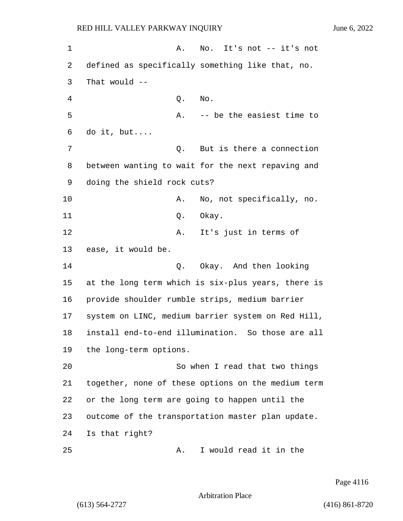1 A. No. It's not -- it's not 2 defined as specifically something like that, no. 3 That would -- 4 Q. No. 5 A. -- be the easiest time to 6 do it, but.... 7 Q. But is there a connection 8 between wanting to wait for the next repaving and 9 doing the shield rock cuts? 10 A. No, not specifically, no. 11 Q. Okay. 12 A. It's just in terms of 13 ease, it would be. 14 Q. Okay. And then looking 15 at the long term which is six-plus years, there is 16 provide shoulder rumble strips, medium barrier 17 system on LINC, medium barrier system on Red Hill, 18 install end-to-end illumination. So those are all 19 the long-term options. 20 So when I read that two things 21 together, none of these options on the medium term 22 or the long term are going to happen until the 23 outcome of the transportation master plan update. 24 Is that right? 25 A. I would read it in the

Page 4116

Arbitration Place

(613) 564-2727 (416) 861-8720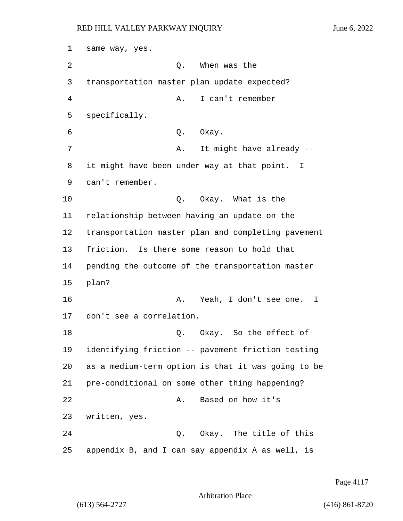same way, yes. 2 O. When was the transportation master plan update expected? 4 A. I can't remember specifically. 6 Q. Okay. 7 A. It might have already -- it might have been under way at that point. I can't remember. 10 Q. Okay. What is the relationship between having an update on the transportation master plan and completing pavement friction. Is there some reason to hold that pending the outcome of the transportation master 15 plan? **A.** Yeah, I don't see one. I don't see a correlation. 18 C. Okay. So the effect of identifying friction -- pavement friction testing as a medium-term option is that it was going to be pre-conditional on some other thing happening? 22 A. Based on how it's written, yes. 24 Q. Okay. The title of this appendix B, and I can say appendix A as well, is

Page 4117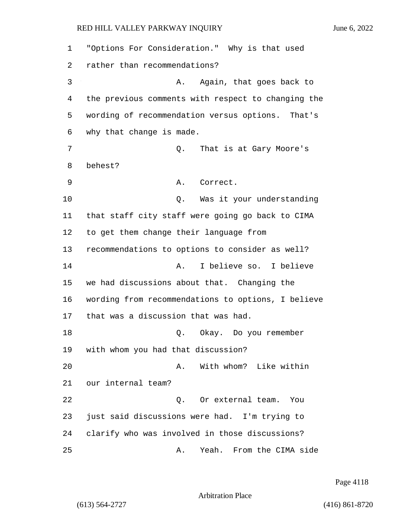1 "Options For Consideration." Why is that used 2 rather than recommendations? 3 A. Again, that goes back to 4 the previous comments with respect to changing the 5 wording of recommendation versus options. That's 6 why that change is made. 7 C. That is at Gary Moore's 8 behest? 9 A. Correct. 10 Q. Was it your understanding 11 that staff city staff were going go back to CIMA 12 to get them change their language from 13 recommendations to options to consider as well? 14 A. I believe so. I believe 15 we had discussions about that. Changing the 16 wording from recommendations to options, I believe 17 that was a discussion that was had. 18 Q. Okay. Do you remember 19 with whom you had that discussion? 20 A. With whom? Like within 21 our internal team? 22 Q. Or external team. You 23 just said discussions were had. I'm trying to 24 clarify who was involved in those discussions? 25 A. Yeah. From the CIMA side

Page 4118

Arbitration Place

(613) 564-2727 (416) 861-8720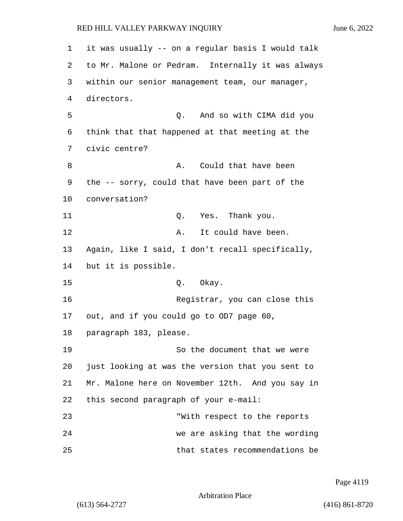1 it was usually -- on a regular basis I would talk 2 to Mr. Malone or Pedram. Internally it was always 3 within our senior management team, our manager, 4 directors. 5 Q. And so with CIMA did you 6 think that that happened at that meeting at the 7 civic centre? 8 A. Could that have been 9 the -- sorry, could that have been part of the 10 conversation? 11 Q. Yes. Thank you. 12 A. It could have been. 13 Again, like I said, I don't recall specifically, 14 but it is possible. 15 Q. Okay. 16 Registrar, you can close this 17 out, and if you could go to OD7 page 60, 18 paragraph 183, please. 19 So the document that we were 20 just looking at was the version that you sent to 21 Mr. Malone here on November 12th. And you say in 22 this second paragraph of your e-mail: 23 "With respect to the reports 24 we are asking that the wording 25 that states recommendations be

Page 4119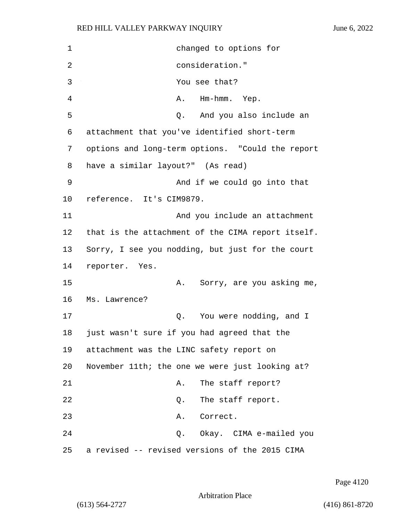1 changed to options for 2 consideration." 3 You see that? 4 A. Hm-hmm. Yep. 5 Q. And you also include an 6 attachment that you've identified short-term 7 options and long-term options. "Could the report 8 have a similar layout?" (As read) 9 And if we could go into that 10 reference. It's CIM9879. 11 And you include an attachment 12 that is the attachment of the CIMA report itself. 13 Sorry, I see you nodding, but just for the court 14 reporter. Yes. 15 A. Sorry, are you asking me, 16 Ms. Lawrence? 17 and 1 Q. You were nodding, and I 18 just wasn't sure if you had agreed that the 19 attachment was the LINC safety report on 20 November 11th; the one we were just looking at? 21 A. The staff report? 22 Q. The staff report. 23 A. Correct. 24 Q. Okay. CIMA e-mailed you 25 a revised -- revised versions of the 2015 CIMA

Page 4120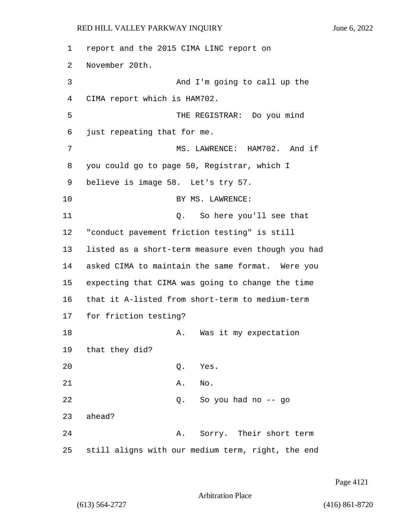1 report and the 2015 CIMA LINC report on 2 November 20th. 3 And I'm going to call up the 4 CIMA report which is HAM702. 5 THE REGISTRAR: Do you mind 6 just repeating that for me. 7 MS. LAWRENCE: HAM702. And if 8 you could go to page 50, Registrar, which I 9 believe is image 58. Let's try 57. 10 BY MS. LAWRENCE: 11 Q. So here you'll see that 12 "conduct pavement friction testing" is still 13 listed as a short-term measure even though you had 14 asked CIMA to maintain the same format. Were you 15 expecting that CIMA was going to change the time 16 that it A-listed from short-term to medium-term 17 for friction testing? 18 A. Was it my expectation 19 that they did? 20 Q. Yes. 21 A. No. 22 Q. So you had no -- go 23 ahead? 24 A. Sorry. Their short term 25 still aligns with our medium term, right, the end

Page 4121

Arbitration Place

(613) 564-2727 (416) 861-8720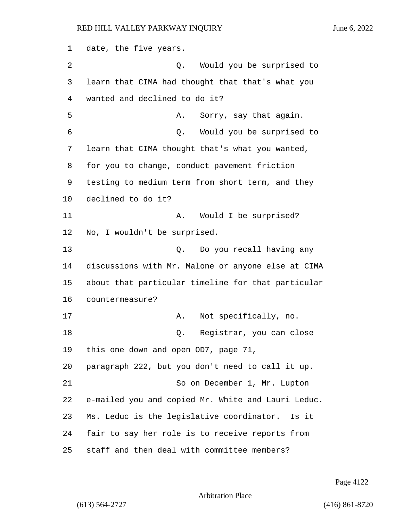date, the five years. 2 Q. Would you be surprised to learn that CIMA had thought that that's what you wanted and declined to do it? 5 A. Sorry, say that again. 6 Q. Would you be surprised to learn that CIMA thought that's what you wanted, for you to change, conduct pavement friction testing to medium term from short term, and they declined to do it? 11 A. Would I be surprised? No, I wouldn't be surprised. 13 Q. Do you recall having any discussions with Mr. Malone or anyone else at CIMA about that particular timeline for that particular countermeasure? 17 A. Not specifically, no. 18 Q. Registrar, you can close this one down and open OD7, page 71, paragraph 222, but you don't need to call it up. 21 So on December 1, Mr. Lupton e-mailed you and copied Mr. White and Lauri Leduc. Ms. Leduc is the legislative coordinator. Is it fair to say her role is to receive reports from staff and then deal with committee members?

Page 4122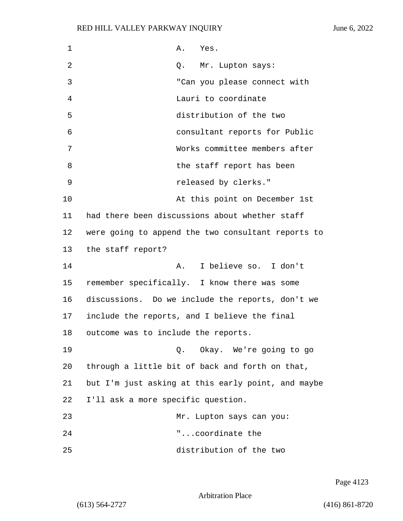| 1  | A. Yes.                                            |
|----|----------------------------------------------------|
| 2  | Q. Mr. Lupton says:                                |
| 3  | "Can you please connect with                       |
| 4  | Lauri to coordinate                                |
| 5  | distribution of the two                            |
| 6  | consultant reports for Public                      |
| 7  | Works committee members after                      |
| 8  | the staff report has been                          |
| 9  | released by clerks."                               |
| 10 | At this point on December 1st                      |
| 11 | had there been discussions about whether staff     |
| 12 | were going to append the two consultant reports to |
| 13 | the staff report?                                  |
| 14 | I believe so. I don't<br>Α.                        |
| 15 | remember specifically. I know there was some       |
| 16 | discussions. Do we include the reports, don't we   |
| 17 | include the reports, and I believe the final       |
| 18 | outcome was to include the reports.                |
| 19 | Q. Okay. We're going to go                         |
| 20 | through a little bit of back and forth on that,    |
| 21 | but I'm just asking at this early point, and maybe |
| 22 | I'll ask a more specific question.                 |
| 23 | Mr. Lupton says can you:                           |
| 24 | "coordinate the                                    |
| 25 | distribution of the two                            |

Page 4123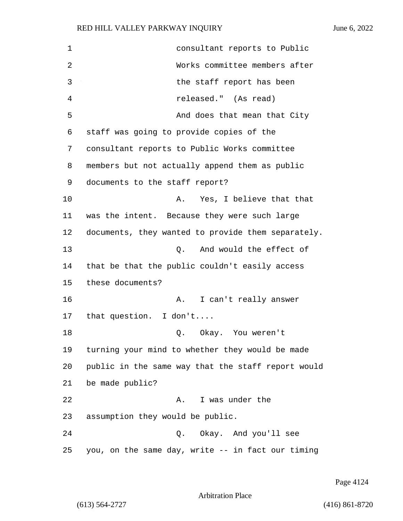1 consultant reports to Public 2 Works committee members after 3 the staff report has been 4 released." (As read) 5 And does that mean that City 6 staff was going to provide copies of the 7 consultant reports to Public Works committee 8 members but not actually append them as public 9 documents to the staff report? 10 A. Yes, I believe that that 11 was the intent. Because they were such large 12 documents, they wanted to provide them separately. 13 O. And would the effect of 14 that be that the public couldn't easily access 15 these documents? 16 A. I can't really answer 17 that question. I don't.... 18 Q. Okay. You weren't 19 turning your mind to whether they would be made 20 public in the same way that the staff report would 21 be made public? 22 A. I was under the 23 assumption they would be public. 24 Q. Okay. And you'll see 25 you, on the same day, write -- in fact our timing

Page 4124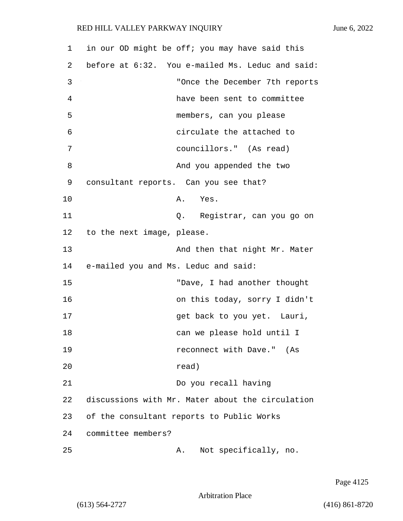| $\mathbf 1$ |                                           | in our OD might be off; you may have said this   |
|-------------|-------------------------------------------|--------------------------------------------------|
| 2           |                                           | before at 6:32. You e-mailed Ms. Leduc and said: |
| 3           |                                           | "Once the December 7th reports                   |
| 4           |                                           | have been sent to committee                      |
| 5           |                                           | members, can you please                          |
| 6           |                                           | circulate the attached to                        |
| 7           |                                           | councillors." (As read)                          |
| 8           |                                           | And you appended the two                         |
| 9           | consultant reports. Can you see that?     |                                                  |
| 10          |                                           | A. Yes.                                          |
| 11          |                                           | Q. Registrar, can you go on                      |
| 12          | to the next image, please.                |                                                  |
| 13          |                                           | And then that night Mr. Mater                    |
| 14          | e-mailed you and Ms. Leduc and said:      |                                                  |
| 15          |                                           | "Dave, I had another thought                     |
| 16          |                                           | on this today, sorry I didn't                    |
| 17          |                                           | get back to you yet. Lauri,                      |
| 18          |                                           | can we please hold until I                       |
| 19          |                                           | reconnect with Dave." (As                        |
| 20          |                                           | read)                                            |
| 21          |                                           | Do you recall having                             |
| 22          |                                           | discussions with Mr. Mater about the circulation |
| 23          | of the consultant reports to Public Works |                                                  |
| 24          | committee members?                        |                                                  |
| 25          | Α.                                        | Not specifically, no.                            |

Page 4125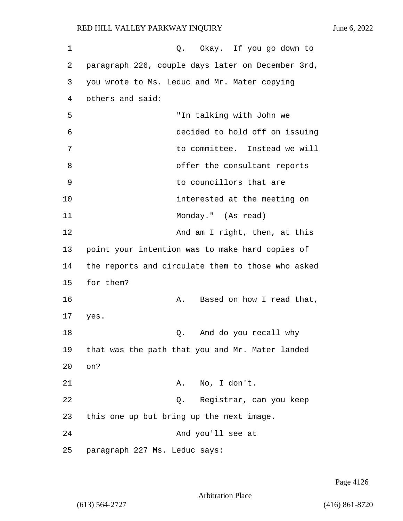| 1  | Q. Okay. If you go down to                        |
|----|---------------------------------------------------|
| 2  | paragraph 226, couple days later on December 3rd, |
| 3  | you wrote to Ms. Leduc and Mr. Mater copying      |
| 4  | others and said:                                  |
| 5  | "In talking with John we                          |
| 6  | decided to hold off on issuing                    |
| 7  | to committee. Instead we will                     |
| 8  | offer the consultant reports                      |
| 9  | to councillors that are                           |
| 10 | interested at the meeting on                      |
| 11 | Monday." (As read)                                |
| 12 | And am I right, then, at this                     |
| 13 | point your intention was to make hard copies of   |
| 14 | the reports and circulate them to those who asked |
| 15 | for them?                                         |
| 16 | Based on how I read that,<br>Α.                   |
| 17 | yes.                                              |
| 18 | And do you recall why<br>Q.                       |
| 19 | that was the path that you and Mr. Mater landed   |
| 20 | on?                                               |
| 21 | No, I don't.<br>Α.                                |
| 22 | Registrar, can you keep<br>Q.                     |
| 23 | this one up but bring up the next image.          |
| 24 | And you'll see at                                 |
| 25 | paragraph 227 Ms. Leduc says:                     |

Page 4126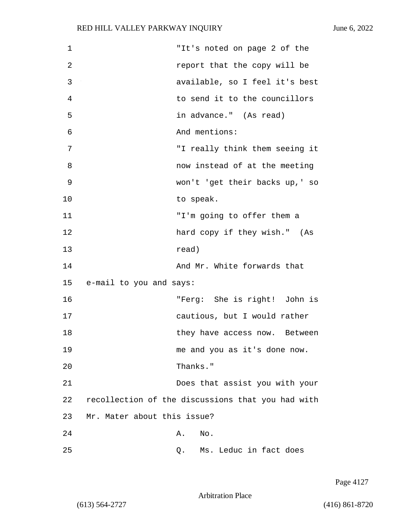| $\mathbf 1$ | "It's noted on page 2 of the                      |
|-------------|---------------------------------------------------|
| 2           | report that the copy will be                      |
| 3           | available, so I feel it's best                    |
| 4           | to send it to the councillors                     |
| 5           | in advance." (As read)                            |
| 6           | And mentions:                                     |
| 7           | "I really think them seeing it                    |
| 8           | now instead of at the meeting                     |
| 9           | won't 'get their backs up,' so                    |
| 10          | to speak.                                         |
| 11          | "I'm going to offer them a                        |
| 12          | hard copy if they wish." (As                      |
| 13          | read)                                             |
| 14          | And Mr. White forwards that                       |
| 15          | e-mail to you and says:                           |
| 16          | "Ferg: She is right! John is                      |
| 17          | cautious, but I would rather                      |
| 18          | they have access now. Between                     |
| 19          | me and you as it's done now.                      |
| 20          | Thanks."                                          |
| 21          | Does that assist you with your                    |
| 22          | recollection of the discussions that you had with |
| 23          | Mr. Mater about this issue?                       |
| 24          | No.<br>Α.                                         |
| 25          | Ms. Leduc in fact does<br>Q.                      |

Page 4127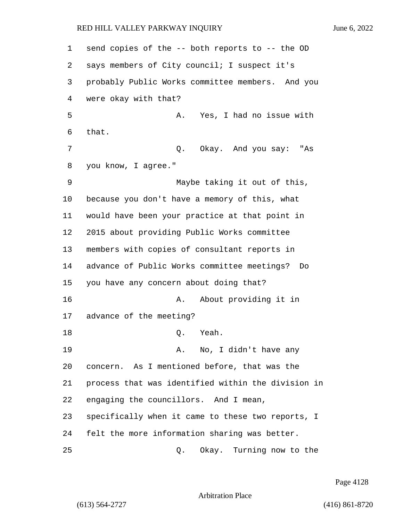send copies of the -- both reports to -- the OD says members of City council; I suspect it's probably Public Works committee members. And you were okay with that? 5 A. Yes, I had no issue with that. 7 Q. Okay. And you say: "As you know, I agree." 9 Maybe taking it out of this, because you don't have a memory of this, what would have been your practice at that point in 2015 about providing Public Works committee members with copies of consultant reports in advance of Public Works committee meetings? Do you have any concern about doing that? 16 A. About providing it in advance of the meeting? 18 Q. Yeah. 19 A. No, I didn't have any concern. As I mentioned before, that was the process that was identified within the division in engaging the councillors. And I mean, specifically when it came to these two reports, I felt the more information sharing was better. 25 Q. Okay. Turning now to the

Page 4128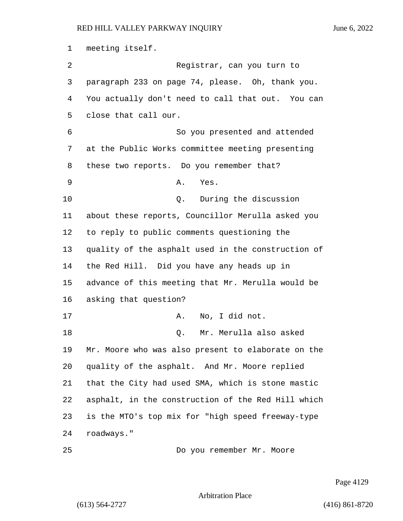meeting itself. 2 Registrar, can you turn to paragraph 233 on page 74, please. Oh, thank you. You actually don't need to call that out. You can close that call our. 6 So you presented and attended at the Public Works committee meeting presenting these two reports. Do you remember that? 9 A. Yes. 10 Q. During the discussion about these reports, Councillor Merulla asked you to reply to public comments questioning the quality of the asphalt used in the construction of the Red Hill. Did you have any heads up in advance of this meeting that Mr. Merulla would be asking that question? 17 A. No, I did not. 18 Q. Mr. Merulla also asked Mr. Moore who was also present to elaborate on the quality of the asphalt. And Mr. Moore replied that the City had used SMA, which is stone mastic asphalt, in the construction of the Red Hill which is the MTO's top mix for "high speed freeway-type roadways." 25 Do you remember Mr. Moore

Page 4129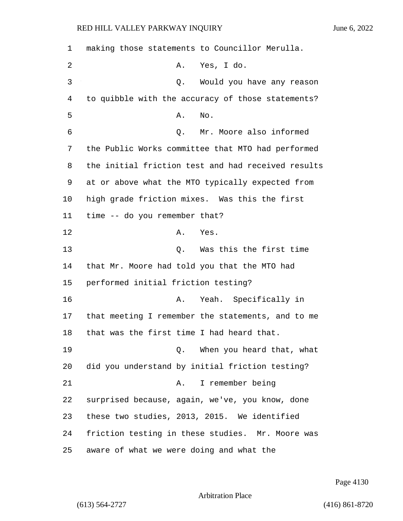| 1  | making those statements to Councillor Merulla.     |
|----|----------------------------------------------------|
| 2  | Yes, I do.<br>Α.                                   |
| 3  | Would you have any reason<br>Q.                    |
| 4  | to quibble with the accuracy of those statements?  |
| 5  | No.<br>Α.                                          |
| 6  | Mr. Moore also informed<br>Q.                      |
| 7  | the Public Works committee that MTO had performed  |
| 8  | the initial friction test and had received results |
| 9  | at or above what the MTO typically expected from   |
| 10 | high grade friction mixes. Was this the first      |
| 11 | time -- do you remember that?                      |
| 12 | Yes.<br>Α.                                         |
| 13 | Was this the first time<br>Q.                      |
| 14 | that Mr. Moore had told you that the MTO had       |
| 15 | performed initial friction testing?                |
| 16 | Yeah. Specifically in<br>Α.                        |
| 17 | that meeting I remember the statements, and to me  |
| 18 | that was the first time I had heard that.          |
| 19 | When you heard that, what<br>0.                    |
| 20 | did you understand by initial friction testing?    |
| 21 | I remember being<br>Α.                             |
| 22 | surprised because, again, we've, you know, done    |
| 23 | these two studies, 2013, 2015. We identified       |
| 24 | friction testing in these studies. Mr. Moore was   |
| 25 | aware of what we were doing and what the           |

Page 4130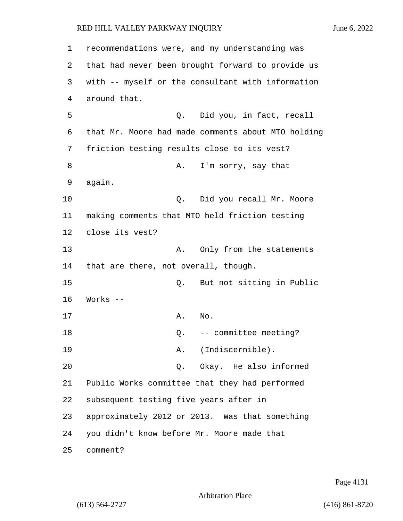1 recommendations were, and my understanding was 2 that had never been brought forward to provide us 3 with -- myself or the consultant with information 4 around that. 5 Q. Did you, in fact, recall 6 that Mr. Moore had made comments about MTO holding 7 friction testing results close to its vest? 8 A. I'm sorry, say that 9 again. 10 Q. Did you recall Mr. Moore 11 making comments that MTO held friction testing 12 close its vest? 13 A. Only from the statements 14 that are there, not overall, though. 15 Q. But not sitting in Public 16 Works -- 17 A. No. 18  $Q. -$ - committee meeting? 19 A. (Indiscernible). 20 Q. Okay. He also informed 21 Public Works committee that they had performed 22 subsequent testing five years after in 23 approximately 2012 or 2013. Was that something 24 you didn't know before Mr. Moore made that 25 comment?

Page 4131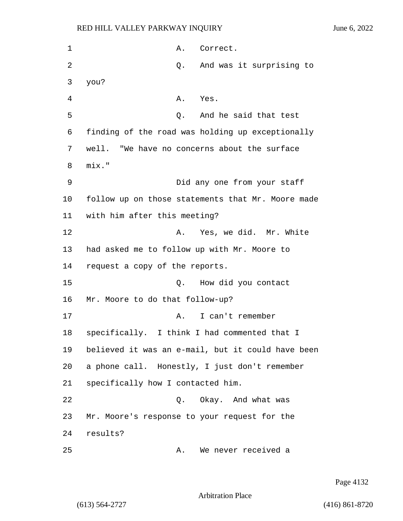| 1  |                                             | Α.    | Correct.                                          |
|----|---------------------------------------------|-------|---------------------------------------------------|
| 2  |                                             | Q.    | And was it surprising to                          |
| 3  | you?                                        |       |                                                   |
| 4  |                                             | Α.    | Yes.                                              |
| 5  |                                             | Q.    | And he said that test                             |
| 6  |                                             |       | finding of the road was holding up exceptionally  |
| 7  |                                             |       | well. "We have no concerns about the surface      |
| 8  | mix."                                       |       |                                                   |
| 9  |                                             |       | Did any one from your staff                       |
| 10 |                                             |       | follow up on those statements that Mr. Moore made |
| 11 | with him after this meeting?                |       |                                                   |
| 12 |                                             | Α.    | Yes, we did. Mr. White                            |
| 13 | had asked me to follow up with Mr. Moore to |       |                                                   |
| 14 | request a copy of the reports.              |       |                                                   |
| 15 |                                             | Q.    | How did you contact                               |
| 16 | Mr. Moore to do that follow-up?             |       |                                                   |
| 17 |                                             | Α.    | I can't remember                                  |
| 18 |                                             |       | specifically. I think I had commented that I      |
| 19 |                                             |       | believed it was an e-mail, but it could have been |
| 20 |                                             |       | a phone call. Honestly, I just don't remember     |
| 21 | specifically how I contacted him.           |       |                                                   |
| 22 |                                             | $Q$ . | Okay. And what was                                |
| 23 |                                             |       | Mr. Moore's response to your request for the      |
| 24 | results?                                    |       |                                                   |
| 25 |                                             | Α.    | We never received a                               |

Page 4132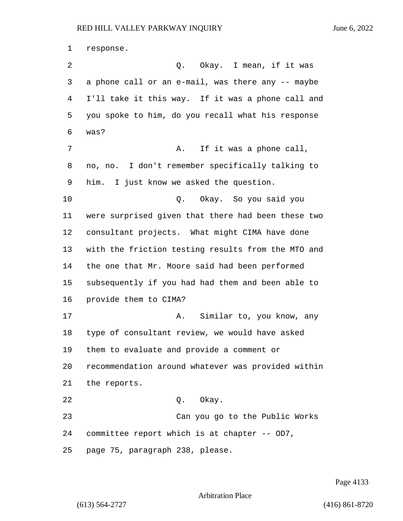response. 2 Q. Okay. I mean, if it was a phone call or an e-mail, was there any -- maybe I'll take it this way. If it was a phone call and you spoke to him, do you recall what his response was? 7 A. If it was a phone call, no, no. I don't remember specifically talking to him. I just know we asked the question. 10 Q. Okay. So you said you were surprised given that there had been these two consultant projects. What might CIMA have done with the friction testing results from the MTO and the one that Mr. Moore said had been performed subsequently if you had had them and been able to provide them to CIMA? 17 A. Similar to, you know, any type of consultant review, we would have asked them to evaluate and provide a comment or recommendation around whatever was provided within the reports. 22 Q. Okay. 23 Can you go to the Public Works committee report which is at chapter -- OD7, page 75, paragraph 238, please.

Page 4133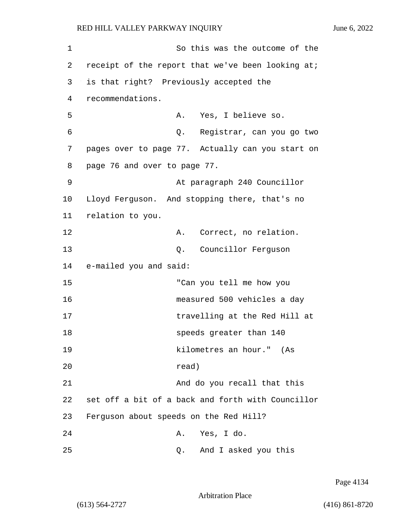1 So this was the outcome of the 2 receipt of the report that we've been looking at; 3 is that right? Previously accepted the 4 recommendations. 5 A. Yes, I believe so. 6 Q. Registrar, can you go two 7 pages over to page 77. Actually can you start on 8 page 76 and over to page 77. 9 At paragraph 240 Councillor 10 Lloyd Ferguson. And stopping there, that's no 11 relation to you. 12 A. Correct, no relation. 13 Q. Councillor Ferguson 14 e-mailed you and said: 15 "Can you tell me how you 16 measured 500 vehicles a day 17 travelling at the Red Hill at 18 speeds greater than 140 19 kilometres an hour." (As 20 read) 21 And do you recall that this 22 set off a bit of a back and forth with Councillor 23 Ferguson about speeds on the Red Hill? 24 A. Yes, I do.

25 Q. And I asked you this

Page 4134

Arbitration Place

(613) 564-2727 (416) 861-8720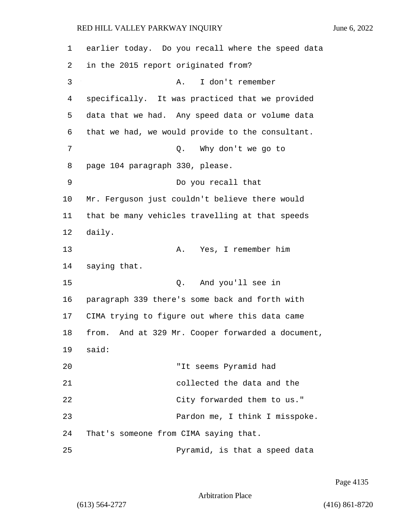| 1  | earlier today. Do you recall where the speed data    |
|----|------------------------------------------------------|
| 2  | in the 2015 report originated from?                  |
| 3  | I don't remember<br>Α.                               |
| 4  | specifically. It was practiced that we provided      |
| 5  | data that we had. Any speed data or volume data      |
| 6  | that we had, we would provide to the consultant.     |
| 7  | Why don't we go to<br>Q.                             |
| 8  | page 104 paragraph 330, please.                      |
| 9  | Do you recall that                                   |
| 10 | Mr. Ferguson just couldn't believe there would       |
| 11 | that be many vehicles travelling at that speeds      |
| 12 | daily.                                               |
| 13 | Yes, I remember him<br>Α.                            |
| 14 | saying that.                                         |
| 15 | And you'll see in<br>Q.                              |
| 16 | paragraph 339 there's some back and forth with       |
| 17 | CIMA trying to figure out where this data came       |
| 18 | And at 329 Mr. Cooper forwarded a document,<br>from. |
|    | 19 said:                                             |
| 20 | "It seems Pyramid had                                |
| 21 | collected the data and the                           |
| 22 | City forwarded them to us."                          |
| 23 | Pardon me, I think I misspoke.                       |
| 24 | That's someone from CIMA saying that.                |
| 25 | Pyramid, is that a speed data                        |

Page 4135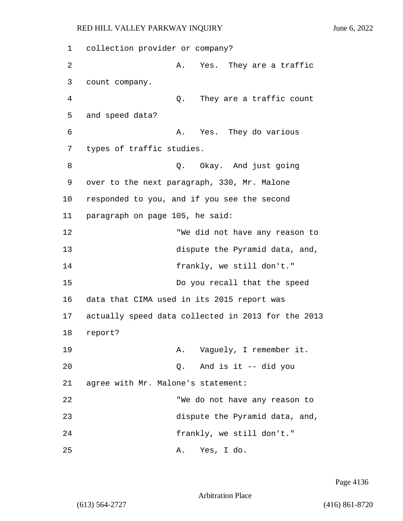1 collection provider or company? 2 A. Yes. They are a traffic 3 count company. 4 Q. They are a traffic count 5 and speed data? 6 A. Yes. They do various 7 types of traffic studies. 8 and  $Q.$  Okay. And just going 9 over to the next paragraph, 330, Mr. Malone 10 responded to you, and if you see the second 11 paragraph on page 105, he said: 12 "We did not have any reason to 13 dispute the Pyramid data, and, 14 frankly, we still don't." 15 Do you recall that the speed 16 data that CIMA used in its 2015 report was 17 actually speed data collected in 2013 for the 2013 18 report? 19 A. Vaguely, I remember it. 20 Q. And is it -- did you 21 agree with Mr. Malone's statement: 22 "We do not have any reason to 23 dispute the Pyramid data, and, 24 frankly, we still don't." 25 A. Yes, I do.

Page 4136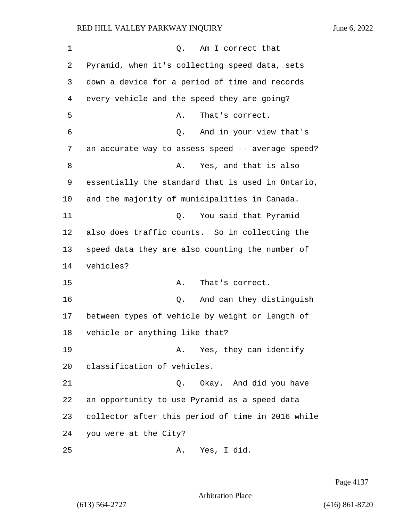| 1  | Am I correct that<br>Q.                           |
|----|---------------------------------------------------|
| 2  | Pyramid, when it's collecting speed data, sets    |
| 3  | down a device for a period of time and records    |
| 4  | every vehicle and the speed they are going?       |
| 5  | That's correct.<br>Α.                             |
| 6  | And in your view that's<br>Q.                     |
| 7  | an accurate way to assess speed -- average speed? |
| 8  | Yes, and that is also<br>Α.                       |
| 9  | essentially the standard that is used in Ontario, |
| 10 | and the majority of municipalities in Canada.     |
| 11 | You said that Pyramid<br>Q.                       |
| 12 | also does traffic counts. So in collecting the    |
| 13 | speed data they are also counting the number of   |
| 14 | vehicles?                                         |
| 15 | That's correct.<br>Α.                             |
| 16 | And can they distinguish<br>Q.                    |
| 17 | between types of vehicle by weight or length of   |
| 18 | vehicle or anything like that?                    |
| 19 | A. Yes, they can identify                         |
| 20 | classification of vehicles.                       |
| 21 | Okay. And did you have<br>Q.                      |
| 22 | an opportunity to use Pyramid as a speed data     |
| 23 | collector after this period of time in 2016 while |
| 24 | you were at the City?                             |
| 25 | Yes, I did.<br>Α.                                 |

Page 4137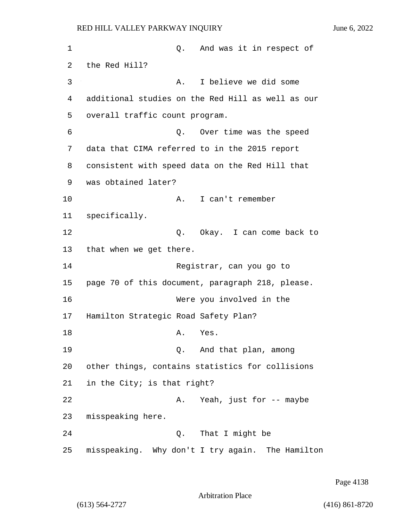1 and was it in respect of 2 the Red Hill? 3 A. I believe we did some 4 additional studies on the Red Hill as well as our 5 overall traffic count program. 6 Q. Over time was the speed 7 data that CIMA referred to in the 2015 report 8 consistent with speed data on the Red Hill that 9 was obtained later? 10 A. I can't remember 11 specifically. 12 and 0. Okay. I can come back to 13 that when we get there. 14 Registrar, can you go to 15 page 70 of this document, paragraph 218, please. 16 Were you involved in the 17 Hamilton Strategic Road Safety Plan? 18 A. Yes. 19 Q. And that plan, among 20 other things, contains statistics for collisions 21 in the City; is that right? 22 A. Yeah, just for -- maybe 23 misspeaking here. 24 Q. That I might be

25 misspeaking. Why don't I try again. The Hamilton

Page 4138

Arbitration Place

(613) 564-2727 (416) 861-8720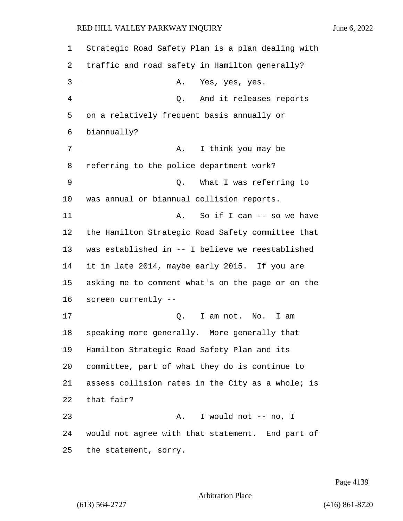## RED HILL VALLEY PARKWAY INQUIRY June 6, 2022

 Strategic Road Safety Plan is a plan dealing with traffic and road safety in Hamilton generally? 3 A. Yes, yes, yes. 4 Q. And it releases reports on a relatively frequent basis annually or biannually? 7 A. I think you may be referring to the police department work? 9 Q. What I was referring to was annual or biannual collision reports. 11 A. So if I can -- so we have the Hamilton Strategic Road Safety committee that was established in -- I believe we reestablished it in late 2014, maybe early 2015. If you are asking me to comment what's on the page or on the screen currently -- 17 C. I am not. No. I am speaking more generally. More generally that Hamilton Strategic Road Safety Plan and its committee, part of what they do is continue to assess collision rates in the City as a whole; is that fair? 23 A. I would not -- no, I would not agree with that statement. End part of the statement, sorry.

Page 4139

Arbitration Place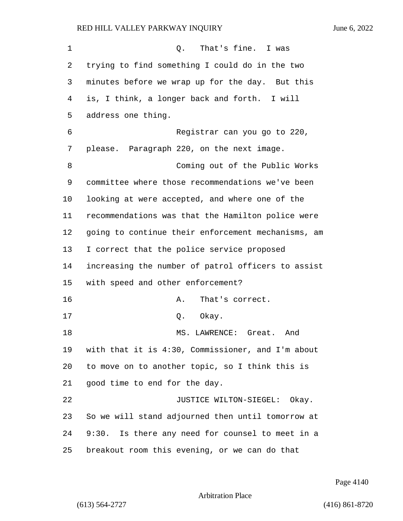## RED HILL VALLEY PARKWAY INQUIRY June 6, 2022

1 C. That's fine. I was trying to find something I could do in the two minutes before we wrap up for the day. But this is, I think, a longer back and forth. I will address one thing. 6 Registrar can you go to 220, please. Paragraph 220, on the next image. 8 Coming out of the Public Works committee where those recommendations we've been looking at were accepted, and where one of the recommendations was that the Hamilton police were going to continue their enforcement mechanisms, am I correct that the police service proposed increasing the number of patrol officers to assist with speed and other enforcement? 16 A. That's correct. 17 0. Okay. 18 MS. LAWRENCE: Great. And with that it is 4:30, Commissioner, and I'm about to move on to another topic, so I think this is good time to end for the day. 22 JUSTICE WILTON-SIEGEL: Okay. So we will stand adjourned then until tomorrow at 9:30. Is there any need for counsel to meet in a breakout room this evening, or we can do that

Page 4140

Arbitration Place

(613) 564-2727 (416) 861-8720